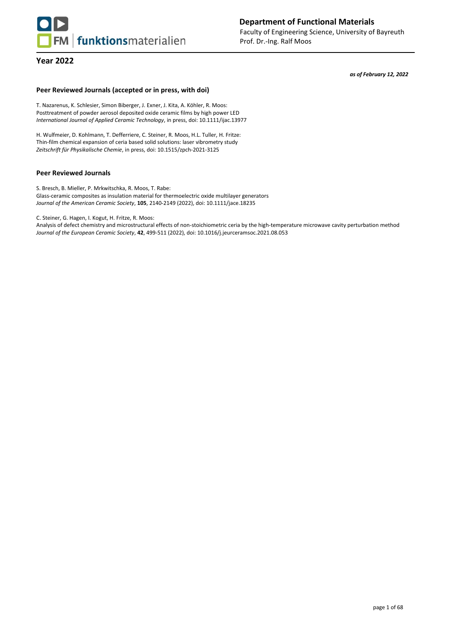

**Department of Functional Materials** Faculty of Engineering Science, University of Bayreuth Prof. Dr.-Ing. Ralf Moos

*as of February 12, 2022*

## **Peer Reviewed Journals (accepted or in press, with doi)**

T. Nazarenus, K. Schlesier, Simon Biberger, J. Exner, J. Kita, A. Köhler, R. Moos: Posttreatment of powder aerosol deposited oxide ceramic films by high power LED *International Journal of Applied Ceramic Technology*, in press, doi: 10.1111/ijac.13977

H. Wulfmeier, D. Kohlmann, T. Defferriere, C. Steiner, R. Moos, H.L. Tuller, H. Fritze: Thin-film chemical expansion of ceria based solid solutions: laser vibrometry study *Zeitschrift für Physikalische Chemie*, in press, doi: 10.1515/zpch-2021-3125

#### **Peer Reviewed Journals**

S. Bresch, B. Mieller, P. Mrkwitschka, R. Moos, T. Rabe: Glass-ceramic composites as insulation material for thermoelectric oxide multilayer generators *Journal of the American Ceramic Society*, **105**, 2140-2149 (2022), doi: 10.1111/jace.18235

C. Steiner, G. Hagen, I. Kogut, H. Fritze, R. Moos:

Analysis of defect chemistry and microstructural effects of non-stoichiometric ceria by the high-temperature microwave cavity perturbation method *Journal of the European Ceramic Society*, **42**, 499-511 (2022), doi: 10.1016/j.jeurceramsoc.2021.08.053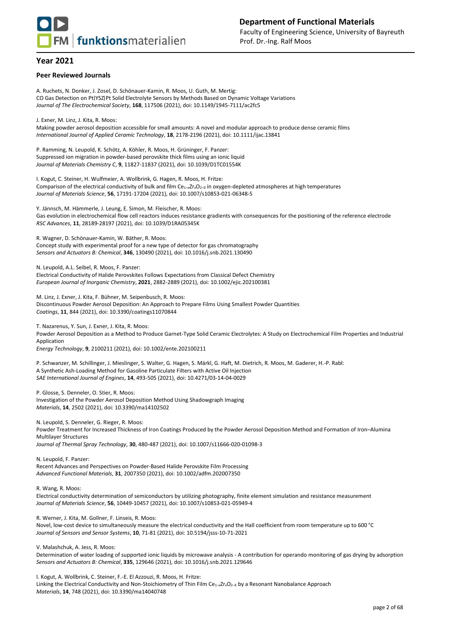

#### **Peer Reviewed Journals**

A. Ruchets, N. Donker, J. Zosel, D. Schönauer-Kamin, R. Moos, U. Guth, M. Mertig: CO Gas Detection on Pt∣YSZ∣Pt Solid Electrolyte Sensors by Methods Based on Dynamic Voltage Variations *Journal of The Electrochemical Society*, **168**, 117506 (2021), doi: 10.1149/1945-7111/ac2fc5

J. Exner, M. Linz, J. Kita, R. Moos:

Making powder aerosol deposition accessible for small amounts: A novel and modular approach to produce dense ceramic films *International Journal of Applied Ceramic Technology*, **18**, 2178-2196 (2021), doi: 10.1111/ijac.13841

P. Ramming, N. Leupold, K. Schötz, A. Köhler, R. Moos, H. Grüninger, F. Panzer: Suppressed ion migration in powder-based perovskite thick films using an ionic liquid *Journal of Materials Chemistry C*, **9**, 11827-11837 (2021), doi: 10.1039/D1TC01554K

I. Kogut, C. Steiner, H. Wulfmeier, A. Wollbrink, G. Hagen, R. Moos, H. Fritze: Comparison of the electrical conductivity of bulk and film Ce1–*x*Zr*x*O2–*<sup>δ</sup>* in oxygen-depleted atmospheres at high temperatures *Journal of Materials Science*, **56**, 17191-17204 (2021), doi: 10.1007/s10853-021-06348-5

Y. Jännsch, M. Hämmerle, J. Leung, E. Simon, M. Fleischer, R. Moos: Gas evolution in electrochemical flow cell reactors induces resistance gradients with consequences for the positioning of the reference electrode *RSC Advances*, **11**, 28189-28197 (2021), doi: 10.1039/D1RA05345K

R. Wagner, D. Schönauer-Kamin, W. Bäther, R. Moos: Concept study with experimental proof for a new type of detector for gas chromatography *Sensors and Actuators B: Chemical*, **346**, 130490 (2021), doi: 10.1016/j.snb.2021.130490

N. Leupold, A.L. Seibel, R. Moos, F. Panzer: Electrical Conductivity of Halide Perovskites Follows Expectations from Classical Defect Chemistry *European Journal of Inorganic Chemistry*, **2021**, 2882-2889 (2021), doi: 10.1002/ejic.202100381

M. Linz, J. Exner, J. Kita, F. Bühner, M. Seipenbusch, R. Moos: Discontinuous Powder Aerosol Deposition: An Approach to Prepare Films Using Smallest Powder Quantities *Coatings*, **11**, 844 (2021), doi: 10.3390/coatings11070844

T. Nazarenus, Y. Sun, J. Exner, J. Kita, R. Moos: Powder Aerosol Deposition as a Method to Produce Garnet‐Type Solid Ceramic Electrolytes: A Study on Electrochemical Film Properties and Industrial Application *Energy Technology*, **9**, 2100211 (2021), doi: 10.1002/ente.202100211

P. Schwanzer, M. Schillinger, J. Mieslinger, S. Walter, G. Hagen, S. Märkl, G. Haft, M. Dietrich, R. Moos, M. Gaderer, H.-P. Rabl: A Synthetic Ash-Loading Method for Gasoline Particulate Filters with Active Oil Injection *SAE International Journal of Engines*, **14**, 493-505 (2021), doi: 10.4271/03-14-04-0029

P. Glosse, S. Denneler, O. Stier, R. Moos: Investigation of the Powder Aerosol Deposition Method Using Shadowgraph Imaging *Materials*, **14**, 2502 (2021), doi: 10.3390/ma14102502

N. Leupold, S. Denneler, G. Rieger, R. Moos:

Powder Treatment for Increased Thickness of Iron Coatings Produced by the Powder Aerosol Deposition Method and Formation of Iron–Alumina Multilayer Structures

*Journal of Thermal Spray Technology*, **30**, 480-487 (2021), doi: 10.1007/s11666-020-01098-3

N. Leupold, F. Panzer: Recent Advances and Perspectives on Powder‐Based Halide Perovskite Film Processing *Advanced Functional Materials*, **31**, 2007350 (2021), doi: 10.1002/adfm.202007350

R. Wang, R. Moos:

Electrical conductivity determination of semiconductors by utilizing photography, finite element simulation and resistance measurement *Journal of Materials Science*, **56**, 10449-10457 (2021), doi: 10.1007/s10853-021-05949-4

R. Werner, J. Kita, M. Gollner, F. Linseis, R. Moos:

Novel, low-cost device to simultaneously measure the electrical conductivity and the Hall coefficient from room temperature up to 600 °C *Journal of Sensors and Sensor Systems*, **10**, 71-81 (2021), doi: 10.5194/jsss-10-71-2021

V. Malashchuk, A. Jess, R. Moos:

Determination of water loading of supported ionic liquids by microwave analysis - A contribution for operando monitoring of gas drying by adsorption *Sensors and Actuators B: Chemical*, **335**, 129646 (2021), doi: 10.1016/j.snb.2021.129646

I. Kogut, A. Wollbrink, C. Steiner, F.-E. El Azzouzi, R. Moos, H. Fritze:

Linking the Electrical Conductivity and Non-Stoichiometry of Thin Film Ce1−xZrxO2−δ by a Resonant Nanobalance Approach *Materials*, **14**, 748 (2021), doi: 10.3390/ma14040748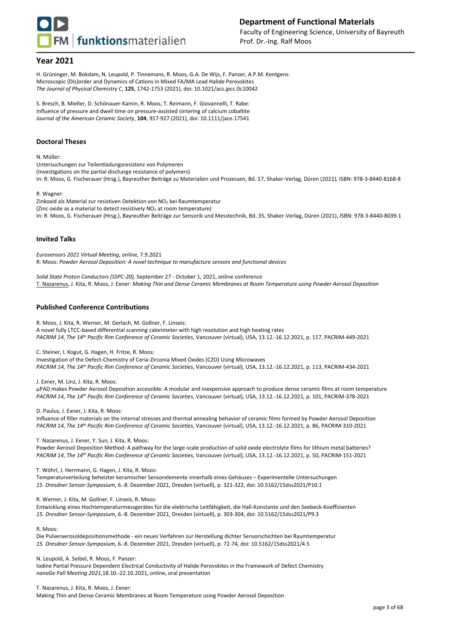

H. Grüninger, M. Bokdam, N. Leupold, P. Tinnemans, R. Moos, G.A. De Wijs, F. Panzer, A.P.M. Kentgens: Microscopic (Dis)order and Dynamics of Cations in Mixed FA/MA Lead Halide Perovskites *The Journal of Physical Chemistry C*, **125**, 1742-1753 (2021), doi: 10.1021/acs.jpcc.0c10042

S. Bresch, B. Mieller, D. Schönauer-Kamin, R. Moos, T. Reimann, F. Giovannelli, T. Rabe: Influence of pressure and dwell time on pressure-assisted sintering of calcium cobaltite *Journal of the American Ceramic Society*, **104**, 917-927 (2021), doi: 10.1111/jace.17541

#### **Doctoral Theses**

N. Müller:

Untersuchungen zur Teilentladungsresistenz von Polymeren (Investigations on the partial discharge resistance of polymers) In: R. Moos, G. Fischerauer (Hrsg.), Bayreuther Beiträge zu Materialien und Prozessen, Bd. 17, Shaker-Verlag, Düren (2021), ISBN: 978-3-8440-8168-8

#### R. Wagner:

Zinkoxid als Material zur resistiven Detektion von NO<sub>2</sub> bei Raumtemperatur (Zinc oxide as a material to detect resistively NO<sup>2</sup> at room temperature) In: R. Moos, G. Fischerauer (Hrsg.), Bayreuther Beiträge zur Sensorik und Messtechnik, Bd. 35, Shaker-Verlag, Düren (2021), ISBN: 978-3-8440-8039-1

#### **Invited Talks**

*Eurosensors 2021 Virtual Meeting*, online, 7.9.2021 R. Moos: *Powder Aerosol Deposition: A novel technique to manufacture sensors and functional devices*

*Solid State Proton Conductors (SSPC-20),* September 27 - October 1, 2021, online conference T. Nazarenus, J. Kita, R. Moos, J. Exner: *Making Thin and Dense Ceramic Membranes at Room Temperature using Powder Aerosol Deposition*

#### **Published Conference Contributions**

R. Moos, J. Kita, R. Werner, M. Gerlach, M. Gollner, F. Linseis:

A novel fully LTCC-based differential scanning calorimeter with high resolution and high heating rates *PACRIM 14*, *The 14 th Pacific Rim Conference of Ceramic Societies*, Vancouver (virtual), USA, 13.12.-16.12.2021, p. 117, PACRIM-449-2021

C. Steiner, I. Kogut, G. Hagen, H. Fritze, R. Moos:

Investigation of the Defect-Chemistry of Ceria-Zirconia Mixed Oxides (CZO) Using Microwaves *PACRIM 14*, *The 14 th Pacific Rim Conference of Ceramic Societies*, Vancouver (virtual), USA, 13.12.-16.12.2021, p. 113, PACRIM-434-2021

J. Exner, M. Linz, J. Kita, R. Moos:

µPAD makes Powder Aerosol Deposition accessible: A modular and inexpensive approach to produce dense ceramic films at room temperature *PACRIM 14*, *The 14 th Pacific Rim Conference of Ceramic Societies*, Vancouver (virtual), USA, 13.12.-16.12.2021, p. 101, PACRIM-378-2021

D. Paulus, J. Exner, J. Kita, R. Moos:

Influence of filler materials on the internal stresses and thermal annealing behavior of ceramic films formed by Powder Aerosol Deposition *PACRIM 14*, *The 14 th Pacific Rim Conference of Ceramic Societies*, Vancouver (virtual), USA, 13.12.-16.12.2021, p. 86, PACRIM-310-2021

T. Nazarenus, J. Exner, Y. Sun, J. Kita, R. Moos:

Powder Aerosol Deposition Method: A pathway for the large-scale production of solid oxide electrolyte films for lithium metal batteries? *PACRIM 14*, *The 14 th Pacific Rim Conference of Ceramic Societies*, Vancouver (virtual), USA, 13.12.-16.12.2021, p. 50, PACRIM-151-2021

T. Wöhrl, J. Herrmann, G. Hagen, J. Kita, R. Moos:

Temperaturverteilung beheizter keramischer Sensorelemente innerhalb eines Gehäuses – Experimentelle Untersuchungen *15. Dresdner Sensor-Symposium*, 6.-8. Dezember 2021, Dresden (virtuell), p. 321-322, doi: 10.5162/15dss2021/P10.1

R. Werner, J. Kita, M. Gollner, F. Linseis, R. Moos:

Entwicklung eines Hochtemperaturmessgerätes für die elektrische Leitfähigkeit, die Hall-Konstante und den Seebeck-Koeffizienten *15. Dresdner Sensor-Symposium*, 6.-8. Dezember 2021, Dresden (virtuell), p. 303-304, doi: 10.5162/15dss2021/P9.3

R. Moos:

Die Pulveraerosoldepositionsmethode - ein neues Verfahren zur Herstellung dichter Sensorschichten bei Raumtemperatur *15. Dresdner Sensor-Symposium*, 6.-8. Dezember 2021, Dresden (virtuell), p. 72-74, doi: 10.5162/15dss2021/4.5

N. Leupold, A. Seibel, R. Moos, F. Panzer:

Iodine Partial Pressure Dependent Electrical Conductivity of Halide Perovskites in the Framework of Defect Chemistry *nanoGe Fall Meeting 2021*,18.10.-22.10.2021, online, oral presentation

T. Nazarenus, J. Kita, R. Moos, J. Exner:

Making Thin and Dense Ceramic Membranes at Room Temperature using Powder Aerosol Deposition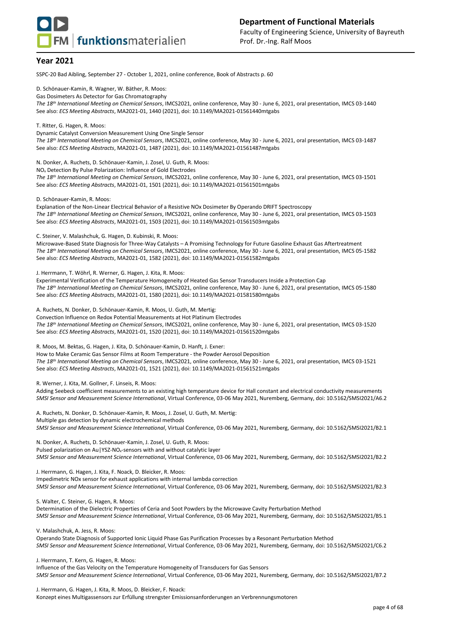

SSPC-20 Bad Aibling, September 27 - October 1, 2021, online conference, Book of Abstracts p. 60

D. Schönauer-Kamin, R. Wagner, W. Bäther, R. Moos:

Gas Dosimeters As Detector for Gas Chromatography

*The 18 th International Meeting on Chemical Sensors*, IMCS2021, online conference, May 30 - June 6, 2021, oral presentation, IMCS 03-1440 See also: *ECS Meeting Abstracts*, MA2021-01, 1440 (2021), doi: 10.1149/MA2021-01561440mtgabs

T. Ritter, G. Hagen, R. Moos:

Dynamic Catalyst Conversion Measurement Using One Single Sensor *The 18 th International Meeting on Chemical Sensors*, IMCS2021, online conference, May 30 - June 6, 2021, oral presentation, IMCS 03-1487 See also: *ECS Meeting Abstracts*, MA2021-01, 1487 (2021), doi: 10.1149/MA2021-01561487mtgabs

N. Donker, A. Ruchets, D. Schönauer-Kamin, J. Zosel, U. Guth, R. Moos:

NO<sup>x</sup> Detection By Pulse Polarization: Influence of Gold Electrodes

*The 18 th International Meeting on Chemical Sensors*, IMCS2021, online conference, May 30 - June 6, 2021, oral presentation, IMCS 03-1501 See also: *ECS Meeting Abstracts*, MA2021-01, 1501 (2021), doi: 10.1149/MA2021-01561501mtgabs

D. Schönauer-Kamin, R. Moos:

Explanation of the Non-Linear Electrical Behavior of a Resistive NOx Dosimeter By Operando DRIFT Spectroscopy *The 18 th International Meeting on Chemical Sensors*, IMCS2021, online conference, May 30 - June 6, 2021, oral presentation, IMCS 03-1503 See also: *ECS Meeting Abstracts*, MA2021-01, 1503 (2021), doi: 10.1149/MA2021-01561503mtgabs

C. Steiner, V. Malashchuk, G. Hagen, D. Kubinski, R. Moos:

Microwave-Based State Diagnosis for Three-Way Catalysts – A Promising Technology for Future Gasoline Exhaust Gas Aftertreatment *The 18 th International Meeting on Chemical Sensors*, IMCS2021, online conference, May 30 - June 6, 2021, oral presentation, IMCS 05-1582 See also: *ECS Meeting Abstracts*, MA2021-01, 1582 (2021), doi: 10.1149/MA2021-01561582mtgabs

J. Herrmann, T. Wöhrl, R. Werner, G. Hagen, J. Kita, R. Moos:

Experimental Verification of the Temperature Homogeneity of Heated Gas Sensor Transducers Inside a Protection Cap *The 18 th International Meeting on Chemical Sensors*, IMCS2021, online conference, May 30 - June 6, 2021, oral presentation, IMCS 05-1580 See also: *ECS Meeting Abstracts*, MA2021-01, 1580 (2021), doi: 10.1149/MA2021-01581580mtgabs

A. Ruchets, N. Donker, D. Schönauer-Kamin, R. Moos, U. Guth, M. Mertig:

Convection Influence on Redox Potential Measurements at Hot Platinum Electrodes *The 18 th International Meeting on Chemical Sensors*, IMCS2021, online conference, May 30 - June 6, 2021, oral presentation, IMCS 03-1520 See also: *ECS Meeting Abstracts*, MA2021-01, 1520 (2021), doi: 10.1149/MA2021-01561520mtgabs

R. Moos, M. Bektas, G. Hagen, J. Kita, D. Schönauer-Kamin, D. Hanft, J. Exner:

How to Make Ceramic Gas Sensor Films at Room Temperature - the Powder Aerosol Deposition *The 18 th International Meeting on Chemical Sensors*, IMCS2021, online conference, May 30 - June 6, 2021, oral presentation, IMCS 03-1521 See also: *ECS Meeting Abstracts*, MA2021-01, 1521 (2021), doi: 10.1149/MA2021-01561521mtgabs

R. Werner, J. Kita, M. Gollner, F. Linseis, R. Moos:

Adding Seebeck coefficient measurements to an existing high temperature device for Hall constant and electrical conductivity measurements *SMSI Sensor and Measurement Science International*, Virtual Conference, 03-06 May 2021, Nuremberg, Germany, doi: 10.5162/SMSI2021/A6.2

A. Ruchets, N. Donker, D. Schönauer-Kamin, R. Moos, J. Zosel, U. Guth, M. Mertig: Multiple gas detection by dynamic electrochemical methods *SMSI Sensor and Measurement Science International*, Virtual Conference, 03-06 May 2021, Nuremberg, Germany, doi: 10.5162/SMSI2021/B2.1

N. Donker, A. Ruchets, D. Schönauer-Kamin, J. Zosel, U. Guth, R. Moos: Pulsed polarization on Au|YSZ-NO<sub>x</sub>-sensors with and without catalytic layer *SMSI Sensor and Measurement Science International*, Virtual Conference, 03-06 May 2021, Nuremberg, Germany, doi: 10.5162/SMSI2021/B2.2

J. Herrmann, G. Hagen, J. Kita, F. Noack, D. Bleicker, R. Moos: Impedimetric NOx sensor for exhaust applications with internal lambda correction *SMSI Sensor and Measurement Science International*, Virtual Conference, 03-06 May 2021, Nuremberg, Germany, doi: 10.5162/SMSI2021/B2.3

S. Walter, C. Steiner, G. Hagen, R. Moos:

Determination of the Dielectric Properties of Ceria and Soot Powders by the Microwave Cavity Perturbation Method *SMSI Sensor and Measurement Science International*, Virtual Conference, 03-06 May 2021, Nuremberg, Germany, doi: 10.5162/SMSI2021/B5.1

V. Malashchuk, A. Jess, R. Moos:

Operando State Diagnosis of Supported Ionic Liquid Phase Gas Purification Processes by a Resonant Perturbation Method *SMSI Sensor and Measurement Science International*, Virtual Conference, 03-06 May 2021, Nuremberg, Germany, doi: 10.5162/SMSI2021/C6.2

J. Herrmann, T. Kern, G. Hagen, R. Moos:

Influence of the Gas Velocity on the Temperature Homogeneity of Transducers for Gas Sensors *SMSI Sensor and Measurement Science International*, Virtual Conference, 03-06 May 2021, Nuremberg, Germany, doi: 10.5162/SMSI2021/B7.2

J. Herrmann, G. Hagen, J. Kita, R. Moos, D. Bleicker, F. Noack: Konzept eines Multigassensors zur Erfüllung strengster Emissionsanforderungen an Verbrennungsmotoren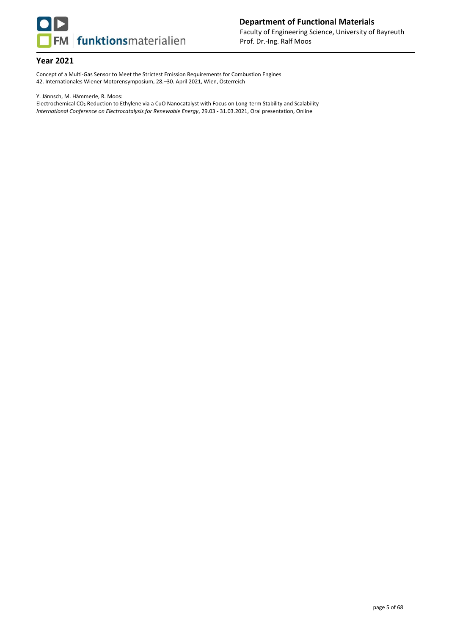

Concept of a Multi-Gas Sensor to Meet the Strictest Emission Requirements for Combustion Engines 42. Internationales Wiener Motorensymposium, 28.–30. April 2021, Wien, Österreich

Y. Jännsch, M. Hämmerle, R. Moos:

Electrochemical CO<sup>2</sup> Reduction to Ethylene via a CuO Nanocatalyst with Focus on Long-term Stability and Scalability *International Conference on Electrocatalysis for Renewable Energy*, 29.03 - 31.03.2021, Oral presentation, Online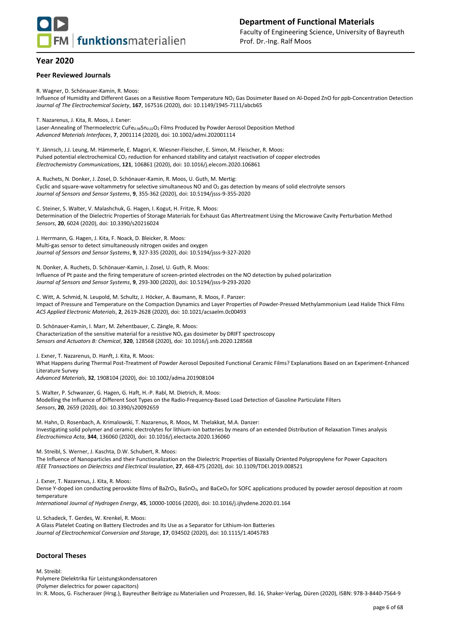

#### **Peer Reviewed Journals**

R. Wagner, D. Schönauer-Kamin, R. Moos:

Influence of Humidity and Different Gases on a Resistive Room Temperature NO<sup>2</sup> Gas Dosimeter Based on Al-Doped ZnO for ppb-Concentration Detection *Journal of The Electrochemical Society*, **167**, 167516 (2020), doi: 10.1149/1945-7111/abcb65

T. Nazarenus, J. Kita, R. Moos, J. Exner:

Laser-Annealing of Thermoelectric CuFe<sub>0.98</sub>Sn<sub>0.02</sub>O<sub>2</sub> Films Produced by Powder Aerosol Deposition Method *Advanced Materials Interfaces*, **7**, 2001114 (2020), doi: 10.1002/admi.202001114

Y. Jännsch, J.J. Leung, M. Hämmerle, E. Magori, K. Wiesner-Fleischer, E. Simon, M. Fleischer, R. Moos: Pulsed potential electrochemical CO<sub>2</sub> reduction for enhanced stability and catalyst reactivation of copper electrodes *Electrochemistry Communications*, **121**, 106861 (2020), doi: 10.1016/j.elecom.2020.106861

A. Ruchets, N. Donker, J. Zosel, D. Schönauer-Kamin, R. Moos, U. Guth, M. Mertig: Cyclic and square-wave voltammetry for selective simultaneous NO and O<sub>2</sub> gas detection by means of solid electrolyte sensors *Journal of Sensors and Sensor Systems*, **9**, 355-362 (2020), doi: 10.5194/jsss-9-355-2020

C. Steiner, S. Walter, V. Malashchuk, G. Hagen, I. Kogut, H. Fritze, R. Moos: Determination of the Dielectric Properties of Storage Materials for Exhaust Gas Aftertreatment Using the Microwave Cavity Perturbation Method *Sensors*, **20**, 6024 (2020), doi: 10.3390/s20216024

J. Herrmann, G. Hagen, J. Kita, F. Noack, D. Bleicker, R. Moos: Multi-gas sensor to detect simultaneously nitrogen oxides and oxygen *Journal of Sensors and Sensor Systems*, **9**, 327-335 (2020), doi: 10.5194/jsss-9-327-2020

N. Donker, A. Ruchets, D. Schönauer-Kamin, J. Zosel, U. Guth, R. Moos: Influence of Pt paste and the firing temperature of screen-printed electrodes on the NO detection by pulsed polarization *Journal of Sensors and Sensor Systems*, **9**, 293-300 (2020), doi: 10.5194/jsss-9-293-2020

C. Witt, A. Schmid, N. Leupold, M. Schultz, J. Höcker, A. Baumann, R. Moos, F. Panzer: Impact of Pressure and Temperature on the Compaction Dynamics and Layer Properties of Powder-Pressed Methylammonium Lead Halide Thick Films *ACS Applied Electronic Materials*, **2**, 2619-2628 (2020), doi: 10.1021/acsaelm.0c00493

D. Schönauer-Kamin, I. Marr, M. Zehentbauer, C. Zängle, R. Moos: Characterization of the sensitive material for a resistive NO<sup>x</sup> gas dosimeter by DRIFT spectroscopy *Sensors and Actuators B: Chemical*, **320**, 128568 (2020), doi: 10.1016/j.snb.2020.128568

J. Exner, T. Nazarenus, D. Hanft, J. Kita, R. Moos:

What Happens during Thermal Post-Treatment of Powder Aerosol Deposited Functional Ceramic Films? Explanations Based on an Experiment-Enhanced Literature Survey

*Advanced Materials*, **32**, 1908104 (2020), doi: 10.1002/adma.201908104

S. Walter, P. Schwanzer, G. Hagen, G. Haft, H.-P. Rabl, M. Dietrich, R. Moos: Modelling the Influence of Different Soot Types on the Radio-Frequency-Based Load Detection of Gasoline Particulate Filters *Sensors*, **20**, 2659 (2020), doi: 10.3390/s20092659

M. Hahn, D. Rosenbach, A. Krimalowski, T. Nazarenus, R. Moos, M. Thelakkat, M.A. Danzer: Investigating solid polymer and ceramic electrolytes for lithium-ion batteries by means of an extended Distribution of Relaxation Times analysis *Electrochimica Acta*, **344**, 136060 (2020), doi: 10.1016/j.electacta.2020.136060

M. Streibl, S. Werner, J. Kaschta, D.W. Schubert, R. Moos:

The Influence of Nanoparticles and their Functionalization on the Dielectric Properties of Biaxially Oriented Polypropylene for Power Capacitors *IEEE Transactions on Dielectrics and Electrical Insulation*, **27**, 468-475 (2020), doi: 10.1109/TDEI.2019.008521

J. Exner, T. Nazarenus, J. Kita, R. Moos:

Dense Y-doped ion conducting perovskite films of BaZrO<sub>3</sub>, BaSnO<sub>3</sub>, and BaCeO<sub>3</sub> for SOFC applications produced by powder aerosol deposition at room temperature

*International Journal of Hydrogen Energy*, **45**, 10000-10016 (2020), doi: 10.1016/j.ijhydene.2020.01.164

U. Schadeck, T. Gerdes, W. Krenkel, R. Moos:

A Glass Platelet Coating on Battery Electrodes and Its Use as a Separator for Lithium-Ion Batteries *Journal of Electrochemical Conversion and Storage*, **17**, 034502 (2020), doi: 10.1115/1.4045783

#### **Doctoral Theses**

M. Streibl: Polymere Dielektrika für Leistungskondensatoren (Polymer dielectrics for power capacitors) In: R. Moos, G. Fischerauer (Hrsg.), Bayreuther Beiträge zu Materialien und Prozessen, Bd. 16, Shaker-Verlag, Düren (2020), ISBN: 978-3-8440-7564-9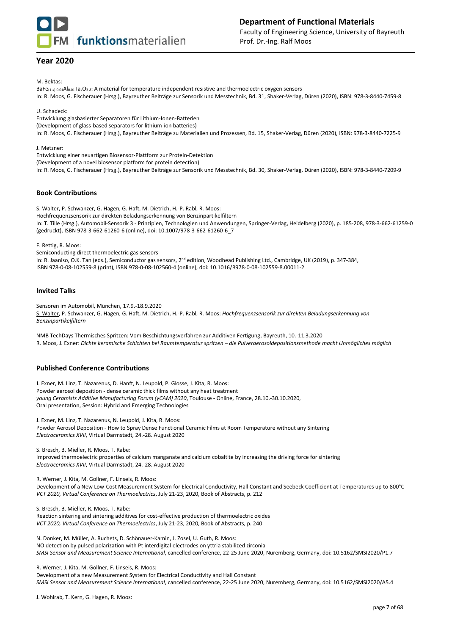

## **Department of Functional Materials** Faculty of Engineering Science, University of Bayreuth Prof. Dr.-Ing. Ralf Moos

## **Year 2020**

M. Bektas:

BaFe(1-*x*)-0.01Al0.01TaxO3-*δ*: A material for temperature independent resistive and thermoelectric oxygen sensors In: R. Moos, G. Fischerauer (Hrsg.), Bayreuther Beiträge zur Sensorik und Messtechnik, Bd. 31, Shaker-Verlag, Düren (2020), ISBN: 978-3-8440-7459-8

#### U. Schadeck:

Entwicklung glasbasierter Separatoren für Lithium-Ionen-Batterien (Development of glass-based separators for lithium-ion batteries) In: R. Moos, G. Fischerauer (Hrsg.), Bayreuther Beiträge zu Materialien und Prozessen, Bd. 15, Shaker-Verlag, Düren (2020), ISBN: 978-3-8440-7225-9

J. Metzner:

Entwicklung einer neuartigen Biosensor-Plattform zur Protein-Detektion

(Development of a novel biosensor platform for protein detection)

In: R. Moos, G. Fischerauer (Hrsg.), Bayreuther Beiträge zur Sensorik und Messtechnik, Bd. 30, Shaker-Verlag, Düren (2020), ISBN: 978-3-8440-7209-9

## **Book Contributions**

S. Walter, P. Schwanzer, G. Hagen, G. Haft, M. Dietrich, H.-P. Rabl, R. Moos: Hochfrequenzsensorik zur direkten Beladungserkennung von Benzinpartikelfiltern In: T. Tille (Hrsg.), Automobil-Sensorik 3 - Prinzipien, Technologien und Anwendungen, Springer-Verlag, Heidelberg (2020), p. 185-208, 978-3-662-61259-0 (gedruckt), ISBN 978-3-662-61260-6 (online), doi: 10.1007/978-3-662-61260-6\_7

F. Rettig, R. Moos:

Semiconducting direct thermoelectric gas sensors

In: R. Jaaniso, O.K. Tan (eds.), Semiconductor gas sensors, 2<sup>nd</sup> edition, Woodhead Publishing Ltd., Cambridge, UK (2019), p. 347-384, ISBN 978-0-08-102559-8 (print), ISBN 978-0-08-102560-4 (online), doi: 10.1016/B978-0-08-102559-8.00011-2

#### **Invited Talks**

Sensoren im Automobil, München, 17.9.-18.9.2020 S. Walter, P. Schwanzer, G. Hagen, G. Haft, M. Dietrich, H.-P. Rabl, R. Moos: *Hochfrequenzsensorik zur direkten Beladungserkennung von Benzinpartikelfiltern*

NMB TechDays Thermisches Spritzen: Vom Beschichtungsverfahren zur Additiven Fertigung, Bayreuth, 10.-11.3.2020 R. Moos, J. Exner: *Dichte keramische Schichten bei Raumtemperatur spritzen – die Pulveraerosoldepositionsmethode macht Unmögliches möglich*

## **Published Conference Contributions**

J. Exner, M. Linz, T. Nazarenus, D. Hanft, N. Leupold, P. Glosse, J. Kita, R. Moos: Powder aerosol deposition - dense ceramic thick films without any heat treatment *young Ceramists Additive Manufacturing Forum (yCAM) 2020*, Toulouse - Online, France, 28.10.-30.10.2020, Oral presentation, Session: Hybrid and Emerging Technologies

J. Exner, M. Linz, T. Nazarenus, N. Leupold, J. Kita, R. Moos: Powder Aerosol Deposition - How to Spray Dense Functional Ceramic Films at Room Temperature without any Sintering *Electroceramics XVII*, Virtual Darmstadt, 24.-28. August 2020

S. Bresch, B. Mieller, R. Moos, T. Rabe:

Improved thermoelectric properties of calcium manganate and calcium cobaltite by increasing the driving force for sintering *Electroceramics XVII*, Virtual Darmstadt, 24.-28. August 2020

R. Werner, J. Kita, M. Gollner, F. Linseis, R. Moos:

Development of a New Low-Cost Measurement System for Electrical Conductivity, Hall Constant and Seebeck Coefficient at Temperatures up to 800°C *VCT 2020, Virtual Conference on Thermoelectrics*, July 21-23, 2020, Book of Abstracts, p. 212

S. Bresch, B. Mieller, R. Moos, T. Rabe:

Reaction sintering and sintering additives for cost-effective production of thermoelectric oxides *VCT 2020, Virtual Conference on Thermoelectrics*, July 21-23, 2020, Book of Abstracts, p. 240

N. Donker, M. Müller, A. Ruchets, D. Schönauer-Kamin, J. Zosel, U. Guth, R. Moos: NO detection by pulsed polarization with Pt interdigital electrodes on yttria stabilized zirconia *SMSI Sensor and Measurement Science International*, cancelled conference, 22-25 June 2020, Nuremberg, Germany, doi: 10.5162/SMSI2020/P1.7

R. Werner, J. Kita, M. Gollner, F. Linseis, R. Moos:

Development of a new Measurement System for Electrical Conductivity and Hall Constant *SMSI Sensor and Measurement Science International*, cancelled conference, 22-25 June 2020, Nuremberg, Germany, doi: 10.5162/SMSI2020/A5.4

J. Wohlrab, T. Kern, G. Hagen, R. Moos: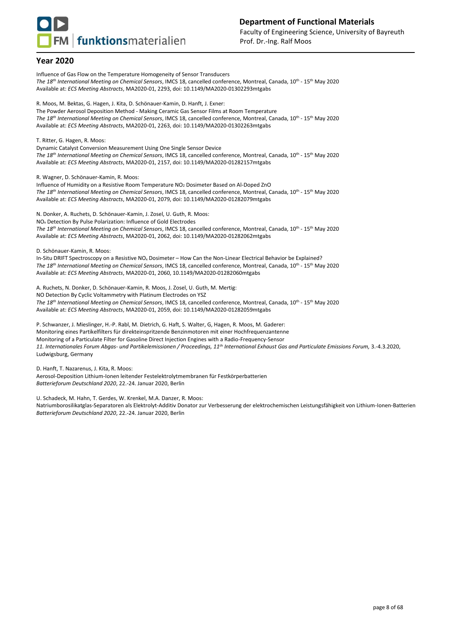

Influence of Gas Flow on the Temperature Homogeneity of Sensor Transducers *The 18 th International Meeting on Chemical Sensors*, IMCS 18, cancelled conference, Montreal, Canada, 10th - 15 th May 2020 Available at: *ECS Meeting Abstracts*, MA2020-01, 2293, doi: 10.1149/MA2020-01302293mtgabs

R. Moos, M. Bektas, G. Hagen, J. Kita, D. Schönauer-Kamin, D. Hanft, J. Exner: The Powder Aerosol Deposition Method - Making Ceramic Gas Sensor Films at Room Temperature *The 18 th International Meeting on Chemical Sensors*, IMCS 18, cancelled conference, Montreal, Canada, 10th - 15 th May 2020 Available at: *ECS Meeting Abstracts*, MA2020-01, 2263, doi: 10.1149/MA2020-01302263mtgabs

T. Ritter, G. Hagen, R. Moos:

Dynamic Catalyst Conversion Measurement Using One Single Sensor Device *The 18 th International Meeting on Chemical Sensors*, IMCS 18, cancelled conference, Montreal, Canada, 10th - 15 th May 2020 Available at: *ECS Meeting Abstracts*, MA2020-01, 2157, doi: 10.1149/MA2020-01282157mtgabs

R. Wagner, D. Schönauer-Kamin, R. Moos:

Influence of Humidity on a Resistive Room Temperature NO<sup>2</sup> Dosimeter Based on Al-Doped ZnO *The 18 th International Meeting on Chemical Sensors*, IMCS 18, cancelled conference, Montreal, Canada, 10th - 15 th May 2020 Available at: *ECS Meeting Abstracts*, MA2020-01, 2079, doi: 10.1149/MA2020-01282079mtgabs

N. Donker, A. Ruchets, D. Schönauer-Kamin, J. Zosel, U. Guth, R. Moos: NO<sup>x</sup> Detection By Pulse Polarization: Influence of Gold Electrodes *The 18 th International Meeting on Chemical Sensors*, IMCS 18, cancelled conference, Montreal, Canada, 10th - 15 th May 2020 Available at: *ECS Meeting Abstracts*, MA2020-01, 2062, doi: 10.1149/MA2020-01282062mtgabs

D. Schönauer-Kamin, R. Moos:

In-Situ DRIFT Spectroscopy on a Resistive NO<sub>x</sub> Dosimeter – How Can the Non-Linear Electrical Behavior be Explained? *The 18 th International Meeting on Chemical Sensors*, IMCS 18, cancelled conference, Montreal, Canada, 10th - 15 th May 2020 Available at: *ECS Meeting Abstracts*, MA2020-01, 2060, 10.1149/MA2020-01282060mtgabs

A. Ruchets, N. Donker, D. Schönauer-Kamin, R. Moos, J. Zosel, U. Guth, M. Mertig: NO Detection By Cyclic Voltammetry with Platinum Electrodes on YSZ *The 18 th International Meeting on Chemical Sensors*, IMCS 18, cancelled conference, Montreal, Canada, 10th - 15 th May 2020 Available at: *ECS Meeting Abstracts*, MA2020-01, 2059, doi: 10.1149/MA2020-01282059mtgabs

P. Schwanzer, J. Mieslinger, H.-P. Rabl, M. Dietrich, G. Haft, S. Walter, G, Hagen, R. Moos, M. Gaderer: Monitoring eines Partikelfilters für direkteinspritzende Benzinmotoren mit einer Hochfrequenzantenne Monitoring of a Particulate Filter for Gasoline Direct Injection Engines with a Radio-Frequency-Sensor *11. Internationales Forum Abgas- und Partikelemissionen / Proceedings, 11th International Exhaust Gas and Particulate Emissions Forum,* 3.-4.3.2020, Ludwigsburg, Germany

D. Hanft, T. Nazarenus, J. Kita, R. Moos: Aerosol-Deposition Lithium-Ionen leitender Festelektrolytmembranen für Festkörperbatterien *Batterieforum Deutschland 2020*, 22.-24. Januar 2020, Berlin

U. Schadeck, M. Hahn, T. Gerdes, W. Krenkel, M.A. Danzer, R. Moos:

Natriumborosilikatglas-Separatoren als Elektrolyt-Additiv Donator zur Verbesserung der elektrochemischen Leistungsfähigkeit von Lithium-Ionen-Batterien *Batterieforum Deutschland 2020*, 22.-24. Januar 2020, Berlin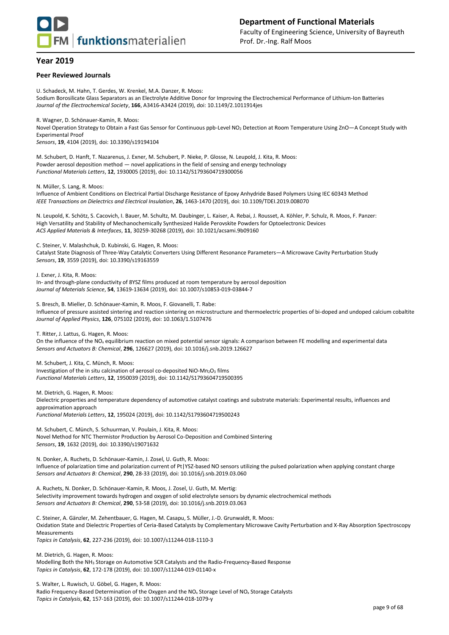

#### **Peer Reviewed Journals**

U. Schadeck, M. Hahn, T. Gerdes, W. Krenkel, M.A. Danzer, R. Moos: Sodium Borosilicate Glass Separators as an Electrolyte Additive Donor for Improving the Electrochemical Performance of Lithium-Ion Batteries *Journal of the Electrochemical Society*, **166**, A3416-A3424 (2019), doi: 10.1149/2.1011914jes

R. Wagner, D. Schönauer-Kamin, R. Moos: Novel Operation Strategy to Obtain a Fast Gas Sensor for Continuous ppb-Level NO<sub>2</sub> Detection at Room Temperature Using ZnO-A Concept Study with Experimental Proof *Sensors*, **19**, 4104 (2019), doi: 10.3390/s19194104

M. Schubert, D. Hanft, T. Nazarenus, J. Exner, M. Schubert, P. Nieke, P. Glosse, N. Leupold, J. Kita, R. Moos: Powder aerosol deposition method — novel applications in the field of sensing and energy technology *Functional Materials Letters*, **12**, 1930005 (2019), doi: 10.1142/S1793604719300056

N. Müller, S. Lang, R. Moos:

Influence of Ambient Conditions on Electrical Partial Discharge Resistance of Epoxy Anhydride Based Polymers Using IEC 60343 Method *IEEE Transactions on Dielectrics and Electrical Insulation*, **26**, 1463-1470 (2019), doi: 10.1109/TDEI.2019.008070

N. Leupold, K. Schötz, S. Cacovich, I. Bauer, M. Schultz, M. Daubinger, L. Kaiser, A. Rebai, J. Rousset, A. Köhler, P. Schulz, R. Moos, F. Panzer: High Versatility and Stability of Mechanochemically Synthesized Halide Perovskite Powders for Optoelectronic Devices *ACS Applied Materials & Interfaces*, **11**, 30259-30268 (2019), doi: 10.1021/acsami.9b09160

C. Steiner, V. Malashchuk, D. Kubinski, G. Hagen, R. Moos:

Catalyst State Diagnosis of Three-Way Catalytic Converters Using Different Resonance Parameters—A Microwave Cavity Perturbation Study *Sensors*, **19**, 3559 (2019), doi: 10.3390/s19163559

J. Exner, J. Kita, R. Moos: In- and through-plane conductivity of 8YSZ films produced at room temperature by aerosol deposition *Journal of Materials Science*, **54**, 13619-13634 (2019), doi: 10.1007/s10853-019-03844-7

S. Bresch, B. Mieller, D. Schönauer-Kamin, R. Moos, F. Giovanelli, T. Rabe: Influence of pressure assisted sintering and reaction sintering on microstructure and thermoelectric properties of bi-doped and undoped calcium cobaltite *Journal of Applied Physics*, **126**, 075102 (2019), doi: 10.1063/1.5107476

T. Ritter, J. Lattus, G. Hagen, R. Moos:

On the influence of the NO<sub>x</sub> equilibrium reaction on mixed potential sensor signals: A comparison between FE modelling and experimental data *Sensors and Actuators B: Chemical*, **296**, 126627 (2019), doi: 10.1016/j.snb.2019.126627

M. Schubert, J. Kita, C. Münch, R. Moos:

Investigation of the in situ calcination of aerosol co-deposited NiO-Mn<sub>2</sub>O<sub>3</sub> films *Functional Materials Letters*, **12**, 1950039 (2019), doi: 10.1142/S1793604719500395

M. Dietrich, G. Hagen, R. Moos:

Dielectric properties and temperature dependency of automotive catalyst coatings and substrate materials: Experimental results, influences and approximation approach *Functional Materials Letters*, **12**, 195024 (2019), doi: 10.1142/S1793604719500243

M. Schubert, C. Münch, S. Schuurman, V. Poulain, J. Kita, R. Moos: Novel Method for NTC Thermistor Production by Aerosol Co-Deposition and Combined Sintering *Sensors*, **19**, 1632 (2019), doi: 10.3390/s19071632

N. Donker, A. Ruchets, D. Schönauer-Kamin, J. Zosel, U. Guth, R. Moos: Influence of polarization time and polarization current of Pt|YSZ-based NO sensors utilizing the pulsed polarization when applying constant charge *Sensors and Actuators B: Chemical*, **290**, 28-33 (2019), doi: 10.1016/j.snb.2019.03.060

A. Ruchets, N. Donker, D. Schönauer-Kamin, R. Moos, J. Zosel, U. Guth, M. Mertig: Selectivity improvement towards hydrogen and oxygen of solid electrolyte sensors by dynamic electrochemical methods *Sensors and Actuators B: Chemical*, **290**, 53-58 (2019), doi: 10.1016/j.snb.2019.03.063

C. Steiner, A. Gänzler, M. Zehentbauer, G. Hagen, M. Casapu, S. Müller, J.-D. Grunwaldt, R. Moos: Oxidation State and Dielectric Properties of Ceria-Based Catalysts by Complementary Microwave Cavity Perturbation and X-Ray Absorption Spectroscopy Measurements *Topics in Catalysis*, **62**, 227-236 (2019), doi: 10.1007/s11244-018-1110-3

M. Dietrich, G. Hagen, R. Moos: Modelling Both the NH<sup>3</sup> Storage on Automotive SCR Catalysts and the Radio-Frequency-Based Response *Topics in Catalysis*, **62**, 172-178 (2019), doi: 10.1007/s11244-019-01140-x

S. Walter, L. Ruwisch, U. Göbel, G. Hagen, R. Moos: Radio Frequency-Based Determination of the Oxygen and the NO<sup>x</sup> Storage Level of NO<sup>x</sup> Storage Catalysts *Topics in Catalysis*, **62**, 157-163 (2019), doi: 10.1007/s11244-018-1079-y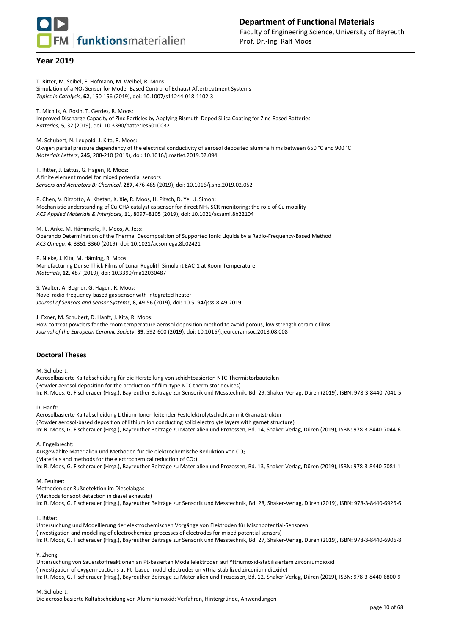

T. Ritter, M. Seibel, F. Hofmann, M. Weibel, R. Moos: Simulation of a NO*<sup>x</sup>* Sensor for Model-Based Control of Exhaust Aftertreatment Systems *Topics in Catalysis*, **62**, 150-156 (2019), doi: 10.1007/s11244-018-1102-3

T. Michlik, A. Rosin, T. Gerdes, R. Moos: Improved Discharge Capacity of Zinc Particles by Applying Bismuth-Doped Silica Coating for Zinc-Based Batteries *Batteries*, **5**, 32 (2019), doi: 10.3390/batteries5010032

M. Schubert, N. Leupold, J. Kita, R. Moos: Oxygen partial pressure dependency of the electrical conductivity of aerosol deposited alumina films between 650 °C and 900 °C *Materials Letters*, **245**, 208-210 (2019), doi: 10.1016/j.matlet.2019.02.094

T. Ritter, J. Lattus, G. Hagen, R. Moos: A finite element model for mixed potential sensors *Sensors and Actuators B: Chemical*, **287**, 476-485 (2019), doi: 10.1016/j.snb.2019.02.052

P. Chen, V. Rizzotto, A. Khetan, K. Xie, R. Moos, H. Pitsch, D. Ye, U. Simon: Mechanistic understanding of Cu-CHA catalyst as sensor for direct NH3-SCR monitoring: the role of Cu mobility *ACS Applied Materials & Interfaces*, **11**, 8097−8105 (2019), doi: 10.1021/acsami.8b22104

M.-L. Anke, M. Hämmerle, R. Moos, A. Jess: Operando Determination of the Thermal Decomposition of Supported Ionic Liquids by a Radio-Frequency-Based Method *ACS Omega*, **4**, 3351-3360 (2019), doi: 10.1021/acsomega.8b02421

P. Nieke, J. Kita, M. Häming, R. Moos: Manufacturing Dense Thick Films of Lunar Regolith Simulant EAC-1 at Room Temperature *Materials*, **12**, 487 (2019), doi: 10.3390/ma12030487

S. Walter, A. Bogner, G. Hagen, R. Moos: Novel radio-frequency-based gas sensor with integrated heater *Journal of Sensors and Sensor Systems*, **8**, 49-56 (2019), doi: 10.5194/jsss-8-49-2019

J. Exner, M. Schubert, D. Hanft, J. Kita, R. Moos:

How to treat powders for the room temperature aerosol deposition method to avoid porous, low strength ceramic films *Journal of the European Ceramic Society*, **39**, 592-600 (2019), doi: 10.1016/j.jeurceramsoc.2018.08.008

#### **Doctoral Theses**

M. Schubert:

Aerosolbasierte Kaltabscheidung für die Herstellung von schichtbasierten NTC-Thermistorbauteilen (Powder aerosol deposition for the production of film-type NTC thermistor devices) In: R. Moos, G. Fischerauer (Hrsg.), Bayreuther Beiträge zur Sensorik und Messtechnik, Bd. 29, Shaker-Verlag, Düren (2019), ISBN: 978-3-8440-7041-5

D. Hanft:

Aerosolbasierte Kaltabscheidung Lithium-Ionen leitender Festelektrolytschichten mit Granatstruktur (Powder aerosol-based deposition of lithium ion conducting solid electrolyte layers with garnet structure) In: R. Moos, G. Fischerauer (Hrsg.), Bayreuther Beiträge zu Materialien und Prozessen, Bd. 14, Shaker-Verlag, Düren (2019), ISBN: 978-3-8440-7044-6

A. Engelbrecht:

Ausgewählte Materialien und Methoden für die elektrochemische Reduktion von CO<sup>2</sup> (Materials and methods for the electrochemical reduction of  $CO<sub>2</sub>$ ) In: R. Moos, G. Fischerauer (Hrsg.), Bayreuther Beiträge zu Materialien und Prozessen, Bd. 13, Shaker-Verlag, Düren (2019), ISBN: 978-3-8440-7081-1

M. Feulner:

Methoden der Rußdetektion im Dieselabgas (Methods for soot detection in diesel exhausts) In: R. Moos, G. Fischerauer (Hrsg.), Bayreuther Beiträge zur Sensorik und Messtechnik, Bd. 28, Shaker-Verlag, Düren (2019), ISBN: 978-3-8440-6926-6

T. Ritter:

Untersuchung und Modellierung der elektrochemischen Vorgänge von Elektroden für Mischpotential-Sensoren (Investigation and modelling of electrochemical processes of electrodes for mixed potential sensors) In: R. Moos, G. Fischerauer (Hrsg.), Bayreuther Beiträge zur Sensorik und Messtechnik, Bd. 27, Shaker-Verlag, Düren (2019), ISBN: 978-3-8440-6906-8

Y. Zheng:

Untersuchung von Sauerstoffreaktionen an Pt-basierten Modellelektroden auf Yttriumoxid-stabilisiertem Zirconiumdioxid (Investigation of oxygen reactions at Pt- based model electrodes on yttria-stabilized zirconium dioxide) In: R. Moos, G. Fischerauer (Hrsg.), Bayreuther Beiträge zu Materialien und Prozessen, Bd. 12, Shaker-Verlag, Düren (2019), ISBN: 978-3-8440-6800-9

#### M. Schubert:

Die aerosolbasierte Kaltabscheidung von Aluminiumoxid: Verfahren, Hintergründe, Anwendungen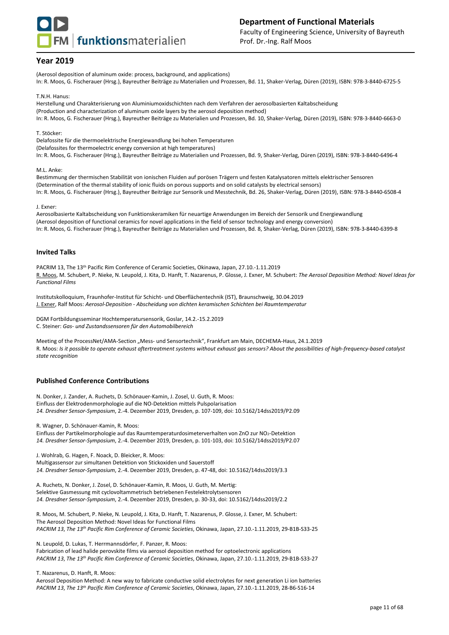

(Aerosol deposition of aluminum oxide: process, background, and applications) In: R. Moos, G. Fischerauer (Hrsg.), Bayreuther Beiträge zu Materialien und Prozessen, Bd. 11, Shaker-Verlag, Düren (2019), ISBN: 978-3-8440-6725-5

T.N.H. Hanus:

Herstellung und Charakterisierung von Aluminiumoxidschichten nach dem Verfahren der aerosolbasierten Kaltabscheidung (Production and characterization of aluminum oxide layers by the aerosol deposition method) In: R. Moos, G. Fischerauer (Hrsg.), Bayreuther Beiträge zu Materialien und Prozessen, Bd. 10, Shaker-Verlag, Düren (2019), ISBN: 978-3-8440-6663-0

T. Stöcker:

Delafossite für die thermoelektrische Energiewandlung bei hohen Temperaturen

(Delafossites for thermoelectric energy conversion at high temperatures)

In: R. Moos, G. Fischerauer (Hrsg.), Bayreuther Beiträge zu Materialien und Prozessen, Bd. 9, Shaker-Verlag, Düren (2019), ISBN: 978-3-8440-6496-4

M.L. Anke:

Bestimmung der thermischen Stabilität von ionischen Fluiden auf porösen Trägern und festen Katalysatoren mittels elektrischer Sensoren (Determination of the thermal stability of ionic fluids on porous supports and on solid catalysts by electrical sensors) In: R. Moos, G. Fischerauer (Hrsg.), Bayreuther Beiträge zur Sensorik und Messtechnik, Bd. 26, Shaker-Verlag, Düren (2019), ISBN: 978-3-8440-6508-4

#### J. Exner:

Aerosolbasierte Kaltabscheidung von Funktionskeramiken für neuartige Anwendungen im Bereich der Sensorik und Energiewandlung (Aerosol deposition of functional ceramics for novel applications in the field of sensor technology and energy conversion) In: R. Moos, G. Fischerauer (Hrsg.), Bayreuther Beiträge zu Materialien und Prozessen, Bd. 8, Shaker-Verlag, Düren (2019), ISBN: 978-3-8440-6399-8

#### **Invited Talks**

PACRIM 13, The 13th Pacific Rim Conference of Ceramic Societies, Okinawa, Japan, 27.10.-1.11.2019 R. Moos, M. Schubert, P. Nieke, N. Leupold, J. Kita, D. Hanft, T. Nazarenus, P. Glosse, J. Exner, M. Schubert: *The Aerosol Deposition Method: Novel Ideas for Functional Films*

Institutskolloquium, Fraunhofer-Institut für Schicht- und Oberflächentechnik (IST), Braunschweig, 30.04.2019 J. Exner, Ralf Moos: *Aerosol-Deposition - Abscheidung von dichten keramischen Schichten bei Raumtemperatur*

DGM Fortbildungsseminar Hochtemperatursensorik, Goslar, 14.2.-15.2.2019 C. Steiner: *Gas- und Zustandssensoren für den Automobilbereich*

Meeting of the ProcessNet/AMA-Section "Mess- und Sensortechnik", Frankfurt am Main, DECHEMA-Haus, 24.1.2019 R. Moos: *Is it possible to operate exhaust aftertreatment systems without exhaust gas sensors? About the possibilities of high-frequency-based catalyst state recognition*

#### **Published Conference Contributions**

N. Donker, J. Zander, A. Ruchets, D. Schönauer-Kamin, J. Zosel, U. Guth, R. Moos: Einfluss der Elektrodenmorphologie auf die NO-Detektion mittels Pulspolarisation *14. Dresdner Sensor-Symposium*, 2.-4. Dezember 2019, Dresden, p. 107-109, doi: 10.5162/14dss2019/P2.09

R. Wagner, D. Schönauer-Kamin, R. Moos:

Einfluss der Partikelmorphologie auf das Raumtemperaturdosimeterverhalten von ZnO zur NO<sub>2</sub>-Detektion *14. Dresdner Sensor-Symposium*, 2.-4. Dezember 2019, Dresden, p. 101-103, doi: 10.5162/14dss2019/P2.07

J. Wohlrab, G. Hagen, F. Noack, D. Bleicker, R. Moos: Multigassensor zur simultanen Detektion von Stickoxiden und Sauerstoff *14. Dresdner Sensor-Symposium*, 2.-4. Dezember 2019, Dresden, p. 47-48, doi: 10.5162/14dss2019/3.3

A. Ruchets, N. Donker, J. Zosel, D. Schönauer-Kamin, R. Moos, U. Guth, M. Mertig: Selektive Gasmessung mit cyclovoltammetrisch betriebenen Festelektrolytsensoren *14. Dresdner Sensor-Symposium*, 2.-4. Dezember 2019, Dresden, p. 30-33, doi: 10.5162/14dss2019/2.2

R. Moos, M. Schubert, P. Nieke, N. Leupold, J. Kita, D. Hanft, T. Nazarenus, P. Glosse, J. Exner, M. Schubert: The Aerosol Deposition Method: Novel Ideas for Functional Films *PACRIM 13*, *The 13 th Pacific Rim Conference of Ceramic Societies*, Okinawa, Japan, 27.10.-1.11.2019, 29-B1B-S33-25

N. Leupold, D. Lukas, T. Herrmannsdörfer, F. Panzer, R. Moos: Fabrication of lead halide perovskite films via aerosol deposition method for optoelectronic applications *PACRIM 13*, *The 13 th Pacific Rim Conference of Ceramic Societies*, Okinawa, Japan, 27.10.-1.11.2019, 29-B1B-S33-27

T. Nazarenus, D. Hanft, R. Moos:

Aerosol Deposition Method: A new way to fabricate conductive solid electrolytes for next generation Li ion batteries *PACRIM 13*, *The 13 th Pacific Rim Conference of Ceramic Societies*, Okinawa, Japan, 27.10.-1.11.2019, 28-B6-S16-14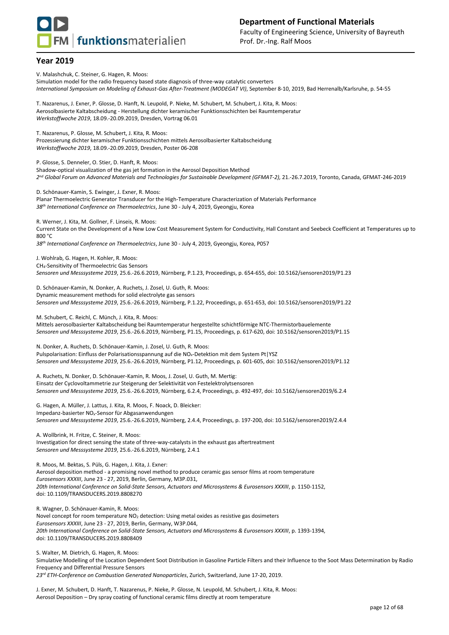

V. Malashchuk, C. Steiner, G. Hagen, R. Moos:

Simulation model for the radio frequency based state diagnosis of three-way catalytic converters *International Symposium on Modeling of Exhaust-Gas After-Treatment (MODEGAT VI)*, September 8-10, 2019, Bad Herrenalb/Karlsruhe, p. 54-55

T. Nazarenus, J. Exner, P. Glosse, D. Hanft, N. Leupold, P. Nieke, M. Schubert, M. Schubert, J. Kita, R. Moos: Aerosolbasierte Kaltabscheidung - Herstellung dichter keramischer Funktionsschichten bei Raumtemperatur *Werkstoffwoche 2019*, 18.09.-20.09.2019, Dresden, Vortrag 06.01

T. Nazarenus, P. Glosse, M. Schubert, J. Kita, R. Moos: Prozessierung dichter keramischer Funktionsschichten mittels Aerosolbasierter Kaltabscheidung *Werkstoffwoche 2019*, 18.09.-20.09.2019, Dresden, Poster 06-208

P. Glosse, S. Denneler, O. Stier, D. Hanft, R. Moos:

Shadow-optical visualization of the gas jet formation in the Aerosol Deposition Method *2 nd Global Forum on Advanced Materials and Technologies for Sustainable Development (GFMAT-2),* 21.-26.7.2019, Toronto, Canada, GFMAT-246-2019

D. Schönauer-Kamin, S. Ewinger, J. Exner, R. Moos: Planar Thermoelectric Generator Transducer for the High-Temperature Characterization of Materials Performance *38th International Conference on Thermoelectrics*, June 30 - July 4, 2019, Gyeongju, Korea

R. Werner, J. Kita, M. Gollner, F. Linseis, R. Moos:

Current State on the Development of a New Low Cost Measurement System for Conductivity, Hall Constant and Seebeck Coefficient at Temperatures up to 800 °C

*38th International Conference on Thermoelectrics*, June 30 - July 4, 2019, Gyeongju, Korea, P057

J. Wohlrab, G. Hagen, H. Kohler, R. Moos: CH4-Sensitivity of Thermoelectric Gas Sensors

*Sensoren und Messsysteme 2019*, 25.6.-26.6.2019, Nürnberg, P.1.23, Proceedings, p. 654-655, doi: 10.5162/sensoren2019/P1.23

D. Schönauer-Kamin, N. Donker, A. Ruchets, J. Zosel, U. Guth, R. Moos: Dynamic measurement methods for solid electrolyte gas sensors *Sensoren und Messsysteme 2019*, 25.6.-26.6.2019, Nürnberg, P.1.22, Proceedings, p. 651-653, doi: 10.5162/sensoren2019/P1.22

M. Schubert, C. Reichl, C. Münch, J. Kita, R. Moos: Mittels aerosolbasierter Kaltabscheidung bei Raumtemperatur hergestellte schichtförmige NTC-Thermistorbauelemente *Sensoren und Messsysteme 2019*, 25.6.-26.6.2019, Nürnberg, P1.15, Proceedings, p. 617-620, doi: 10.5162/sensoren2019/P1.15

N. Donker, A. Ruchets, D. Schönauer-Kamin, J. Zosel, U. Guth, R. Moos: Pulspolarisation: Einfluss der Polarisationsspannung auf die NO<sub>x</sub>-Detektion mit dem System Pt|YSZ *Sensoren und Messsysteme 2019*, 25.6.-26.6.2019, Nürnberg, P1.12, Proceedings, p. 601-605, doi: 10.5162/sensoren2019/P1.12

A. Ruchets, N. Donker, D. Schönauer-Kamin, R. Moos, J. Zosel, U. Guth, M. Mertig: Einsatz der Cyclovoltammetrie zur Steigerung der Selektivität von Festelektrolytsensoren *Sensoren und Messsysteme 2019*, 25.6.-26.6.2019, Nürnberg, 6.2.4, Proceedings, p. 492-497, doi: 10.5162/sensoren2019/6.2.4

G. Hagen, A. Müller, J. Lattus, J. Kita, R. Moos, F. Noack, D. Bleicker: Impedanz-basierter NOx-Sensor für Abgasanwendungen *Sensoren und Messsysteme 2019*, 25.6.-26.6.2019, Nürnberg, 2.4.4, Proceedings, p. 197-200, doi: 10.5162/sensoren2019/2.4.4

A. Wollbrink, H. Fritze, C. Steiner, R. Moos: Investigation for direct sensing the state of three-way-catalysts in the exhaust gas aftertreatment *Sensoren und Messsysteme 2019*, 25.6.-26.6.2019, Nürnberg, 2.4.1

R. Moos, M. Bektas, S. Püls, G. Hagen, J. Kita, J. Exner: Aerosol deposition method - a promising novel method to produce ceramic gas sensor films at room temperature *Eurosensors XXXIII*, June 23 - 27, 2019, Berlin, Germany, M3P.031, *20th International Conference on Solid-State Sensors, Actuators and Microsystems & Eurosensors XXXIII*, p. 1150-1152, doi: 10.1109/TRANSDUCERS.2019.8808270

R. Wagner, D. Schönauer-Kamin, R. Moos: Novel concept for room temperature NO<sub>2</sub> detection: Using metal oxides as resistive gas dosimeters *Eurosensors XXXIII*, June 23 - 27, 2019, Berlin, Germany, W3P.044, *20th International Conference on Solid-State Sensors, Actuators and Microsystems & Eurosensors XXXIII*, p. 1393-1394, doi: 10.1109/TRANSDUCERS.2019.8808409

S. Walter, M. Dietrich, G. Hagen, R. Moos: Simulative Modelling of the Location Dependent Soot Distribution in Gasoline Particle Filters and their Influence to the Soot Mass Determination by Radio Frequency and Differential Pressure Sensors *23rd ETH-Conference on Combustion Generated Nanoparticles*, Zurich, Switzerland, June 17-20, 2019.

J. Exner, M. Schubert, D. Hanft, T. Nazarenus, P. Nieke, P. Glosse, N. Leupold, M. Schubert, J. Kita, R. Moos: Aerosol Deposition – Dry spray coating of functional ceramic films directly at room temperature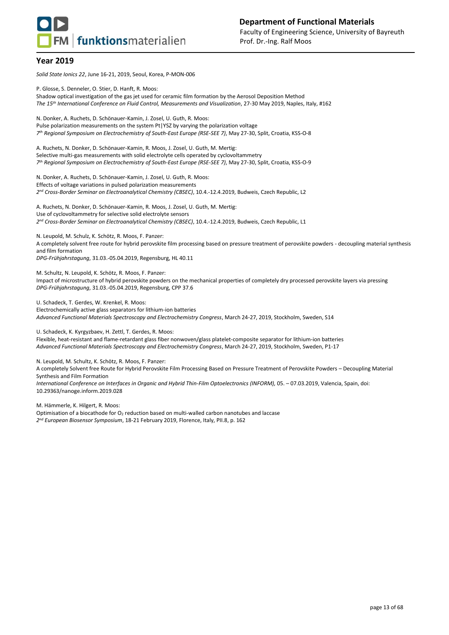

*Solid State Ionics 22*, June 16-21, 2019, Seoul, Korea, P-MON-006

P. Glosse, S. Denneler, O. Stier, D. Hanft, R. Moos:

Shadow optical investigation of the gas jet used for ceramic film formation by the Aerosol Deposition Method *The 15th International Conference on Fluid Control, Measurements and Visualization*, 27-30 May 2019, Naples, Italy, #162

N. Donker, A. Ruchets, D. Schönauer-Kamin, J. Zosel, U. Guth, R. Moos: Pulse polarization measurements on the system Pt|YSZ by varying the polarization voltage *7 th Regional Symposium on Electrochemistry of South-East Europe (RSE-SEE 7)*, May 27-30, Split, Croatia, KSS-O-8

A. Ruchets, N. Donker, D. Schönauer-Kamin, R. Moos, J. Zosel, U. Guth, M. Mertig: Selective multi-gas measurements with solid electrolyte cells operated by cyclovoltammetry *7 th Regional Symposium on Electrochemistry of South-East Europe (RSE-SEE 7)*, May 27-30, Split, Croatia, KSS-O-9

N. Donker, A. Ruchets, D. Schönauer-Kamin, J. Zosel, U. Guth, R. Moos: Effects of voltage variations in pulsed polarization measurements *2 nd Cross-Border Seminar on Electroanalytical Chemistry (CBSEC)*, 10.4.-12.4.2019, Budweis, Czech Republic, L2

A. Ruchets, N. Donker, D. Schönauer-Kamin, R. Moos, J. Zosel, U. Guth, M. Mertig: Use of cyclovoltammetry for selective solid electrolyte sensors *2 nd Cross-Border Seminar on Electroanalytical Chemistry (CBSEC)*, 10.4.-12.4.2019, Budweis, Czech Republic, L1

N. Leupold, M. Schulz, K. Schötz, R. Moos, F. Panzer: A completely solvent free route for hybrid perovskite film processing based on pressure treatment of perovskite powders - decoupling material synthesis and film formation

*DPG-Frühjahrstagung*, 31.03.-05.04.2019, Regensburg, HL 40.11

M. Schultz, N. Leupold, K. Schötz, R. Moos, F. Panzer: Impact of microstructure of hybrid perovskite powders on the mechanical properties of completely dry processed perovskite layers via pressing *DPG-Frühjahrstagung*, 31.03.-05.04.2019, Regensburg, CPP 37.6

U. Schadeck, T. Gerdes, W. Krenkel, R. Moos: Electrochemically active glass separators for lithium-ion batteries *Advanced Functional Materials Spectroscopy and Electrochemistry Congress*, March 24-27, 2019, Stockholm, Sweden, S14

U. Schadeck, K. Kyrgyzbaev, H. Zettl, T. Gerdes, R. Moos:

Flexible, heat-resistant and flame-retardant glass fiber nonwoven/glass platelet-composite separator for lithium-ion batteries *Advanced Functional Materials Spectroscopy and Electrochemistry Congress*, March 24-27, 2019, Stockholm, Sweden, P1-17

N. Leupold, M. Schultz, K. Schötz, R. Moos, F. Panzer:

A completely Solvent free Route for Hybrid Perovskite Film Processing Based on Pressure Treatment of Perovskite Powders – Decoupling Material Synthesis and Film Formation

*International Conference on Interfaces in Organic and Hybrid Thin-Film Optoelectronics (INFORM),* 05. – 07.03.2019, Valencia, Spain, doi: 10.29363/nanoge.inform.2019.028

M. Hämmerle, K. Hilgert, R. Moos:

Optimisation of a biocathode for  $O_2$  reduction based on multi-walled carbon nanotubes and laccase *2 nd European Biosensor Symposium*, 18-21 February 2019, Florence, Italy, PII.8, p. 162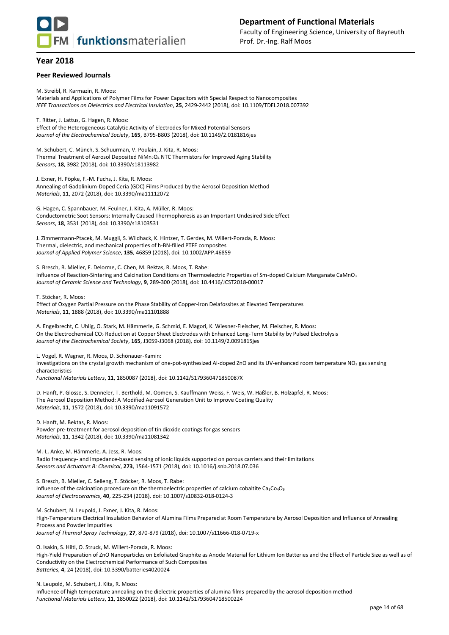

#### **Peer Reviewed Journals**

M. Streibl, R. Karmazin, R. Moos: Materials and Applications of Polymer Films for Power Capacitors with Special Respect to Nanocomposites *IEEE Transactions on Dielectrics and Electrical Insulation*, **25**, 2429-2442 (2018), doi: 10.1109/TDEI.2018.007392

T. Ritter, J. Lattus, G. Hagen, R. Moos: Effect of the Heterogeneous Catalytic Activity of Electrodes for Mixed Potential Sensors *Journal of the Electrochemical Society*, **165**, B795-B803 (2018), doi: 10.1149/2.0181816jes

M. Schubert, C. Münch, S. Schuurman, V. Poulain, J. Kita, R. Moos: Thermal Treatment of Aerosol Deposited NiMn<sub>2</sub>O<sub>4</sub> NTC Thermistors for Improved Aging Stability *Sensors*, **18**, 3982 (2018), doi: 10.3390/s18113982

J. Exner, H. Pöpke, F.-M. Fuchs, J. Kita, R. Moos: Annealing of Gadolinium-Doped Ceria (GDC) Films Produced by the Aerosol Deposition Method *Materials*, **11**, 2072 (2018), doi: 10.3390/ma11112072

G. Hagen, C. Spannbauer, M. Feulner, J. Kita, A. Müller, R. Moos: Conductometric Soot Sensors: Internally Caused Thermophoresis as an Important Undesired Side Effect *Sensors*, **18**, 3531 (2018), doi: 10.3390/s18103531

J. Zimmermann-Ptacek, M. Muggli, S. Wildhack, K. Hintzer, T. Gerdes, M. Willert-Porada, R. Moos: Thermal, dielectric, and mechanical properties of h‐BN‐filled PTFE composites *Journal of Applied Polymer Science*, **135**, 46859 (2018), doi: 10.1002/APP.46859

S. Bresch, B. Mieller, F. Delorme, C. Chen, M. Bektas, R. Moos, T. Rabe: Influence of Reaction-Sintering and Calcination Conditions on Thermoelectric Properties of Sm-doped Calcium Manganate CaMnO<sup>3</sup> *Journal of Ceramic Science and Technology*, **9**, 289-300 (2018), doi: 10.4416/JCST2018-00017

T. Stöcker, R. Moos:

Effect of Oxygen Partial Pressure on the Phase Stability of Copper-Iron Delafossites at Elevated Temperatures *Materials*, **11**, 1888 (2018), doi: 10.3390/ma11101888

A. Engelbrecht, C. Uhlig, O. Stark, M. Hämmerle, G. Schmid, E. Magori, K. Wiesner-Fleischer, M. Fleischer, R. Moos: On the Electrochemical CO<sup>2</sup> Reduction at Copper Sheet Electrodes with Enhanced Long-Term Stability by Pulsed Electrolysis *Journal of the Electrochemical Society*, **165**, J3059-J3068 (2018), doi: 10.1149/2.0091815jes

L. Vogel, R. Wagner, R. Moos, D. Schönauer-Kamin:

Investigations on the crystal growth mechanism of one-pot-synthesized Al-doped ZnO and its UV-enhanced room temperature NO<sup>2</sup> gas sensing characteristics *Functional Materials Letters*, **11**, 1850087 (2018), doi: 10.1142/S179360471850087X

D. Hanft, P. Glosse, S. Denneler, T. Berthold, M. Oomen, S. Kauffmann-Weiss, F. Weis, W. Häßler, B. Holzapfel, R. Moos: The Aerosol Deposition Method: A Modified Aerosol Generation Unit to Improve Coating Quality *Materials*, **11**, 1572 (2018), doi: 10.3390/ma11091572

D. Hanft, M. Bektas, R. Moos: Powder pre-treatment for aerosol deposition of tin dioxide coatings for gas sensors *Materials*, **11**, 1342 (2018), doi: 10.3390/ma11081342

M.-L. Anke, M. Hämmerle, A. Jess, R. Moos:

Radio frequency- and impedance-based sensing of ionic liquids supported on porous carriers and their limitations *Sensors and Actuators B: Chemical*, **273**, 1564-1571 (2018), doi: 10.1016/j.snb.2018.07.036

S. Bresch, B. Mieller, C. Selleng, T. Stöcker, R. Moos, T. Rabe: Influence of the calcination procedure on the thermoelectric properties of calcium cobaltite Ca3Co4O<sup>9</sup> *Journal of Electroceramics*, **40**, 225-234 (2018), doi: 10.1007/s10832-018-0124-3

M. Schubert, N. Leupold, J. Exner, J. Kita, R. Moos:

High-Temperature Electrical Insulation Behavior of Alumina Films Prepared at Room Temperature by Aerosol Deposition and Influence of Annealing Process and Powder Impurities *Journal of Thermal Spray Technology*, **27**, 870-879 (2018), doi: 10.1007/s11666-018-0719-x

O. Isakin, S. Hiltl, O. Struck, M. Willert-Porada, R. Moos:

High-Yield Preparation of ZnO Nanoparticles on Exfoliated Graphite as Anode Material for Lithium Ion Batteries and the Effect of Particle Size as well as of Conductivity on the Electrochemical Performance of Such Composites *Batteries*, **4**, 24 (2018), doi: 10.3390/batteries4020024

N. Leupold, M. Schubert, J. Kita, R. Moos:

Influence of high temperature annealing on the dielectric properties of alumina films prepared by the aerosol deposition method *Functional Materials Letters*, **11**, 1850022 (2018), doi: 10.1142/S1793604718500224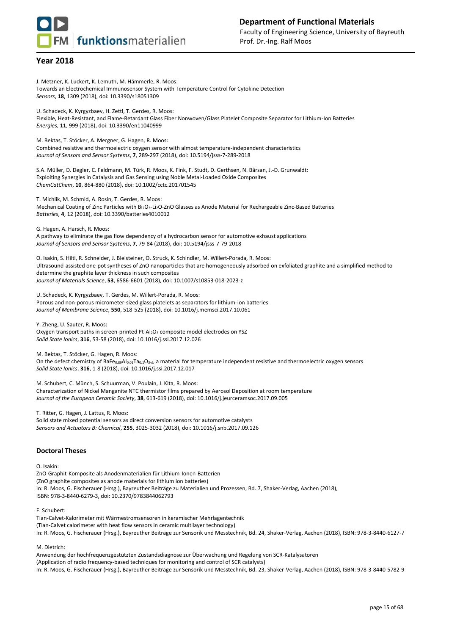**FM** funktionsmaterialien

## **Year 2018**

J. Metzner, K. Luckert, K. Lemuth, M. Hämmerle, R. Moos: Towards an Electrochemical Immunosensor System with Temperature Control for Cytokine Detection *Sensors*, **18**, 1309 (2018), doi: 10.3390/s18051309

U. Schadeck, K. Kyrgyzbaev, H. Zettl, T. Gerdes, R. Moos: Flexible, Heat-Resistant, and Flame-Retardant Glass Fiber Nonwoven/Glass Platelet Composite Separator for Lithium-Ion Batteries *Energies*, **11**, 999 (2018), doi: 10.3390/en11040999

M. Bektas, T. Stöcker, A. Mergner, G. Hagen, R. Moos: Combined resistive and thermoelectric oxygen sensor with almost temperature-independent characteristics *Journal of Sensors and Sensor Systems*, **7**, 289-297 (2018), doi: 10.5194/jsss-7-289-2018

S.A. Müller, D. Degler, C. Feldmann, M. Türk, R. Moos, K. Fink, F. Studt, D. Gerthsen, N. Bârsan, J.-D. Grunwaldt: Exploiting Synergies in Catalysis and Gas Sensing using Noble Metal-Loaded Oxide Composites *ChemCatChem*, **10**, 864-880 (2018), doi: 10.1002/cctc.201701545

T. Michlik, M. Schmid, A. Rosin, T. Gerdes, R. Moos: Mechanical Coating of Zinc Particles with Bi2O3-Li2O-ZnO Glasses as Anode Material for Rechargeable Zinc-Based Batteries *Batteries*, **4**, 12 (2018), doi: 10.3390/batteries4010012

G. Hagen, A. Harsch, R. Moos: A pathway to eliminate the gas flow dependency of a hydrocarbon sensor for automotive exhaust applications *Journal of Sensors and Sensor Systems*, **7**, 79-84 (2018), doi: 10.5194/jsss-7-79-2018

O. Isakin, S. Hiltl, R. Schneider, J. Bleisteiner, O. Struck, K. Schindler, M. Willert-Porada, R. Moos: Ultrasound-assisted one-pot syntheses of ZnO nanoparticles that are homogeneously adsorbed on exfoliated graphite and a simplified method to determine the graphite layer thickness in such composites *Journal of Materials Science*, **53**, 6586-6601 (2018), doi: 10.1007/s10853-018-2023-z

U. Schadeck, K. Kyrgyzbaev, T. Gerdes, M. Willert-Porada, R. Moos: Porous and non-porous micrometer-sized glass platelets as separators for lithium-ion batteries *Journal of Membrane Science*, **550**, 518-525 (2018), doi: 10.1016/j.memsci.2017.10.061

Y. Zheng, U. Sauter, R. Moos: Oxygen transport paths in screen-printed Pt-Al<sub>2</sub>O<sub>3</sub> composite model electrodes on YSZ *Solid State Ionics*, **316**, 53-58 (2018), doi: 10.1016/j.ssi.2017.12.026

M. Bektas, T. Stöcker, G. Hagen, R. Moos:

On the defect chemistry of BaFe0.89Al0.01Ta0.1O3-*δ*, a material for temperature independent resistive and thermoelectric oxygen sensors *Solid State Ionics*, **316**, 1-8 (2018), doi: 10.1016/j.ssi.2017.12.017

M. Schubert, C. Münch, S. Schuurman, V. Poulain, J. Kita, R. Moos: Characterization of Nickel Manganite NTC thermistor films prepared by Aerosol Deposition at room temperature *Journal of the European Ceramic Society*, **38**, 613-619 (2018), doi: 10.1016/j.jeurceramsoc.2017.09.005

T. Ritter, G. Hagen, J. Lattus, R. Moos: Solid state mixed potential sensors as direct conversion sensors for automotive catalysts *Sensors and Actuators B: Chemical*, **255**, 3025-3032 (2018), doi: 10.1016/j.snb.2017.09.126

#### **Doctoral Theses**

O. Isakin:

ZnO-Graphit-Komposite als Anodenmaterialien für Lithium-Ionen-Batterien (ZnO graphite composites as anode materials for lithium ion batteries) In: R. Moos, G. Fischerauer (Hrsg.), Bayreuther Beiträge zu Materialien und Prozessen, Bd. 7, Shaker-Verlag, Aachen (2018), ISBN: 978-3-8440-6279-3, doi: 10.2370/9783844062793

F. Schubert:

Tian-Calvet-Kalorimeter mit Wärmestromsensoren in keramischer Mehrlagentechnik (Tian-Calvet calorimeter with heat flow sensors in ceramic multilayer technology) In: R. Moos, G. Fischerauer (Hrsg.), Bayreuther Beiträge zur Sensorik und Messtechnik, Bd. 24, Shaker-Verlag, Aachen (2018), ISBN: 978-3-8440-6127-7

M. Dietrich:

Anwendung der hochfrequenzgestützten Zustandsdiagnose zur Überwachung und Regelung von SCR-Katalysatoren (Application of radio frequency-based techniques for monitoring and control of SCR catalysts) In: R. Moos, G. Fischerauer (Hrsg.), Bayreuther Beiträge zur Sensorik und Messtechnik, Bd. 23, Shaker-Verlag, Aachen (2018), ISBN: 978-3-8440-5782-9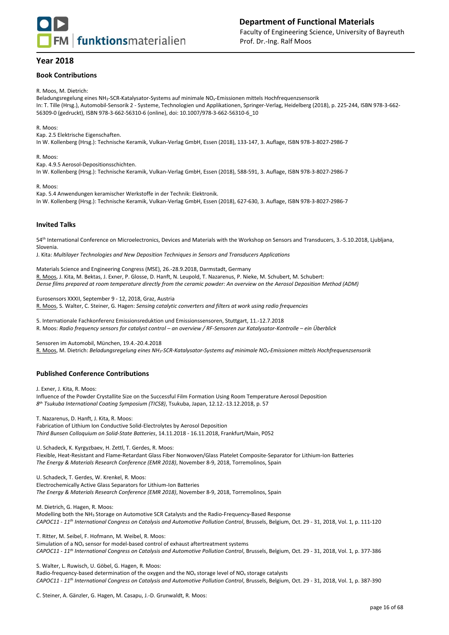

## **Book Contributions**

R. Moos, M. Dietrich:

Beladungsregelung eines NH3-SCR-Katalysator-Systems auf minimale NOx-Emissionen mittels Hochfrequenzsensorik In: T. Tille (Hrsg.), Automobil-Sensorik 2 - Systeme, Technologien und Applikationen, Springer-Verlag, Heidelberg (2018), p. 225-244, ISBN 978-3-662- 56309-0 (gedruckt), ISBN 978-3-662-56310-6 (online), doi: 10.1007/978-3-662-56310-6\_10

R. Moos:

Kap. 2.5 Elektrische Eigenschaften. In W. Kollenberg (Hrsg.): Technische Keramik, Vulkan-Verlag GmbH, Essen (2018), 133-147, 3. Auflage, ISBN 978-3-8027-2986-7

R. Moos: Kap. 4.9.5 Aerosol-Depositionsschichten. In W. Kollenberg (Hrsg.): Technische Keramik, Vulkan-Verlag GmbH, Essen (2018), 588-591, 3. Auflage, ISBN 978-3-8027-2986-7

R. Moos:

Kap. 5.4 Anwendungen keramischer Werkstoffe in der Technik: Elektronik. In W. Kollenberg (Hrsg.): Technische Keramik, Vulkan-Verlag GmbH, Essen (2018), 627-630, 3. Auflage, ISBN 978-3-8027-2986-7

#### **Invited Talks**

54th International Conference on Microelectronics, Devices and Materials with the Workshop on Sensors and Transducers, 3.-5.10.2018, Ljubljana, Slovenia.

J. Kita: *Multilayer Technologies and New Deposition Techniques in Sensors and Transducers Applications*

Materials Science and Engineering Congress (MSE), 26.-28.9.2018, Darmstadt, Germany R. Moos, J. Kita, M. Bektas, J. Exner, P. Glosse, D. Hanft, N. Leupold, T. Nazarenus, P. Nieke, M. Schubert, M. Schubert: *Dense films prepared at room temperature directly from the ceramic powder: An overview on the Aerosol Deposition Method (ADM)*

Eurosensors XXXII, September 9 - 12, 2018, Graz, Austria R. Moos, S. Walter, C. Steiner, G. Hagen: *Sensing catalytic converters and filters at work using radio frequencies*

5. Internationale Fachkonferenz Emissionsreduktion und Emissionssensoren, Stuttgart, 11.-12.7.2018 R. Moos: *Radio frequency sensors for catalyst control – an overview / RF-Sensoren zur Katalysator-Kontrolle – ein Überblick*

Sensoren im Automobil, München, 19.4.-20.4.2018

R. Moos, M. Dietrich: *Beladungsregelung eines NH3-SCR-Katalysator-Systems auf minimale NOx-Emissionen mittels Hochfrequenzsensorik*

## **Published Conference Contributions**

J. Exner, J. Kita, R. Moos: Influence of the Powder Crystallite Size on the Successful Film Formation Using Room Temperature Aerosol Deposition *8 th Tsukuba International Coating Symposium (TICS8)*, Tsukuba, Japan, 12.12.-13.12.2018, p. 57

T. Nazarenus, D. Hanft, J. Kita, R. Moos:

Fabrication of Lithium Ion Conductive Solid-Electrolytes by Aerosol Deposition *Third Bunsen Colloquium on Solid-State Batteries*, 14.11.2018 - 16.11.2018, Frankfurt/Main, P052

U. Schadeck, K. Kyrgyzbaev, H. Zettl, T. Gerdes, R. Moos: Flexible, Heat-Resistant and Flame-Retardant Glass Fiber Nonwoven/Glass Platelet Composite-Separator for Lithium-Ion Batteries *The Energy & Materials Research Conference (EMR 2018)*, November 8-9, 2018, Torremolinos, Spain

U. Schadeck, T. Gerdes, W. Krenkel, R. Moos: Electrochemically Active Glass Separators for Lithium-Ion Batteries *The Energy & Materials Research Conference (EMR 2018)*, November 8-9, 2018, Torremolinos, Spain

M. Dietrich, G. Hagen, R. Moos:

Modelling both the NH<sup>3</sup> Storage on Automotive SCR Catalysts and the Radio-Frequency-Based Response *CAPOC11 - 11th International Congress on Catalysis and Automotive Pollution Control*, Brussels, Belgium, Oct. 29 - 31, 2018, Vol. 1, p. 111-120

T. Ritter, M. Seibel, F. Hofmann, M. Weibel, R. Moos:

Simulation of a  $NO<sub>x</sub>$  sensor for model-based control of exhaust aftertreatment systems *CAPOC11 - 11th International Congress on Catalysis and Automotive Pollution Control*, Brussels, Belgium, Oct. 29 - 31, 2018, Vol. 1, p. 377-386

S. Walter, L. Ruwisch, U. Göbel, G. Hagen, R. Moos:

Radio-frequency-based determination of the oxygen and the NO<sub>x</sub> storage level of NO<sub>x</sub> storage catalysts *CAPOC11 - 11th International Congress on Catalysis and Automotive Pollution Control*, Brussels, Belgium, Oct. 29 - 31, 2018, Vol. 1, p. 387-390

C. Steiner, A. Gänzler, G. Hagen, M. Casapu, J.-D. Grunwaldt, R. Moos: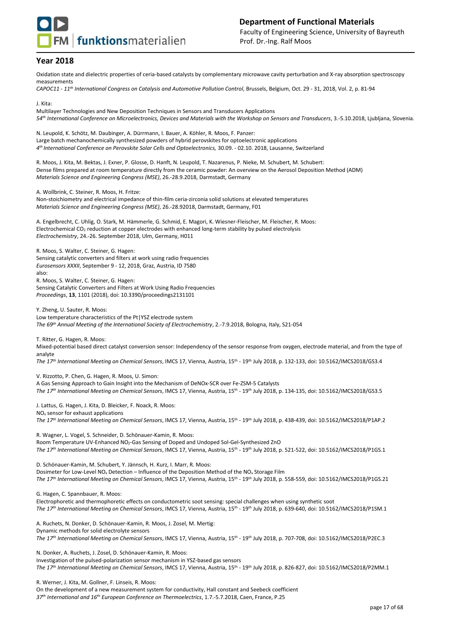

Oxidation state and dielectric properties of ceria-based catalysts by complementary microwave cavity perturbation and X-ray absorption spectroscopy measurements

*CAPOC11 - 11th International Congress on Catalysis and Automotive Pollution Control*, Brussels, Belgium, Oct. 29 - 31, 2018, Vol. 2, p. 81-94

J. Kita: Multilayer Technologies and New Deposition Techniques in Sensors and Transducers Applications *54th International Conference on Microelectronics, Devices and Materials with the Workshop on Sensors and Transducers*, 3.-5.10.2018, Ljubljana, Slovenia.

N. Leupold, K. Schötz, M. Daubinger, A. Dürrmann, I. Bauer, A. Köhler, R. Moos, F. Panzer: Large batch mechanochemically synthesized powders of hybrid perovskites for optoelectronic applications *4 th International Conference on Perovskite Solar Cells and Optoelectronics,* 30.09. - 02.10. 2018, Lausanne, Switzerland

R. Moos, J. Kita, M. Bektas, J. Exner, P. Glosse, D. Hanft, N. Leupold, T. Nazarenus, P. Nieke, M. Schubert, M. Schubert: Dense films prepared at room temperature directly from the ceramic powder: An overview on the Aerosol Deposition Method (ADM) *Materials Science and Engineering Congress (MSE)*, 26.-28.9.2018, Darmstadt, Germany

A. Wollbrink, C. Steiner, R. Moos, H. Fritze:

Non-stoichiometry and electrical impedance of thin-film ceria-zirconia solid solutions at elevated temperatures *Materials Science and Engineering Congress (MSE)*, 26.-28.92018, Darmstadt, Germany, F01

A. Engelbrecht, C. Uhlig, O. Stark, M. Hämmerle, G. Schmid, E. Magori, K. Wiesner-Fleischer, M. Fleischer, R. Moos: Electrochemical CO<sub>2</sub> reduction at copper electrodes with enhanced long-term stability by pulsed electrolysis *Electrochemistry*, 24.-26. September 2018, Ulm, Germany, H011

R. Moos, S. Walter, C. Steiner, G. Hagen: Sensing catalytic converters and filters at work using radio frequencies *Eurosensors XXXII*, September 9 - 12, 2018, Graz, Austria, ID 7580 also: R. Moos, S. Walter, C. Steiner, G. Hagen: Sensing Catalytic Converters and Filters at Work Using Radio Frequencies *Proceedings*, **13**, 1101 (2018), doi: 10.3390/proceedings2131101

Y. Zheng, U. Sauter, R. Moos: Low temperature characteristics of the Pt|YSZ electrode system *The 69th Annual Meeting of the International Society of Electrochemistry*, 2.-7.9.2018, Bologna, Italy, S21-054

T. Ritter, G. Hagen, R. Moos:

Mixed-potential based direct catalyst conversion sensor: Independency of the sensor response from oxygen, electrode material, and from the type of analyte

The 17<sup>th</sup> International Meeting on Chemical Sensors, IMCS 17, Vienna, Austria, 15<sup>th</sup> - 19<sup>th</sup> July 2018, p. 132-133, doi: 10.5162/IMCS2018/GS3.4

V. Rizzotto, P. Chen, G. Hagen, R. Moos, U. Simon:

A Gas Sensing Approach to Gain Insight into the Mechanism of DeNOx-SCR over Fe-ZSM-5 Catalysts The 17<sup>th</sup> International Meeting on Chemical Sensors, IMCS 17, Vienna, Austria, 15<sup>th</sup> - 19<sup>th</sup> July 2018, p. 134-135, doi: 10.5162/IMCS2018/GS3.5

J. Lattus, G. Hagen, J. Kita, D. Bleicker, F. Noack, R. Moos: NO<sub>x</sub> sensor for exhaust applications *The 17 th International Meeting on Chemical Sensors*, IMCS 17, Vienna, Austria, 15 th - 19 th July 2018, p. 438-439, doi: 10.5162/IMCS2018/P1AP.2

R. Wagner, L. Vogel, S. Schneider, D. Schönauer-Kamin, R. Moos: Room Temperature UV-Enhanced NO2-Gas Sensing of Doped and Undoped Sol-Gel-Synthesized ZnO *The 17 th International Meeting on Chemical Sensors*, IMCS 17, Vienna, Austria, 15 th - 19 th July 2018, p. 521-522, doi: 10.5162/IMCS2018/P1GS.1

D. Schönauer-Kamin, M. Schubert, Y. Jännsch, H. Kurz, I. Marr, R. Moos: Dosimeter for Low-Level NO<sup>x</sup> Detection – Influence of the Deposition Method of the NO<sup>x</sup> Storage Film The 17<sup>th</sup> International Meeting on Chemical Sensors, IMCS 17, Vienna, Austria, 15<sup>th</sup> - 19<sup>th</sup> July 2018, p. 558-559, doi: 10.5162/IMCS2018/P1GS.21

G. Hagen, C. Spannbauer, R. Moos:

Electrophoretic and thermophoretic effects on conductometric soot sensing: special challenges when using synthetic soot The 17<sup>th</sup> International Meeting on Chemical Sensors, IMCS 17, Vienna, Austria, 15<sup>th</sup> - 19<sup>th</sup> July 2018, p. 639-640, doi: 10.5162/IMCS2018/P1SM.1

A. Ruchets, N. Donker, D. Schönauer-Kamin, R. Moos, J. Zosel, M. Mertig: Dynamic methods for solid electrolyte sensors The 17<sup>th</sup> International Meeting on Chemical Sensors, IMCS 17, Vienna, Austria, 15<sup>th</sup> - 19<sup>th</sup> July 2018, p. 707-708, doi: 10.5162/IMCS2018/P2EC.3

N. Donker, A. Ruchets, J. Zosel, D. Schönauer-Kamin, R. Moos: Investigation of the pulsed-polarization sensor mechanism in YSZ-based gas sensors The 17<sup>th</sup> International Meeting on Chemical Sensors, IMCS 17, Vienna, Austria, 15<sup>th</sup> - 19<sup>th</sup> July 2018, p. 826-827, doi: 10.5162/IMCS2018/P2MM.1

R. Werner, J. Kita, M. Gollner, F. Linseis, R. Moos: On the development of a new measurement system for conductivity, Hall constant and Seebeck coefficient *37th International and 16th European Conference on Thermoelectrics*, 1.7.-5.7.2018, Caen, France, P.25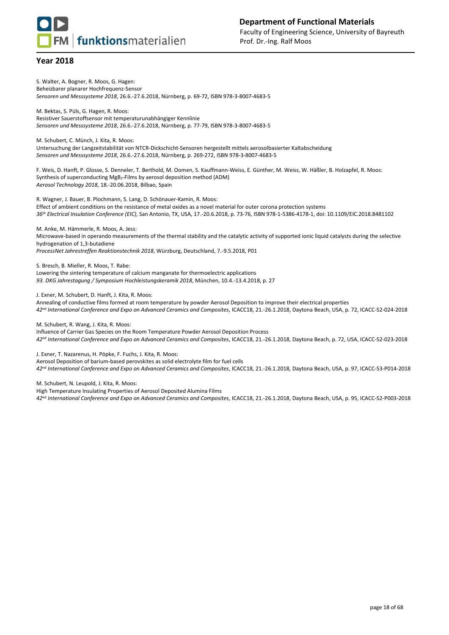S. Walter, A. Bogner, R. Moos, G. Hagen: Beheizbarer planarer Hochfrequenz-Sensor *Sensoren und Messsysteme 2018*, 26.6.-27.6.2018, Nürnberg, p. 69-72, ISBN 978-3-8007-4683-5

M. Bektas, S. Püls, G. Hagen, R. Moos: Resistiver Sauerstoffsensor mit temperaturunabhängiger Kennlinie *Sensoren und Messsysteme 2018*, 26.6.-27.6.2018, Nürnberg, p. 77-79, ISBN 978-3-8007-4683-5

M. Schubert, C. Münch, J. Kita, R. Moos:

Untersuchung der Langzeitstabilität von NTCR-Dickschicht-Sensoren hergestellt mittels aerosolbasierter Kaltabscheidung *Sensoren und Messsysteme 2018*, 26.6.-27.6.2018, Nürnberg, p. 269-272, ISBN 978-3-8007-4683-5

F. Weis, D. Hanft, P. Glosse, S. Denneler, T. Berthold, M. Oomen, S. Kauffmann-Weiss, E. Günther, M. Weiss, W. Häßler, B. Holzapfel, R. Moos: Synthesis of superconducting MgB2-Films by aerosol deposition method (ADM) *Aerosol Technology 2018*, 18.-20.06.2018, Bilbao, Spain

R. Wagner, J. Bauer, B. Plochmann, S. Lang, D. Schönauer-Kamin, R. Moos: Effect of ambient conditions on the resistance of metal oxides as a novel material for outer corona protection systems *36th Electrical Insulation Conference (EIC)*, San Antonio, TX, USA, 17.-20.6.2018, p. 73-76, ISBN 978-1-5386-4178-1, doi: 10.1109/EIC.2018.8481102

M. Anke, M. Hämmerle, R. Moos, A. Jess: Microwave-based in operando measurements of the thermal stability and the catalytic activity of supported ionic liquid catalysts during the selective hydrogenation of 1,3-butadiene *ProcessNet Jahrestreffen Reaktionstechnik 2018*, Würzburg, Deutschland, 7.-9.5.2018, P01

S. Bresch, B. Mieller, R. Moos, T. Rabe: Lowering the sintering temperature of calcium manganate for thermoelectric applications *93. DKG Jahrestagung / Symposium Hochleistungskeramik 2018*, München, 10.4.-13.4.2018, p. 27

J. Exner, M. Schubert, D. Hanft, J. Kita, R. Moos:

Annealing of conductive films formed at room temperature by powder Aerosol Deposition to improve their electrical properties *42nd International Conference and Expo on Advanced Ceramics and Composites*, ICACC18, 21.-26.1.2018, Daytona Beach, USA, p. 72, ICACC-S2-024-2018

M. Schubert, R. Wang, J. Kita, R. Moos:

Influence of Carrier Gas Species on the Room Temperature Powder Aerosol Deposition Process *42nd International Conference and Expo on Advanced Ceramics and Composites*, ICACC18, 21.-26.1.2018, Daytona Beach, p. 72, USA, ICACC-S2-023-2018

J. Exner, T. Nazarenus, H. Pöpke, F. Fuchs, J. Kita, R. Moos:

Aerosol Deposition of barium-based perovskites as solid electrolyte film for fuel cells

*42nd International Conference and Expo on Advanced Ceramics and Composites*, ICACC18, 21.-26.1.2018, Daytona Beach, USA, p. 97, ICACC-S3-P014-2018

M. Schubert, N. Leupold, J. Kita, R. Moos:

High Temperature Insulating Properties of Aerosol Deposited Alumina Films

*42nd International Conference and Expo on Advanced Ceramics and Composites*, ICACC18, 21.-26.1.2018, Daytona Beach, USA, p. 95, ICACC-S2-P003-2018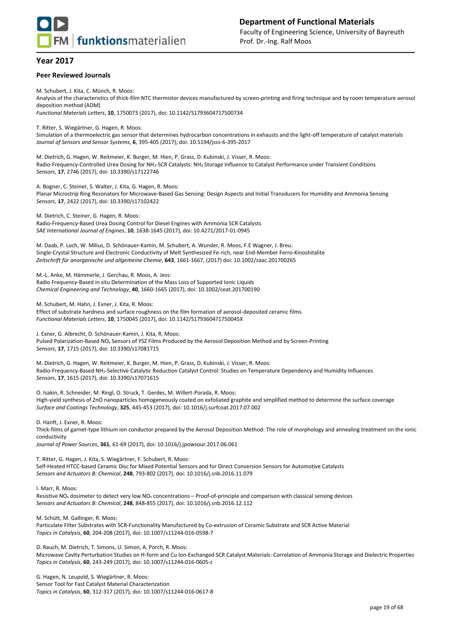

#### **Peer Reviewed Journals**

M. Schubert, J. Kita, C. Münch, R. Moos: Analysis of the characteristics of thick-film NTC thermistor devices manufactured by screen-printing and firing technique and by room temperature aerosol deposition method (ADM) *Functional Materials Letters*, **10**, 1750073 (2017), doi: 10.1142/S1793604717500734

T. Ritter, S. Wiegärtner, G. Hagen, R. Moos:

Simulation of a thermoelectric gas sensor that determines hydrocarbon concentrations in exhausts and the light-off temperature of catalyst materials *Journal of Sensors and Sensor Systems*, **6**, 395-405 (2017), doi: 10.5194/jsss-6-395-2017

M. Dietrich, G. Hagen, W. Reitmeier, K. Burger, M. Hien, P. Grass, D. Kubinski, J. Visser, R. Moos: Radio-Frequency-Controlled Urea Dosing for NH3-SCR Catalysts: NH<sup>3</sup> Storage Influence to Catalyst Performance under Transient Conditions *Sensors*, **17**, 2746 (2017), doi: 10.3390/s17122746

A. Bogner, C. Steiner, S. Walter, J. Kita, G. Hagen, R. Moos: Planar Microstrip Ring Resonators for Microwave-Based Gas Sensing: Design Aspects and Initial Transducers for Humidity and Ammonia Sensing *Sensors*, **17**, 2422 (2017), doi: 10.3390/s17102422

M. Dietrich, C. Steiner, G. Hagen, R. Moos:

Radio-Frequency-Based Urea Dosing Control for Diesel Engines with Ammonia SCR Catalysts *SAE International Journal of Engines*, **10**, 1638-1645 (2017), doi: 10.4271/2017-01-0945

M. Daab, P. Loch, W. Milius, D. Schönauer-Kamin, M. Schubert, A. Wunder, R. Moos, F.E Wagner, J. Breu: Single-Crystal Structure and Electronic Conductivity of Melt Synthesized Fe-rich, near End-Member Ferro-Kinoshitalite *Zeitschrift für anorganische und allgemeine Chemie*, **643**, 1661-1667, (2017) doi: 10.1002/zaac.201700265

M.-L. Anke, M. Hämmerle, J. Gerchau, R. Moos, A. Jess: Radio Frequency-Based in situ Determination of the Mass Loss of Supported Ionic Liquids *Chemical Engineering and Technology*, **40**, 1660-1665 (2017), doi: 10.1002/ceat.201700190

M. Schubert, M. Hahn, J. Exner, J. Kita, R. Moos:

Effect of substrate hardness and surface roughness on the film formation of aerosol-deposited ceramic films *Functional Materials Letters*, **10**, 1750045 (2017), doi: 10.1142/S179360471750045X

J. Exner, G. Albrecht, D. Schönauer-Kamin, J. Kita, R. Moos:

Pulsed Polarization-Based NO<sup>x</sup> Sensors of YSZ Films Produced by the Aerosol Deposition Method and by Screen-Printing *Sensors*, **17**, 1715 (2017), doi: 10.3390/s17081715

M. Dietrich, G. Hagen, W. Reitmeier, K. Burger, M. Hien, P. Grass, D. Kubinski, J. Visser, R. Moos: Radio-Frequency-Based NH3-Selective Catalytic Reduction Catalyst Control: Studies on Temperature Dependency and Humidity Influences *Sensors*, **17**, 1615 (2017), doi: 10.3390/s17071615

O. Isakin, R. Schneider, M. Ringl, O. Struck, T. Gerdes, M. Willert-Porada, R. Moos: High-yield synthesis of ZnO nanoparticles homogeneously coated on exfoliated graphite and simplified method to determine the surface coverage *Surface and Coatings Technology*, **325**, 445-453 (2017), doi: 10.1016/j.surfcoat.2017.07.002

D. Hanft, J. Exner, R. Moos:

Thick-films of garnet-type lithium ion conductor prepared by the Aerosol Deposition Method: The role of morphology and annealing treatment on the ionic conductivity

*Journal of Power Sources*, **361**, 61-69 (2017), doi: 10.1016/j.jpowsour.2017.06.061

T. Ritter, G. Hagen, J. Kita, S. Wiegärtner, F. Schubert, R. Moos: Self-Heated HTCC-based Ceramic Disc for Mixed Potential Sensors and for Direct Conversion Sensors for Automotive Catalysts *Sensors and Actuators B: Chemical*, **248**, 793-802 (2017), doi: 10.1016/j.snb.2016.11.079

I. Marr, R. Moos:

Resistive NO<sub>x</sub> dosimeter to detect very low NO<sub>x</sub> concentrations – Proof-of-principle and comparison with classical sensing devices *Sensors and Actuators B: Chemical*, **248**, 848-855 (2017), doi: 10.1016/j.snb.2016.12.112

M. Schütt, M. Gallinger, R. Moos:

Particulate Filter Substrates with SCR-Functionality Manufactured by Co-extrusion of Ceramic Substrate and SCR Active Material *Topics in Catalysis*, **60**, 204-208 (2017), doi: 10.1007/s11244-016-0598-7

D. Rauch, M. Dietrich, T. Simons, U. Simon, A. Porch, R. Moos: Microwave Cavity Perturbation Studies on H-form and Cu Ion-Exchanged SCR Catalyst Materials: Correlation of Ammonia Storage and Dielectric Properties *Topics in Catalysis*, **60**, 243-249 (2017), doi: 10.1007/s11244-016-0605-z

G. Hagen, N. Leupold, S. Wiegärtner, R. Moos: Sensor Tool for Fast Catalyst Material Characterization *Topics in Catalysis*, **60**, 312-317 (2017), doi: 10.1007/s11244-016-0617-8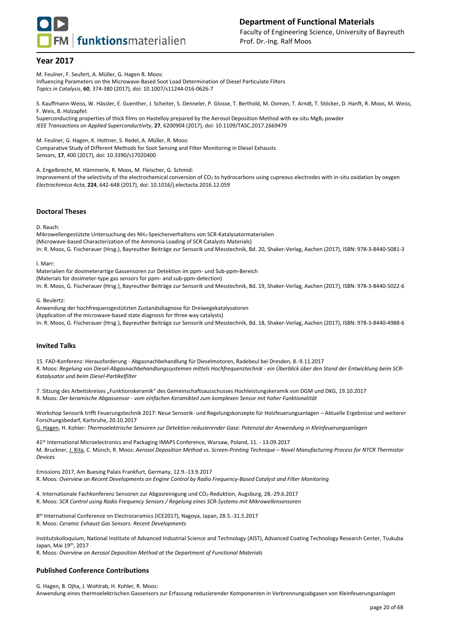



Faculty of Engineering Science, University of Bayreuth Prof. Dr.-Ing. Ralf Moos

## **Year 2017**

M. Feulner, F. Seufert, A. Müller, G. Hagen R. Moos:

Influencing Parameters on the Microwave-Based Soot Load Determination of Diesel Particulate Filters *Topics in Catalysis*, **60**, 374-380 (2017), doi: 10.1007/s11244-016-0626-7

S. Kauffmann-Weiss, W. Hässler, E. Guenther, J. Scheiter, S. Denneler, P. Glosse, T. Berthold, M. Oomen, T. Arndt, T. Stöcker, D. Hanft, R. Moos, M. Weiss, F. Weis, B. Holzapfel:

Superconducting properties of thick films on Hastelloy prepared by the Aerosol Deposition Method with ex-situ MgB<sup>2</sup> powder *IEEE Transactions on Applied Superconductivity*, **27**, 6200904 (2017), doi: 10.1109/TASC.2017.2669479

M. Feulner, G. Hagen, K. Hottner, S. Redel, A. Müller, R. Moos:

Comparative Study of Different Methods for Soot Sensing and Filter Monitoring in Diesel Exhausts *Sensors*, **17**, 400 (2017), doi: 10.3390/s17020400

A. Engelbrecht, M. Hämmerle, R. Moos, M. Fleischer, G. Schmid:

Improvement of the selectivity of the electrochemical conversion of CO<sub>2</sub> to hydrocarbons using cupreous electrodes with in-situ oxidation by oxygen *Electrochimica Acta*, **224**, 642-648 (2017), doi: 10.1016/j.electacta.2016.12.059

#### **Doctoral Theses**

D. Rauch:

Mikrowellengestützte Untersuchung des NH3-Speicherverhaltens von SCR-Katalysatormaterialien (Microwave-based Characterization of the Ammonia Loading of SCR Catalysts Materials) In: R. Moos, G. Fischerauer (Hrsg.), Bayreuther Beiträge zur Sensorik und Messtechnik, Bd. 20, Shaker-Verlag, Aachen (2017), ISBN: 978-3-8440-5081-3

I. Marr:

Materialien für dosimeterartige Gassensoren zur Detektion im ppm- und Sub-ppm-Bereich (Materials for dosimeter-type gas sensors for ppm- and sub-ppm-detection) In: R. Moos, G. Fischerauer (Hrsg.), Bayreuther Beiträge zur Sensorik und Messtechnik, Bd. 19, Shaker-Verlag, Aachen (2017), ISBN: 978-3-8440-5022-6

#### G. Beulertz:

Anwendung der hochfrequenzgestützten Zustandsdiagnose für Dreiwegekatalysatoren (Application of the microwave-based state diagnosis for three way catalysts) In: R. Moos, G. Fischerauer (Hrsg.), Bayreuther Beiträge zur Sensorik und Messtechnik, Bd. 18, Shaker-Verlag, Aachen (2017), ISBN: 978-3-8440-4988-6

#### **Invited Talks**

15. FAD-Konferenz: Herausforderung - Abgasnachbehandlung für Dieselmotoren, Radebeul bei Dresden, 8.-9.11.2017 R. Moos: *Regelung von Diesel-Abgasnachbehandlungssystemen mittels Hochfrequenztechnik - ein Überblick über den Stand der Entwicklung beim SCR-Katalysator und beim Diesel-Partikelfilter*

7. Sitzung des Arbeitskreises "Funktionskeramik" des Gemeinschaftsausschusses Hochleistungskeramik von DGM und DKG, 19.10.2017 R. Moos: *Der keramische Abgassensor - vom einfachen Keramikteil zum komplexen Sensor mit hoher Funktionalität*

Workshop Sensorik trifft Feuerungstechnik 2017: Neue Sensorik- und Regelungskonzepte für Holzfeuerungsanlagen – Aktuelle Ergebnisse und weiterer Forschungsbedarf, Karlsruhe, 20.10.2017

G. Hagen, H. Kohler: *Thermoelektrische Sensoren zur Detektion reduzierender Gase: Potenzial der Anwendung in Kleinfeuerungsanlagen*

41th International Microelectronics and Packaging IMAPS Conference, Warsaw, Poland, 11. - 13.09.2017 M. Bruckner, J. Kita, C. Münch, R. Moos: *Aerosol Deposition Method vs. Screen-Printing Technique – Novel Manufacturing Process for NTCR Thermistor Devices*

Emissions 2017, Am Buesing Palais Frankfurt, Germany, 12.9.-13.9.2017 R. Moos: *Overview on Recent Developments on Engine Control by Radio Frequency-Based Catalyst and Filter Monitoring*

4. Internationale Fachkonferenz Sensoren zur Abgasreinigung und CO2-Reduktion, Augsburg, 28.-29.6.2017 R. Moos: *SCR Control using Radio Frequency Sensors / Regelung eines SCR-Systems mit Mikrowellensensoren*

8 th International Conference on Electroceramics (ICE2017), Nagoya, Japan, 28.5.-31.5.2017 R. Moos: *Ceramic Exhaust Gas Sensors: Recent Developments*

Institutskolloquium, National Institute of Advanced Industrial Science and Technology (AIST), Advanced Coating Technology Research Center, Tsukuba Japan, Mai 19th, 2017

R. Moos: *Overview on Aerosol Deposition Method at the Department of Functional Materials*

## **Published Conference Contributions**

G. Hagen, B. Ojha, J. Wohlrab, H. Kohler, R. Moos: Anwendung eines thermoelektrischen Gassensors zur Erfassung reduzierender Komponenten in Verbrennungsabgasen von Kleinfeuerungsanlagen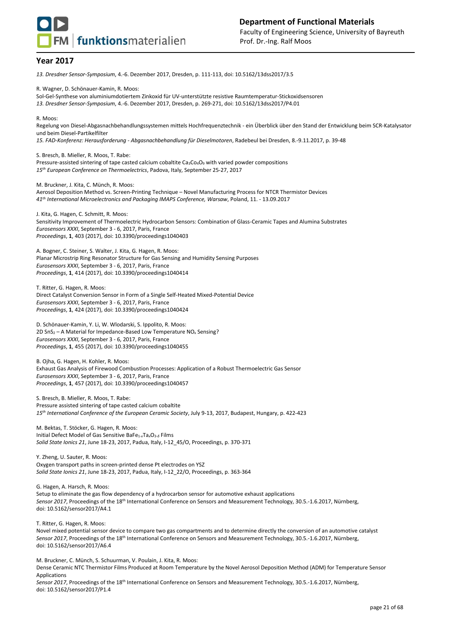

*13. Dresdner Sensor-Symposium*, 4.-6. Dezember 2017, Dresden, p. 111-113, doi: 10.5162/13dss2017/3.5

R. Wagner, D. Schönauer-Kamin, R. Moos:

Sol-Gel-Synthese von aluminiumdotiertem Zinkoxid für UV-unterstützte resistive Raumtemperatur-Stickoxidsensoren *13. Dresdner Sensor-Symposium*, 4.-6. Dezember 2017, Dresden, p. 269-271, doi: 10.5162/13dss2017/P4.01

#### R. Moos:

Regelung von Diesel-Abgasnachbehandlungssystemen mittels Hochfrequenztechnik - ein Überblick über den Stand der Entwicklung beim SCR-Katalysator und beim Diesel-Partikelfilter

*15. FAD-Konferenz: Herausforderung - Abgasnachbehandlung für Dieselmotoren*, Radebeul bei Dresden, 8.-9.11.2017, p. 39-48

S. Bresch, B. Mieller, R. Moos, T. Rabe: Pressure-assisted sintering of tape casted calcium cobaltite Ca<sub>3</sub>Co<sub>4</sub>O<sub>9</sub> with varied powder compositions *15th European Conference on Thermoelectrics*, Padova, Italy, September 25-27, 2017

M. Bruckner, J. Kita, C. Münch, R. Moos: Aerosol Deposition Method vs. Screen-Printing Technique – Novel Manufacturing Process for NTCR Thermistor Devices *41th International Microelectronics and Packaging IMAPS Conference, Warsaw*, Poland, 11. - 13.09.2017

J. Kita, G. Hagen, C. Schmitt, R. Moos: Sensitivity Improvement of Thermoelectric Hydrocarbon Sensors: Combination of Glass-Ceramic Tapes and Alumina Substrates *Eurosensors XXXI*, September 3 - 6, 2017, Paris, France *Proceedings*, **1**, 403 (2017), doi: 10.3390/proceedings1040403

A. Bogner, C. Steiner, S. Walter, J. Kita, G. Hagen, R. Moos: Planar Microstrip Ring Resonator Structure for Gas Sensing and Humidity Sensing Purposes *Eurosensors XXXI*, September 3 - 6, 2017, Paris, France *Proceedings*, **1**, 414 (2017), doi: 10.3390/proceedings1040414

T. Ritter, G. Hagen, R. Moos: Direct Catalyst Conversion Sensor in Form of a Single Self-Heated Mixed-Potential Device *Eurosensors XXXI*, September 3 - 6, 2017, Paris, France *Proceedings*, **1**, 424 (2017), doi: 10.3390/proceedings1040424

D. Schönauer-Kamin, Y. Li, W. Wlodarski, S. Ippolito, R. Moos: 2D  $SnS<sub>2</sub> - A Material for Impedance-Based Low Temperature NO<sub>x</sub> Sensing?$ *Eurosensors XXXI*, September 3 - 6, 2017, Paris, France *Proceedings*, **1**, 455 (2017), doi: 10.3390/proceedings1040455

B. Ojha, G. Hagen, H. Kohler, R. Moos: Exhaust Gas Analysis of Firewood Combustion Processes: Application of a Robust Thermoelectric Gas Sensor *Eurosensors XXXI*, September 3 - 6, 2017, Paris, France *Proceedings*, **1**, 457 (2017), doi: 10.3390/proceedings1040457

S. Bresch, B. Mieller, R. Moos, T. Rabe: Pressure assisted sintering of tape casted calcium cobaltite *15 th International Conference of the European Ceramic Society*, July 9-13, 2017, Budapest, Hungary, p. 422-423

M. Bektas, T. Stöcker, G. Hagen, R. Moos: Initial Defect Model of Gas Sensitive BaFe1-*x*Ta*x*O3-*<sup>δ</sup>* Films *Solid State Ionics 21*, June 18-23, 2017, Padua, Italy, I-12\_45/O, Proceedings, p. 370-371

Y. Zheng, U. Sauter, R. Moos: Oxygen transport paths in screen-printed dense Pt electrodes on YSZ *Solid State Ionics 21*, June 18-23, 2017, Padua, Italy, I-12\_22/O, Proceedings, p. 363-364

G. Hagen, A. Harsch, R. Moos:

Setup to eliminate the gas flow dependency of a hydrocarbon sensor for automotive exhaust applications Sensor 2017, Proceedings of the 18<sup>th</sup> International Conference on Sensors and Measurement Technology, 30.5.-1.6.2017, Nürnberg, doi: 10.5162/sensor2017/A4.1

T. Ritter, G. Hagen, R. Moos:

Novel mixed potential sensor device to compare two gas compartments and to determine directly the conversion of an automotive catalyst Sensor 2017, Proceedings of the 18<sup>th</sup> International Conference on Sensors and Measurement Technology, 30.5.-1.6.2017, Nürnberg, doi: 10.5162/sensor2017/A6.4

M. Bruckner, C. Münch, S. Schuurman, V. Poulain, J. Kita, R. Moos: Dense Ceramic NTC Thermistor Films Produced at Room Temperature by the Novel Aerosol Deposition Method (ADM) for Temperature Sensor Applications Sensor 2017, Proceedings of the 18<sup>th</sup> International Conference on Sensors and Measurement Technology, 30.5.-1.6.2017, Nürnberg, doi: 10.5162/sensor2017/P1.4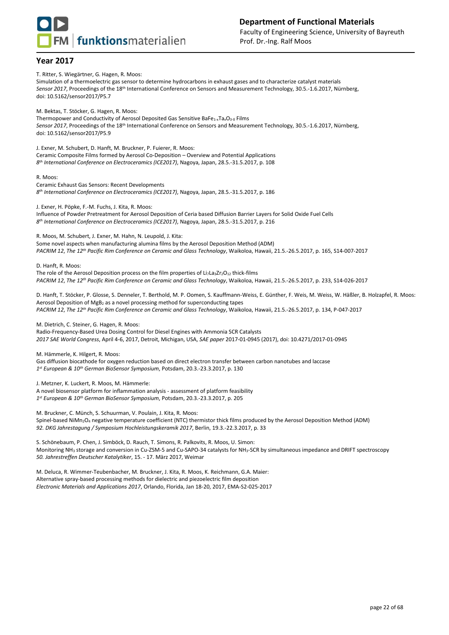

**FM** funktionsmaterialien

Faculty of Engineering Science, University of Bayreuth Prof. Dr.-Ing. Ralf Moos

## **Year 2017**

T. Ritter, S. Wiegärtner, G. Hagen, R. Moos:

Simulation of a thermoelectric gas sensor to determine hydrocarbons in exhaust gases and to characterize catalyst materials Sensor 2017, Proceedings of the 18<sup>th</sup> International Conference on Sensors and Measurement Technology, 30.5.-1.6.2017, Nürnberg, doi: 10.5162/sensor2017/P5.7

M. Bektas, T. Stöcker, G. Hagen, R. Moos: Thermopower and Conductivity of Aerosol Deposited Gas Sensitive BaFe<sub>1-x</sub>Ta<sub>x</sub>O<sub>3-δ</sub> Films Sensor 2017, Proceedings of the 18<sup>th</sup> International Conference on Sensors and Measurement Technology, 30.5.-1.6.2017, Nürnberg, doi: 10.5162/sensor2017/P5.9

J. Exner, M. Schubert, D. Hanft, M. Bruckner, P. Fuierer, R. Moos: Ceramic Composite Films formed by Aerosol Co-Deposition – Overview and Potential Applications *8 th International Conference on Electroceramics (ICE2017)*, Nagoya, Japan, 28.5.-31.5.2017, p. 108

R. Moos:

Ceramic Exhaust Gas Sensors: Recent Developments *8 th International Conference on Electroceramics (ICE2017)*, Nagoya, Japan, 28.5.-31.5.2017, p. 186

J. Exner, H. Pöpke, F.-M. Fuchs, J. Kita, R. Moos: Influence of Powder Pretreatment for Aerosol Deposition of Ceria based Diffusion Barrier Layers for Solid Oxide Fuel Cells *8 th International Conference on Electroceramics (ICE2017)*, Nagoya, Japan, 28.5.-31.5.2017, p. 216

R. Moos, M. Schubert, J. Exner, M. Hahn, N. Leupold, J. Kita: Some novel aspects when manufacturing alumina films by the Aerosol Deposition Method (ADM) *PACRIM 12*, *The 12 th Pacific Rim Conference on Ceramic and Glass Technology*, Waikoloa, Hawaii, 21.5.-26.5.2017, p. 165, S14-007-2017

D. Hanft, R. Moos:

The role of the Aerosol Deposition process on the film properties of Li<sub>7</sub>La<sub>3</sub>Zr<sub>2</sub>O<sub>12</sub> thick-films *PACRIM 12*, *The 12 th Pacific Rim Conference on Ceramic and Glass Technology*, Waikoloa, Hawaii, 21.5.-26.5.2017, p. 233, S14-026-2017

D. Hanft, T. Stöcker, P. Glosse, S. Denneler, T. Berthold, M. P. Oomen, S. Kauffmann-Weiss, E. Günther, F. Weis, M. Weiss, W. Häßler, B. Holzapfel, R. Moos: Aerosol Deposition of MgB<sub>2</sub> as a novel processing method for superconducting tapes *PACRIM 12*, *The 12 th Pacific Rim Conference on Ceramic and Glass Technology*, Waikoloa, Hawaii, 21.5.-26.5.2017, p. 134, P-047-2017

M. Dietrich, C. Steiner, G. Hagen, R. Moos:

Radio-Frequency-Based Urea Dosing Control for Diesel Engines with Ammonia SCR Catalysts *2017 SAE World Congress*, April 4-6, 2017, Detroit, Michigan, USA, *SAE paper* 2017-01-0945 (2017), doi: 10.4271/2017-01-0945

M. Hämmerle, K. Hilgert, R. Moos:

Gas diffusion biocathode for oxygen reduction based on direct electron transfer between carbon nanotubes and laccase *1 st European & 10th German BioSensor Symposium*, Potsdam, 20.3.-23.3.2017, p. 130

J. Metzner, K. Luckert, R. Moos, M. Hämmerle:

A novel biosensor platform for inflammation analysis - assessment of platform feasibility *1 st European & 10th German BioSensor Symposium*, Potsdam, 20.3.-23.3.2017, p. 205

M. Bruckner, C. Münch, S. Schuurman, V. Poulain, J. Kita, R. Moos: Spinel-based NiMn2O<sup>4</sup> negative temperature coefficient (NTC) thermistor thick films produced by the Aerosol Deposition Method (ADM) *92. DKG Jahrestagung / Symposium Hochleistungskeramik 2017*, Berlin, 19.3.-22.3.2017, p. 33

S. Schönebaum, P. Chen, J. Simböck, D. Rauch, T. Simons, R. Palkovits, R. Moos, U. Simon: Monitoring NH<sup>3</sup> storage and conversion in Cu-ZSM-5 and Cu-SAPO-34 catalysts for NH3-SCR by simultaneous impedance and DRIFT spectroscopy *50. Jahrestreffen Deutscher Katalytiker*, 15. - 17. März 2017, Weimar

M. Deluca, R. Wimmer-Teubenbacher, M. Bruckner, J. Kita, R. Moos, K. Reichmann, G.A. Maier: Alternative spray-based processing methods for dielectric and piezoelectric film deposition *Electronic Materials and Applications 2017*, Orlando, Florida, Jan 18-20, 2017, EMA-S2-025-2017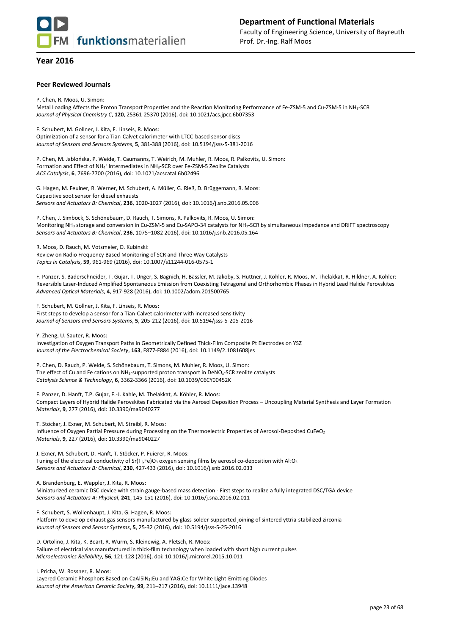

#### **Peer Reviewed Journals**

P. Chen, R. Moos, U. Simon: Metal Loading Affects the Proton Transport Properties and the Reaction Monitoring Performance of Fe-ZSM-5 and Cu-ZSM-5 in NH3-SCR *Journal of Physical Chemistry C*, **120**, 25361-25370 (2016), doi: 10.1021/acs.jpcc.6b07353

F. Schubert, M. Gollner, J. Kita, F. Linseis, R. Moos: Optimization of a sensor for a Tian-Calvet calorimeter with LTCC-based sensor discs *Journal of Sensors and Sensors Systems*, **5**, 381-388 (2016), doi: 10.5194/jsss-5-381-2016

P. Chen, M. Jablońska, P. Weide, T. Caumanns, T. Weirich, M. Muhler, R. Moos, R. Palkovits, U. Simon: Formation and Effect of NH<sub>4</sub><sup>+</sup> Intermediates in NH<sub>3</sub>-SCR over Fe-ZSM-5 Zeolite Catalysts *ACS Catalysis*, **6**, 7696-7700 (2016), doi: 10.1021/acscatal.6b02496

G. Hagen, M. Feulner, R. Werner, M. Schubert, A. Müller, G. Rieß, D. Brüggemann, R. Moos: Capacitive soot sensor for diesel exhausts *Sensors and Actuators B: Chemical*, **236**, 1020-1027 (2016), doi: 10.1016/j.snb.2016.05.006

P. Chen, J. Simböck, S. Schönebaum, D. Rauch, T. Simons, R. Palkovits, R. Moos, U. Simon: Monitoring NH<sup>3</sup> storage and conversion in Cu-ZSM-5 and Cu-SAPO-34 catalysts for NH3-SCR by simultaneous impedance and DRIFT spectroscopy *Sensors and Actuators B: Chemical*, **236**, 1075–1082 2016), doi: 10.1016/j.snb.2016.05.164

R. Moos, D. Rauch, M. Votsmeier, D. Kubinski: Review on Radio Frequency Based Monitoring of SCR and Three Way Catalysts *Topics in Catalysis*, **59**, 961-969 (2016), doi: 10.1007/s11244-016-0575-1

F. Panzer, S. Baderschneider, T. Gujar, T. Unger, S. Bagnich, H. Bässler, M. Jakoby, S. Hüttner, J. Köhler, R. Moos, M. Thelakkat, R. Hildner, A. Köhler: Reversible Laser-Induced Amplified Spontaneous Emission from Coexisting Tetragonal and Orthorhombic Phases in Hybrid Lead Halide Perovskites *Advanced Optical Materials*, **4**, 917-928 (2016), doi: 10.1002/adom.201500765

F. Schubert, M. Gollner, J. Kita, F. Linseis, R. Moos:

First steps to develop a sensor for a Tian-Calvet calorimeter with increased sensitivity *Journal of Sensors and Sensors Systems*, **5**, 205-212 (2016), doi: 10.5194/jsss-5-205-2016

Y. Zheng, U. Sauter, R. Moos:

Investigation of Oxygen Transport Paths in Geometrically Defined Thick-Film Composite Pt Electrodes on YSZ *Journal of the Electrochemical Society*, **163**, F877-F884 (2016), doi: 10.1149/2.1081608jes

P. Chen, D. Rauch, P. Weide, S. Schönebaum, T. Simons, M. Muhler, R. Moos, U. Simon: The effect of Cu and Fe cations on NH<sub>3</sub>-supported proton transport in DeNO<sub>x</sub>-SCR zeolite catalysts *Catalysis Science & Technology*, **6**, 3362-3366 (2016), doi: 10.1039/C6CY00452K

F. Panzer, D. Hanft, T.P. Gujar, F.-J. Kahle, M. Thelakkat, A. Köhler, R. Moos: Compact Layers of Hybrid Halide Perovskites Fabricated via the Aerosol Deposition Process – Uncoupling Material Synthesis and Layer Formation *Materials*, **9**, 277 (2016), doi: 10.3390/ma9040277

T. Stöcker, J. Exner, M. Schubert, M. Streibl, R. Moos: Influence of Oxygen Partial Pressure during Processing on the Thermoelectric Properties of Aerosol-Deposited CuFeO<sup>2</sup> *Materials*, **9**, 227 (2016), doi: 10.3390/ma9040227

J. Exner, M. Schubert, D. Hanft, T. Stöcker, P. Fuierer, R. Moos: Tuning of the electrical conductivity of Sr(Ti,Fe)O<sub>3</sub> oxygen sensing films by aerosol co-deposition with Al<sub>2</sub>O<sub>3</sub> *Sensors and Actuators B: Chemical*, **230**, 427-433 (2016), doi: 10.1016/j.snb.2016.02.033

A. Brandenburg, E. Wappler, J. Kita, R. Moos:

Miniaturized ceramic DSC device with strain gauge-based mass detection - First steps to realize a fully integrated DSC/TGA device *Sensors and Actuators A: Physical*, **241**, 145-151 (2016), doi: 10.1016/j.sna.2016.02.011

F. Schubert, S. Wollenhaupt, J. Kita, G. Hagen, R. Moos:

Platform to develop exhaust gas sensors manufactured by glass-solder-supported joining of sintered yttria-stabilized zirconia *Journal of Sensors and Sensor Systems*, **5**, 25-32 (2016), doi: 10.5194/jsss-5-25-2016

D. Ortolino, J. Kita, K. Beart, R. Wurm, S. Kleinewig, A. Pletsch, R. Moos: Failure of electrical vias manufactured in thick-film technology when loaded with short high current pulses *Microelectronics Reliability*, **56**, 121-128 (2016), doi: 10.1016/j.microrel.2015.10.011

I. Pricha, W. Rossner, R. Moos:

Layered Ceramic Phosphors Based on CaAlSiN3:Eu and YAG:Ce for White Light-Emitting Diodes *Journal of the American Ceramic Society*, **99**, 211–217 (2016), doi: 10.1111/jace.13948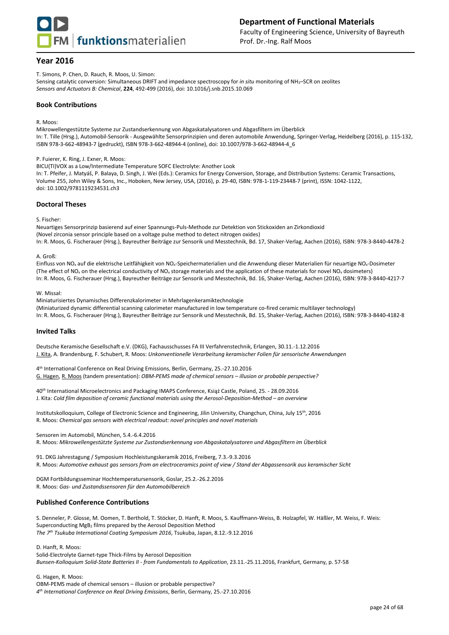

T. Simons, P. Chen, D. Rauch, R. Moos, U. Simon:

Sensing catalytic conversion: Simultaneous DRIFT and impedance spectroscopy for *in situ* monitoring of NH3–SCR on zeolites *Sensors and Actuators B: Chemical*, **224**, 492-499 (2016), doi: 10.1016/j.snb.2015.10.069

#### **Book Contributions**

R. Moos:

Mikrowellengestützte Systeme zur Zustandserkennung von Abgaskatalysatoren und Abgasfiltern im Überblick In: T. Tille (Hrsg.), Automobil-Sensorik - Ausgewählte Sensorprinzipien und deren automobile Anwendung, Springer-Verlag, Heidelberg (2016), p. 115-132, ISBN 978-3-662-48943-7 (gedruckt), ISBN 978-3-662-48944-4 (online), doi: 10.1007/978-3-662-48944-4\_6

P. Fuierer, K. Ring, J. Exner, R. Moos:

BICU(TI)VOX as a Low/Intermediate Temperature SOFC Electrolyte: Another Look In: T. Pfeifer, J. Matyáš, P. Balaya, D. Singh, J. Wei (Eds.): Ceramics for Energy Conversion, Storage, and Distribution Systems: Ceramic Transactions, Volume 255, John Wiley & Sons, Inc., Hoboken, New Jersey, USA, (2016), p. 29-40, ISBN: 978-1-119-23448-7 (print), ISSN: 1042-1122, doi: 10.1002/9781119234531.ch3

#### **Doctoral Theses**

S. Fischer:

Neuartiges Sensorprinzip basierend auf einer Spannungs-Puls-Methode zur Detektion von Stickoxiden an Zirkondioxid (Novel zirconia sensor principle based on a voltage pulse method to detect nitrogen oxides) In: R. Moos, G. Fischerauer (Hrsg.), Bayreuther Beiträge zur Sensorik und Messtechnik, Bd. 17, Shaker-Verlag, Aachen (2016), ISBN: 978-3-8440-4478-2

#### A. Groß:

Einfluss von NO<sub>x</sub> auf die elektrische Leitfähigkeit von NO<sub>x</sub>-Speichermaterialien und die Anwendung dieser Materialien für neuartige NO<sub>x</sub>-Dosimeter (The effect of NO<sup>x</sup> on the electrical conductivity of NO<sup>x</sup> storage materials and the application of these materials for novel NO<sup>x</sup> dosimeters) In: R. Moos, G. Fischerauer (Hrsg.), Bayreuther Beiträge zur Sensorik und Messtechnik, Bd. 16, Shaker-Verlag, Aachen (2016), ISBN: 978-3-8440-4217-7

W. Missal:

Miniaturisiertes Dynamisches Differenzkalorimeter in Mehrlagenkeramiktechnologie (Miniaturized dynamic differential scanning calorimeter manufactured in low temperature co-fired ceramic multilayer technology) In: R. Moos, G. Fischerauer (Hrsg.), Bayreuther Beiträge zur Sensorik und Messtechnik, Bd. 15, Shaker-Verlag, Aachen (2016), ISBN: 978-3-8440-4182-8

#### **Invited Talks**

Deutsche Keramische Gesellschaft e.V. (DKG), Fachausschusses FA III Verfahrenstechnik, Erlangen, 30.11.-1.12.2016 J. Kita, A. Brandenburg, F. Schubert, R. Moos: *Unkonventionelle Verarbeitung keramischer Folien für sensorische Anwendungen*

4 th International Conference on Real Driving Emissions, Berlin, Germany, 25.-27.10.2016 G. Hagen, R. Moos (tandem presentation): *OBM-PEMS made of chemical sensors – illusion or probable perspective?*

40th International Microelectronics and Packaging IMAPS Conference, Książ Castle, Poland, 25. - 28.09.2016 J. Kita: Cold film deposition of ceramic functional materials using the Aerosol-Deposition-Method - an overview

Institutskolloquium, College of Electronic Science and Engineering, Jilin University, Changchun, China, July 15th, 2016 R. Moos: *Chemical gas sensors with electrical readout: novel principles and novel materials*

Sensoren im Automobil, München, 5.4.-6.4.2016

R. Moos: *Mikrowellengestützte Systeme zur Zustandserkennung von Abgaskatalysatoren und Abgasfiltern im Überblick*

91. DKG Jahrestagung / Symposium Hochleistungskeramik 2016, Freiberg, 7.3.-9.3.2016 R. Moos: *Automotive exhaust gas sensors from an electroceramics point of view / Stand der Abgassensorik aus keramischer Sicht*

DGM Fortbildungsseminar Hochtemperatursensorik, Goslar, 25.2.-26.2.2016 R. Moos: *Gas- und Zustandssensoren für den Automobilbereich*

## **Published Conference Contributions**

S. Denneler, P. Glosse, M. Oomen, T. Berthold, T. Stöcker, D. Hanft, R. Moos, S. Kauffmann-Weiss, B. Holzapfel, W. Häßler, M. Weiss, F. Weis: Superconducting MgB<sup>2</sup> films prepared by the Aerosol Deposition Method *The 7th Tsukuba International Coating Symposium 2016*, Tsukuba, Japan, 8.12.-9.12.2016

D. Hanft, R. Moos:

Solid-Electrolyte Garnet-type Thick-Films by Aerosol Deposition *Bunsen-Kolloquium Solid-State Batteries II - from Fundamentals to Application*, 23.11.-25.11.2016, Frankfurt, Germany, p. 57-58

G. Hagen, R. Moos:

OBM-PEMS made of chemical sensors – illusion or probable perspective? *4 th International Conference on Real Driving Emissions*, Berlin, Germany, 25.-27.10.2016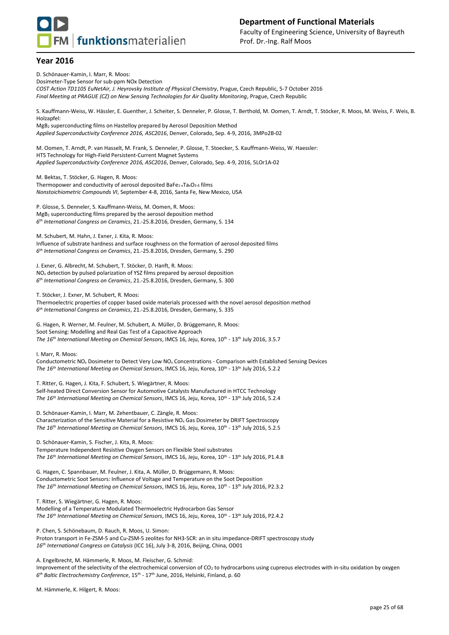## **Department of Functional Materials**

**FM** funktionsmaterialien

Faculty of Engineering Science, University of Bayreuth Prof. Dr.-Ing. Ralf Moos

## **Year 2016**

D. Schönauer-Kamin, I. Marr, R. Moos: Dosimeter-Type Sensor for sub-ppm NOx Detection *COST Action TD1105 EuNetAir, J. Heyrovsky Institute of Physical Chemistry*, Prague, Czech Republic, 5-7 October 2016 *Final Meeting at PRAGUE (CZ) on New Sensing Technologies for Air Quality Monitoring*, Prague, Czech Republic S. Kauffmann-Weiss, W. Hässler, E. Guenther, J. Scheiter, S. Denneler, P. Glosse, T. Berthold, M. Oomen, T. Arndt, T. Stöcker, R. Moos, M. Weiss, F. Weis, B. Holzapfel: MgB<sup>2</sup> superconducting films on Hastelloy prepared by Aerosol Deposition Method *Applied Superconductivity Conference 2016, ASC2016*, Denver, Colorado, Sep. 4-9, 2016, 3MPo2B-02 M. Oomen, T. Arndt, P. van Hasselt, M. Frank, S. Denneler, P. Glosse, T. Stoecker, S. Kauffmann-Weiss, W. Haessler: HTS Technology for High-Field Persistent-Current Magnet Systems *Applied Superconductivity Conference 2016, ASC2016*, Denver, Colorado, Sep. 4-9, 2016, 5LOr1A-02 M. Bektas, T. Stöcker, G. Hagen, R. Moos: Thermopower and conductivity of aerosol deposited BaFe<sub>1-x</sub>Ta<sub>x</sub>O<sub>3-δ</sub> films *Nonstoichiometric Compounds VI*, September 4-8, 2016, Santa Fe, New Mexico, USA P. Glosse, S. Denneler, S. Kauffmann-Weiss, M. Oomen, R. Moos: MgB<sub>2</sub> superconducting films prepared by the aerosol deposition method *6 th International Congress on Ceramics*, 21.-25.8.2016, Dresden, Germany, S. 134 M. Schubert, M. Hahn, J. Exner, J. Kita, R. Moos: Influence of substrate hardness and surface roughness on the formation of aerosol deposited films *6 th International Congress on Ceramics*, 21.-25.8.2016, Dresden, Germany, S. 290 J. Exner, G. Albrecht, M. Schubert, T. Stöcker, D. Hanft, R. Moos: NO<sup>x</sup> detection by pulsed polarization of YSZ films prepared by aerosol deposition *6 th International Congress on Ceramics*, 21.-25.8.2016, Dresden, Germany, S. 300 T. Stöcker, J. Exner, M. Schubert, R. Moos: Thermoelectric properties of copper based oxide materials processed with the novel aerosol deposition method *6 th International Congress on Ceramics*, 21.-25.8.2016, Dresden, Germany, S. 335 G. Hagen, R. Werner, M. Feulner, M. Schubert, A. Müller, D. Brüggemann, R. Moos: Soot Sensing: Modelling and Real Gas Test of a Capacitive Approach *The 16 th International Meeting on Chemical Sensors*, IMCS 16, Jeju, Korea, 10 th - 13 th July 2016, 3.5.7 I. Marr, R. Moos: Conductometric NO<sup>x</sup> Dosimeter to Detect Very Low NO<sup>x</sup> Concentrations - Comparison with Established Sensing Devices The 16<sup>th</sup> International Meeting on Chemical Sensors, IMCS 16, Jeju, Korea, 10<sup>th</sup> - 13<sup>th</sup> July 2016, 5.2.2 T. Ritter, G. Hagen, J. Kita, F. Schubert, S. Wiegärtner, R. Moos: Self-heated Direct Conversion Sensor for Automotive Catalysts Manufactured in HTCC Technology *The 16 th International Meeting on Chemical Sensors*, IMCS 16, Jeju, Korea, 10 th - 13 th July 2016, 5.2.4 D. Schönauer-Kamin, I. Marr, M. Zehentbauer, C. Zängle, R. Moos: Characterization of the Sensitive Material for a Resistive NO<sup>x</sup> Gas Dosimeter by DRIFT Spectroscopy *The 16 th International Meeting on Chemical Sensors*, IMCS 16, Jeju, Korea, 10 th - 13 th July 2016, 5.2.5 D. Schönauer-Kamin, S. Fischer, J. Kita, R. Moos: Temperature Independent Resistive Oxygen Sensors on Flexible Steel substrates *The 16 th International Meeting on Chemical Sensors*, IMCS 16, Jeju, Korea, 10 th - 13 th July 2016, P1.4.8

G. Hagen, C. Spannbauer, M. Feulner, J. Kita, A. Müller, D. Brüggemann, R. Moos: Conductometric Soot Sensors: Influence of Voltage and Temperature on the Soot Deposition *The 16 th International Meeting on Chemical Sensors*, IMCS 16, Jeju, Korea, 10 th - 13 th July 2016, P2.3.2

T. Ritter, S. Wiegärtner, G. Hagen, R. Moos: Modelling of a Temperature Modulated Thermoelectric Hydrocarbon Gas Sensor The 16<sup>th</sup> International Meeting on Chemical Sensors, IMCS 16, Jeju, Korea, 10<sup>th</sup> - 13<sup>th</sup> July 2016, P2.4.2

P. Chen, S. Schönebaum, D. Rauch, R. Moos, U. Simon: Proton transport in Fe-ZSM-5 and Cu-ZSM-5 zeolites for NH3-SCR: an in situ impedance-DRIFT spectroscopy study *16th International Congress on Catalysis* (ICC 16), July 3-8, 2016, Beijing, China, OD01

A. Engelbrecht, M. Hämmerle, R. Moos, M. Fleischer, G. Schmid:

Improvement of the selectivity of the electrochemical conversion of  $CO<sub>2</sub>$  to hydrocarbons using cupreous electrodes with in-situ oxidation by oxygen 6<sup>th</sup> Baltic Electrochemistry Conference, 15<sup>th</sup> - 17<sup>th</sup> June, 2016, Helsinki, Finland, p. 60

M. Hämmerle, K. Hilgert, R. Moos: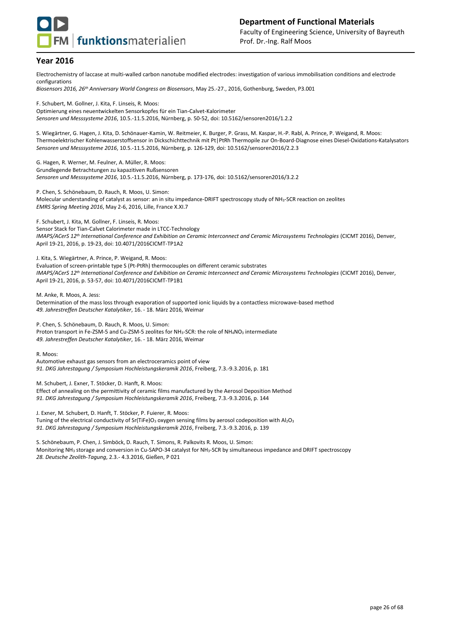

Electrochemistry of laccase at multi-walled carbon nanotube modified electrodes: investigation of various immobilisation conditions and electrode configurations

*Biosensors 2016, 26th Anniversary World Congress on Biosensors*, May 25.-27., 2016, Gothenburg, Sweden, P3.001

F. Schubert, M. Gollner, J. Kita, F. Linseis, R. Moos: Optimierung eines neuentwickelten Sensorkopfes für ein Tian-Calvet-Kalorimeter *Sensoren und Messsysteme 2016*, 10.5.-11.5.2016, Nürnberg, p. 50-52, doi: 10.5162/sensoren2016/1.2.2

S. Wiegärtner, G. Hagen, J. Kita, D. Schönauer-Kamin, W. Reitmeier, K. Burger, P. Grass, M. Kaspar, H.-P. Rabl, A. Prince, P. Weigand, R. Moos: Thermoelektrischer Kohlenwasserstoffsensor in Dickschichttechnik mit Pt|PtRh Thermopile zur On-Board-Diagnose eines Diesel-Oxidations-Katalysators *Sensoren und Messsysteme 2016*, 10.5.-11.5.2016, Nürnberg, p. 126-129, doi: 10.5162/sensoren2016/2.2.3

G. Hagen, R. Werner, M. Feulner, A. Müller, R. Moos: Grundlegende Betrachtungen zu kapazitiven Rußsensoren *Sensoren und Messsysteme 2016*, 10.5.-11.5.2016, Nürnberg, p. 173-176, doi: 10.5162/sensoren2016/3.2.2

P. Chen, S. Schönebaum, D. Rauch, R. Moos, U. Simon: Molecular understanding of catalyst as sensor: an in situ impedance-DRIFT spectroscopy study of NH<sub>3</sub>-SCR reaction on zeolites *EMRS Spring Meeting 2016*, May 2-6, 2016, Lille, France X.XI.7

F. Schubert, J. Kita, M. Gollner, F. Linseis, R. Moos: Sensor Stack for Tian-Calvet Calorimeter made in LTCC-Technology *IMAPS/ACerS 12th International Conference and Exhibition on Ceramic Interconnect and Ceramic Microsystems Technologies* (CICMT 2016), Denver, April 19-21, 2016, p. 19-23, doi: 10.4071/2016CICMT-TP1A2

J. Kita, S. Wiegärtner, A. Prince, P. Weigand, R. Moos: Evaluation of screen-printable type S (Pt-PtRh) thermocouples on different ceramic substrates *IMAPS/ACerS 12th International Conference and Exhibition on Ceramic Interconnect and Ceramic Microsystems Technologies* (CICMT 2016), Denver, April 19-21, 2016, p. 53-57, doi: 10.4071/2016CICMT-TP1B1

M. Anke, R. Moos, A. Jess: Determination of the mass loss through evaporation of supported ionic liquids by a contactless microwave-based method *49. Jahrestreffen Deutscher Katalytiker*, 16. - 18. März 2016, Weimar

P. Chen, S. Schönebaum, D. Rauch, R. Moos, U. Simon: Proton transport in Fe-ZSM-5 and Cu-ZSM-5 zeolites for NH<sub>3</sub>-SCR: the role of NH<sub>4</sub>NO<sub>3</sub> intermediate *49. Jahrestreffen Deutscher Katalytiker*, 16. - 18. März 2016, Weimar

R. Moos:

Automotive exhaust gas sensors from an electroceramics point of view *91. DKG Jahrestagung / Symposium Hochleistungskeramik 2016*, Freiberg, 7.3.-9.3.2016, p. 181

M. Schubert, J. Exner, T. Stöcker, D. Hanft, R. Moos:

Effect of annealing on the permittivity of ceramic films manufactured by the Aerosol Deposition Method *91. DKG Jahrestagung / Symposium Hochleistungskeramik 2016*, Freiberg, 7.3.-9.3.2016, p. 144

J. Exner, M. Schubert, D. Hanft, T. Stöcker, P. Fuierer, R. Moos: Tuning of the electrical conductivity of Sr(TiFe)O<sub>3</sub> oxygen sensing films by aerosol codeposition with Al<sub>2</sub>O<sub>3</sub> *91. DKG Jahrestagung / Symposium Hochleistungskeramik 2016*, Freiberg, 7.3.-9.3.2016, p. 139

S. Schönebaum, P. Chen, J. Simböck, D. Rauch, T. Simons, R. Palkovits R. Moos, U. Simon: Monitoring NH<sup>3</sup> storage and conversion in Cu-SAPO-34 catalyst for NH3-SCR by simultaneous impedance and DRIFT spectroscopy *28. Deutsche Zeolith-Tagung*, 2.3.- 4.3.2016, Gießen, P 021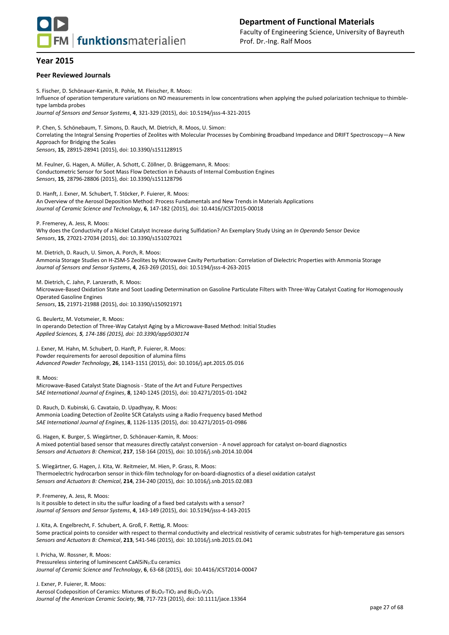

#### **Peer Reviewed Journals**

S. Fischer, D. Schönauer-Kamin, R. Pohle, M. Fleischer, R. Moos: Influence of operation temperature variations on NO measurements in low concentrations when applying the pulsed polarization technique to thimbletype lambda probes *Journal of Sensors and Sensor Systems*, **4**, 321-329 (2015), doi: 10.5194/jsss-4-321-2015 P. Chen, S. Schönebaum, T. Simons, D. Rauch, M. Dietrich, R. Moos, U. Simon:

Correlating the Integral Sensing Properties of Zeolites with Molecular Processes by Combining Broadband Impedance and DRIFT Spectroscopy—A New Approach for Bridging the Scales *Sensors*, **15**, 28915-28941 (2015), doi: 10.3390/s151128915

M. Feulner, G. Hagen, A. Müller, A. Schott, C. Zöllner, D. Brüggemann, R. Moos: Conductometric Sensor for Soot Mass Flow Detection in Exhausts of Internal Combustion Engines *Sensors*, **15**, 28796-28806 (2015), doi: 10.3390/s151128796

D. Hanft, J. Exner, M. Schubert, T. Stöcker, P. Fuierer, R. Moos: An Overview of the Aerosol Deposition Method: Process Fundamentals and New Trends in Materials Applications *Journal of Ceramic Science and Technology*, **6**, 147-182 (2015), doi: 10.4416/JCST2015-00018

P. Fremerey, A. Jess, R. Moos:

Why does the Conductivity of a Nickel Catalyst Increase during Sulfidation? An Exemplary Study Using an *In Operando* Sensor Device *Sensors*, **15**, 27021-27034 (2015), doi: 10.3390/s151027021

M. Dietrich, D. Rauch, U. Simon, A. Porch, R. Moos: Ammonia Storage Studies on H-ZSM-5 Zeolites by Microwave Cavity Perturbation: Correlation of Dielectric Properties with Ammonia Storage *Journal of Sensors and Sensor Systems*, **4**, 263-269 (2015), doi: 10.5194/jsss-4-263-2015

M. Dietrich, C. Jahn, P. Lanzerath, R. Moos: Microwave-Based Oxidation State and Soot Loading Determination on Gasoline Particulate Filters with Three-Way Catalyst Coating for Homogenously Operated Gasoline Engines *Sensors*, **15**, 21971-21988 (2015), doi: 10.3390/s150921971

G. Beulertz, M. Votsmeier, R. Moos: In operando Detection of Three-Way Catalyst Aging by a Microwave-Based Method: Initial Studies *Applied Sciences, 5, 174-186 (2015), doi: 10.3390/app5030174*

J. Exner, M. Hahn, M. Schubert, D. Hanft, P. Fuierer, R. Moos: Powder requirements for aerosol deposition of alumina films *Advanced Powder Technology*, **26**, 1143-1151 (2015), doi: 10.1016/j.apt.2015.05.016

R. Moos:

Microwave-Based Catalyst State Diagnosis - State of the Art and Future Perspectives *SAE International Journal of Engines*, **8**, 1240-1245 (2015), doi: 10.4271/2015-01-1042

D. Rauch, D. Kubinski, G. Cavataio, D. Upadhyay, R. Moos: Ammonia Loading Detection of Zeolite SCR Catalysts using a Radio Frequency based Method *SAE International Journal of Engines*, **8**, 1126-1135 (2015), doi: 10.4271/2015-01-0986

G. Hagen, K. Burger, S. Wiegärtner, D. Schönauer-Kamin, R. Moos: A mixed potential based sensor that measures directly catalyst conversion - A novel approach for catalyst on-board diagnostics *Sensors and Actuators B: Chemical*, **217**, 158-164 (2015), doi: 10.1016/j.snb.2014.10.004

S. Wiegärtner, G. Hagen, J. Kita, W. Reitmeier, M. Hien, P. Grass, R. Moos: Thermoelectric hydrocarbon sensor in thick-film technology for on-board-diagnostics of a diesel oxidation catalyst *Sensors and Actuators B: Chemical*, **214**, 234-240 (2015), doi: 10.1016/j.snb.2015.02.083

P. Fremerey, A. Jess, R. Moos: Is it possible to detect in situ the sulfur loading of a fixed bed catalysts with a sensor? *Journal of Sensors and Sensor Systems*, **4**, 143-149 (2015), doi: 10.5194/jsss-4-143-2015

J. Kita, A. Engelbrecht, F. Schubert, A. Groß, F. Rettig, R. Moos: Some practical points to consider with respect to thermal conductivity and electrical resistivity of ceramic substrates for high-temperature gas sensors *Sensors and Actuators B: Chemical*, **213**, 541-546 (2015), doi: 10.1016/j.snb.2015.01.041

I. Pricha, W. Rossner, R. Moos: Pressureless sintering of luminescent CaAlSiN<sub>3</sub>:Eu ceramics *Journal of Ceramic Science and Technology*, **6**, 63-68 (2015), doi: 10.4416/JCST2014-00047

J. Exner, P. Fuierer, R. Moos: Aerosol Codeposition of Ceramics: Mixtures of Bi<sub>2</sub>O<sub>3</sub>-TiO<sub>2</sub> and Bi<sub>2</sub>O<sub>3</sub>-V<sub>2</sub>O<sub>5</sub> *Journal of the American Ceramic Society*, **98**, 717-723 (2015), doi: 10.1111/jace.13364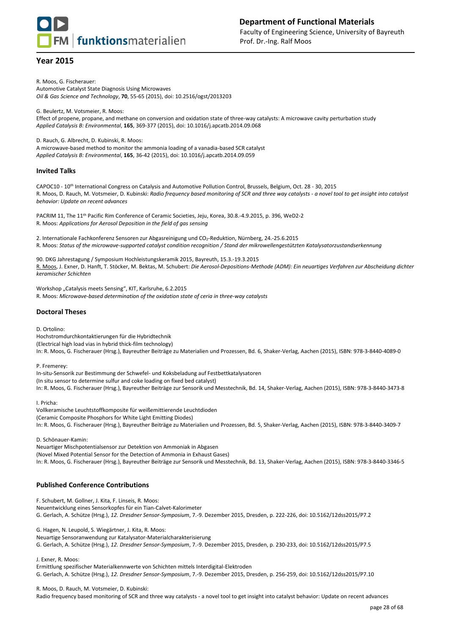

R. Moos, G. Fischerauer: Automotive Catalyst State Diagnosis Using Microwaves *Oil & Gas Science and Technology*, **70**, 55-65 (2015), doi: 10.2516/ogst/2013203

G. Beulertz, M. Votsmeier, R. Moos:

Effect of propene, propane, and methane on conversion and oxidation state of three-way catalysts: A microwave cavity perturbation study *Applied Catalysis B: Environmental*, **165**, 369-377 (2015), doi: 10.1016/j.apcatb.2014.09.068

D. Rauch, G. Albrecht, D. Kubinski, R. Moos:

A microwave-based method to monitor the ammonia loading of a vanadia-based SCR catalyst *Applied Catalysis B: Environmental*, **165**, 36-42 (2015), doi: 10.1016/j.apcatb.2014.09.059

#### **Invited Talks**

CAPOC10 - 10<sup>th</sup> International Congress on Catalysis and Automotive Pollution Control, Brussels, Belgium, Oct. 28 - 30, 2015 R. Moos, D. Rauch, M. Votsmeier, D. Kubinski: *Radio frequency based monitoring of SCR and three way catalysts - a novel tool to get insight into catalyst behavior: Update on recent advances* 

PACRIM 11, The 11th Pacific Rim Conference of Ceramic Societies, Jeju, Korea, 30.8.-4.9.2015, p. 396, WeD2-2 R. Moos: *Applications for Aerosol Deposition in the field of gas sensing*

2. Internationale Fachkonferenz Sensoren zur Abgasreinigung und CO2-Reduktion, Nürnberg, 24.-25.6.2015 R. Moos: *Status of the microwave-supported catalyst condition recognition / Stand der mikrowellengestützten Katalysatorzustandserkennung*

90. DKG Jahrestagung / Symposium Hochleistungskeramik 2015, Bayreuth, 15.3.-19.3.2015 R. Moos, J. Exner, D. Hanft, T. Stöcker, M. Bektas, M. Schubert: *Die Aerosol-Depositions-Methode (ADM): Ein neuartiges Verfahren zur Abscheidung dichter keramischer Schichten*

Workshop "Catalysis meets Sensing", KIT, Karlsruhe, 6.2.2015 R. Moos: *Microwave-based determination of the oxidation state of ceria in three-way catalysts*

#### **Doctoral Theses**

D. Ortolino:

Hochstromdurchkontaktierungen für die Hybridtechnik (Electrical high load vias in hybrid thick-film technology) In: R. Moos, G. Fischerauer (Hrsg.), Bayreuther Beiträge zu Materialien und Prozessen, Bd. 6, Shaker-Verlag, Aachen (2015), ISBN: 978-3-8440-4089-0

#### P. Fremerey:

In-situ-Sensorik zur Bestimmung der Schwefel- und Koksbeladung auf Festbettkatalysatoren (In situ sensor to determine sulfur and coke loading on fixed bed catalyst) In: R. Moos, G. Fischerauer (Hrsg.), Bayreuther Beiträge zur Sensorik und Messtechnik, Bd. 14, Shaker-Verlag, Aachen (2015), ISBN: 978-3-8440-3473-8

I. Pricha:

Vollkeramische Leuchtstoffkomposite für weißemittierende Leuchtdioden (Ceramic Composite Phosphors for White Light Emitting Diodes) In: R. Moos, G. Fischerauer (Hrsg.), Bayreuther Beiträge zu Materialien und Prozessen, Bd. 5, Shaker-Verlag, Aachen (2015), ISBN: 978-3-8440-3409-7

D. Schönauer-Kamin:

Neuartiger Mischpotentialsensor zur Detektion von Ammoniak in Abgasen (Novel Mixed Potential Sensor for the Detection of Ammonia in Exhaust Gases) In: R. Moos, G. Fischerauer (Hrsg.), Bayreuther Beiträge zur Sensorik und Messtechnik, Bd. 13, Shaker-Verlag, Aachen (2015), ISBN: 978-3-8440-3346-5

#### **Published Conference Contributions**

F. Schubert, M. Gollner, J. Kita, F. Linseis, R. Moos: Neuentwicklung eines Sensorkopfes für ein Tian-Calvet-Kalorimeter G. Gerlach, A. Schütze (Hrsg.), *12. Dresdner Sensor-Symposium*, 7.-9. Dezember 2015, Dresden, p. 222-226, doi: 10.5162/12dss2015/P7.2

G. Hagen, N. Leupold, S. Wiegärtner, J. Kita, R. Moos:

Neuartige Sensoranwendung zur Katalysator-Materialcharakterisierung

G. Gerlach, A. Schütze (Hrsg.), *12. Dresdner Sensor-Symposium*, 7.-9. Dezember 2015, Dresden, p. 230-233, doi: 10.5162/12dss2015/P7.5

J. Exner, R. Moos:

Ermittlung spezifischer Materialkennwerte von Schichten mittels Interdigital-Elektroden

G. Gerlach, A. Schütze (Hrsg.), *12. Dresdner Sensor-Symposium*, 7.-9. Dezember 2015, Dresden, p. 256-259, doi: 10.5162/12dss2015/P7.10

R. Moos, D. Rauch, M. Votsmeier, D. Kubinski:

Radio frequency based monitoring of SCR and three way catalysts - a novel tool to get insight into catalyst behavior: Update on recent advances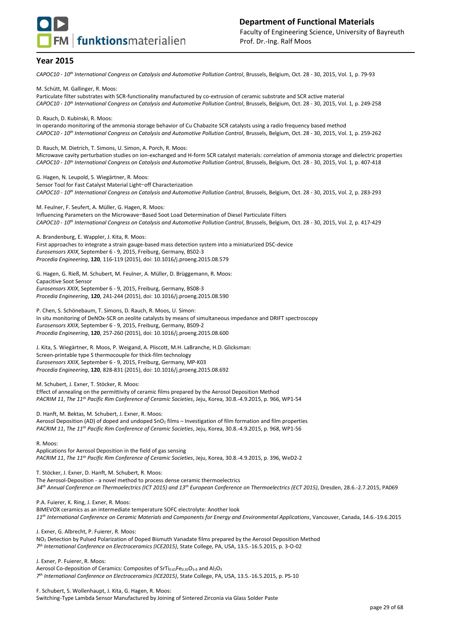

*CAPOC10 - 10th International Congress on Catalysis and Automotive Pollution Control*, Brussels, Belgium, Oct. 28 - 30, 2015, Vol. 1, p. 79-93

M. Schütt, M. Gallinger, R. Moos:

Particulate filter substrates with SCR-functionality manufactured by co-extrusion of ceramic substrate and SCR active material *CAPOC10 - 10th International Congress on Catalysis and Automotive Pollution Control*, Brussels, Belgium, Oct. 28 - 30, 2015, Vol. 1, p. 249-258

D. Rauch, D. Kubinski, R. Moos: In operando monitoring of the ammonia storage behavior of Cu Chabazite SCR catalysts using a radio frequency based method *CAPOC10 - 10th International Congress on Catalysis and Automotive Pollution Control*, Brussels, Belgium, Oct. 28 - 30, 2015, Vol. 1, p. 259-262

D. Rauch, M. Dietrich, T. Simons, U. Simon, A. Porch, R. Moos: Microwave cavity perturbation studies on ion-exchanged and H-form SCR catalyst materials: correlation of ammonia storage and dielectric properties *CAPOC10 - 10th International Congress on Catalysis and Automotive Pollution Control*, Brussels, Belgium, Oct. 28 - 30, 2015, Vol. 1, p. 407-418

G. Hagen, N. Leupold, S. Wiegärtner, R. Moos: Sensor Tool for Fast Catalyst Material Light-off Characterization *CAPOC10 - 10th International Congress on Catalysis and Automotive Pollution Control*, Brussels, Belgium, Oct. 28 - 30, 2015, Vol. 2, p. 283-293

M. Feulner, F. Seufert, A. Müller, G. Hagen, R. Moos: Influencing Parameters on the Microwave-Based Soot Load Determination of Diesel Particulate Filters *CAPOC10 - 10th International Congress on Catalysis and Automotive Pollution Control*, Brussels, Belgium, Oct. 28 - 30, 2015, Vol. 2, p. 417-429

A. Brandenburg, E. Wappler, J. Kita, R. Moos: First approaches to integrate a strain gauge-based mass detection system into a miniaturized DSC-device *Eurosensors XXIX*, September 6 - 9, 2015, Freiburg, Germany, BS02-3 *Procedia Engineering*, **120**, 116-119 (2015), doi: 10.1016/j.proeng.2015.08.579

G. Hagen, G. Rieß, M. Schubert, M. Feulner, A. Müller, D. Brüggemann, R. Moos: Capacitive Soot Sensor *Eurosensors XXIX*, September 6 - 9, 2015, Freiburg, Germany, BS08-3 *Procedia Engineering*, **120**, 241-244 (2015), doi: 10.1016/j.proeng.2015.08.590

P. Chen, S. Schönebaum, T. Simons, D. Rauch, R. Moos, U. Simon: In situ monitoring of DeNOx-SCR on zeolite catalysts by means of simultaneous impedance and DRIFT spectroscopy *Eurosensors XXIX*, September 6 - 9, 2015, Freiburg, Germany, BS09-2 *Procedia Engineering*, **120**, 257-260 (2015), doi: 10.1016/j.proeng.2015.08.600

J. Kita, S. Wiegärtner, R. Moos, P. Weigand, A. Pliscott, M.H. LaBranche, H.D. Glicksman: Screen-printable type S thermocouple for thick-film technology *Eurosensors XXIX*, September 6 - 9, 2015, Freiburg, Germany, MP-K03 *Procedia Engineering*, **120**, 828-831 (2015), doi: 10.1016/j.proeng.2015.08.692

M. Schubert, J. Exner, T. Stöcker, R. Moos: Effect of annealing on the permittivity of ceramic films prepared by the Aerosol Deposition Method *PACRIM 11*, *The 11th Pacific Rim Conference of Ceramic Societies*, Jeju, Korea, 30.8.-4.9.2015, p. 966, WP1-54

D. Hanft, M. Bektas, M. Schubert, J. Exner, R. Moos: Aerosol Deposition (AD) of doped and undoped SnO<sub>2</sub> films – Investigation of film formation and film properties *PACRIM 11*, *The 11th Pacific Rim Conference of Ceramic Societies*, Jeju, Korea, 30.8.-4.9.2015, p. 968, WP1-56

R. Moos:

Applications for Aerosol Deposition in the field of gas sensing *PACRIM 11*, *The 11th Pacific Rim Conference of Ceramic Societies*, Jeju, Korea, 30.8.-4.9.2015, p. 396, WeD2-2

T. Stöcker, J. Exner, D. Hanft, M. Schubert, R. Moos:

The Aerosol-Deposition - a novel method to process dense ceramic thermoelectrics

*34th Annual Conference on Thermoelectrics (ICT 2015) and 13th European Conference on Thermoelectrics (ECT 2015)*, Dresden, 28.6.-2.7.2015, PA069

P.A. Fuierer, K. Ring, J. Exner, R. Moos:

BIMEVOX ceramics as an intermediate temperature SOFC electrolyte: Another look *11th International Conference on Ceramic Materials and Components for Energy and Environmental Applications*, Vancouver, Canada, 14.6.-19.6.2015

J. Exner, G. Albrecht, P. Fuierer, R. Moos:

NO<sup>2</sup> Detection by Pulsed Polarization of Doped Bismuth Vanadate films prepared by the Aerosol Deposition Method *7 th International Conference on Electroceramics (ICE2015)*, State College, PA, USA, 13.5.-16.5.2015, p. 3-O-02

J. Exner, P. Fuierer, R. Moos: Aerosol Co-deposition of Ceramics: Composites of SrTi $_{0.65}$ Fe $_{0.35}$ O<sub>3-δ</sub> and Al<sub>2</sub>O<sub>3</sub> *7 th International Conference on Electroceramics (ICE2015)*, State College, PA, USA, 13.5.-16.5.2015, p. PS-10

F. Schubert, S. Wollenhaupt, J. Kita, G. Hagen, R. Moos:

Switching-Type Lambda Sensor Manufactured by Joining of Sintered Zirconia via Glass Solder Paste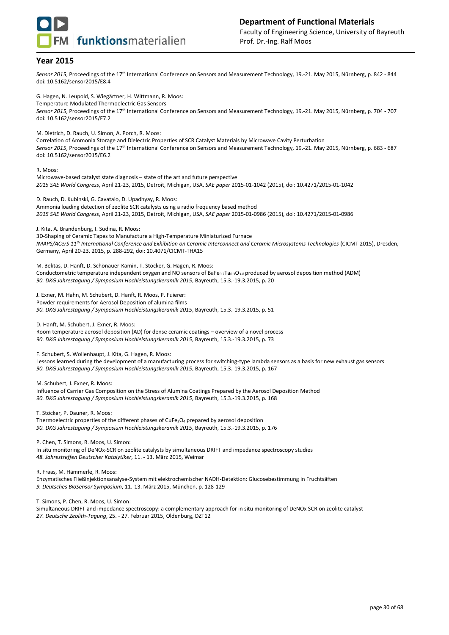

Sensor 2015, Proceedings of the 17<sup>th</sup> International Conference on Sensors and Measurement Technology, 19.-21. May 2015, Nürnberg, p. 842 - 844 doi: 10.5162/sensor2015/E8.4

G. Hagen, N. Leupold, S. Wiegärtner, H. Wittmann, R. Moos: Temperature Modulated Thermoelectric Gas Sensors Sensor 2015, Proceedings of the 17<sup>th</sup> International Conference on Sensors and Measurement Technology, 19.-21. May 2015, Nürnberg, p. 704 - 707 doi: 10.5162/sensor2015/E7.2

M. Dietrich, D. Rauch, U. Simon, A. Porch, R. Moos:

Correlation of Ammonia Storage and Dielectric Properties of SCR Catalyst Materials by Microwave Cavity Perturbation Sensor 2015, Proceedings of the 17<sup>th</sup> International Conference on Sensors and Measurement Technology, 19.-21. May 2015, Nürnberg, p. 683 - 687 doi: 10.5162/sensor2015/E6.2

#### R. Moos:

Microwave-based catalyst state diagnosis – state of the art and future perspective *2015 SAE World Congress*, April 21-23, 2015, Detroit, Michigan, USA, *SAE paper* 2015-01-1042 (2015), doi: 10.4271/2015-01-1042

D. Rauch, D. Kubinski, G. Cavataio, D. Upadhyay, R. Moos: Ammonia loading detection of zeolite SCR catalysts using a radio frequency based method *2015 SAE World Congress*, April 21-23, 2015, Detroit, Michigan, USA, *SAE paper* 2015-01-0986 (2015), doi: 10.4271/2015-01-0986

J. Kita, A. Brandenburg, I. Sudina, R. Moos:

3D-Shaping of Ceramic Tapes to Manufacture a High-Temperature Miniaturized Furnace *IMAPS/ACerS 11th International Conference and Exhibition on Ceramic Interconnect and Ceramic Microsystems Technologies* (CICMT 2015), Dresden, Germany, April 20-23, 2015, p. 288-292, doi: 10.4071/CICMT-THA15

M. Bektas, D. Hanft, D. Schönauer-Kamin, T. Stöcker, G. Hagen, R. Moos: Conductometric temperature independent oxygen and NO sensors of BaFe $_{0.7}$ Ta $_{0.3}$ O<sub>3-δ</sub> produced by aerosol deposition method (ADM) *90. DKG Jahrestagung / Symposium Hochleistungskeramik 2015*, Bayreuth, 15.3.-19.3.2015, p. 20

J. Exner, M. Hahn, M. Schubert, D. Hanft, R. Moos, P. Fuierer: Powder requirements for Aerosol Deposition of alumina films *90. DKG Jahrestagung / Symposium Hochleistungskeramik 2015*, Bayreuth, 15.3.-19.3.2015, p. 51

D. Hanft, M. Schubert, J. Exner, R. Moos:

Room temperature aerosol deposition (AD) for dense ceramic coatings – overview of a novel process *90. DKG Jahrestagung / Symposium Hochleistungskeramik 2015*, Bayreuth, 15.3.-19.3.2015, p. 73

F. Schubert, S. Wollenhaupt, J. Kita, G. Hagen, R. Moos:

Lessons learned during the development of a manufacturing process for switching-type lambda sensors as a basis for new exhaust gas sensors *90. DKG Jahrestagung / Symposium Hochleistungskeramik 2015*, Bayreuth, 15.3.-19.3.2015, p. 167

M. Schubert, J. Exner, R. Moos:

Influence of Carrier Gas Composition on the Stress of Alumina Coatings Prepared by the Aerosol Deposition Method *90. DKG Jahrestagung / Symposium Hochleistungskeramik 2015*, Bayreuth, 15.3.-19.3.2015, p. 168

T. Stöcker, P. Dauner, R. Moos:

Thermoelectric properties of the different phases of CuFe<sub>2</sub>O<sub>4</sub> prepared by aerosol deposition *90. DKG Jahrestagung / Symposium Hochleistungskeramik 2015*, Bayreuth, 15.3.-19.3.2015, p. 176

P. Chen, T. Simons, R. Moos, U. Simon:

In situ monitoring of DeNOx-SCR on zeolite catalysts by simultaneous DRIFT and impedance spectroscopy studies *48. Jahrestreffen Deutscher Katalytiker*, 11. - 13. März 2015, Weimar

R. Fraas, M. Hämmerle, R. Moos:

Enzymatisches Fließinjektionsanalyse-System mit elektrochemischer NADH-Detektion: Glucosebestimmung in Fruchtsäften *9. Deutsches BioSensor Symposium*, 11.-13. März 2015, München, p. 128-129

T. Simons, P. Chen, R. Moos, U. Simon:

Simultaneous DRIFT and impedance spectroscopy: a complementary approach for in situ monitoring of DeNOx SCR on zeolite catalyst *27. Deutsche Zeolith-Tagung*, 25. - 27. Februar 2015, Oldenburg, DZT12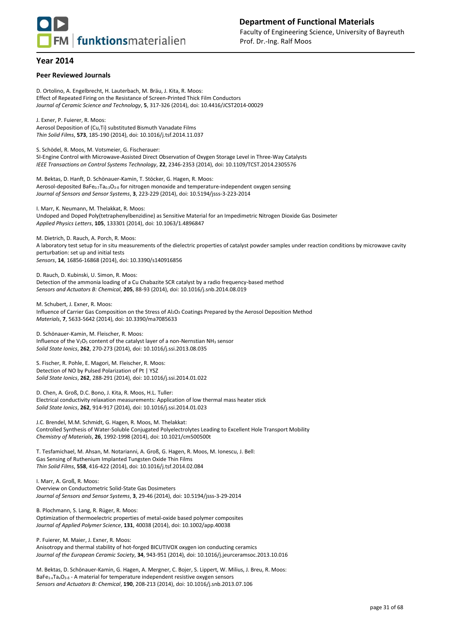

#### **Peer Reviewed Journals**

D. Ortolino, A. Engelbrecht, H. Lauterbach, M. Bräu, J. Kita, R. Moos: Effect of Repeated Firing on the Resistance of Screen-Printed Thick Film Conductors *Journal of Ceramic Science and Technology*, **5**, 317-326 (2014), doi: 10.4416/JCST2014-00029

J. Exner, P. Fuierer, R. Moos: Aerosol Deposition of (Cu,Ti) substituted Bismuth Vanadate Films *Thin Solid Films*, **573**, 185-190 (2014), doi: 10.1016/j.tsf.2014.11.037

S. Schödel, R. Moos, M. Votsmeier, G. Fischerauer: SI-Engine Control with Microwave-Assisted Direct Observation of Oxygen Storage Level in Three-Way Catalysts *IEEE Transactions on Control Systems Technology*, **22**, 2346-2353 (2014), doi: 10.1109/TCST.2014.2305576

M. Bektas, D. Hanft, D. Schönauer-Kamin, T. Stöcker, G. Hagen, R. Moos: Aerosol-deposited BaFe<sub>0.7</sub>Ta<sub>0.3</sub>O<sub>3-δ</sub> for nitrogen monoxide and temperature-independent oxygen sensing *Journal of Sensors and Sensor Systems*, **3**, 223-229 (2014), doi: 10.5194/jsss-3-223-2014

I. Marr, K. Neumann, M. Thelakkat, R. Moos: Undoped and Doped Poly(tetraphenylbenzidine) as Sensitive Material for an Impedimetric Nitrogen Dioxide Gas Dosimeter *Applied Physics Letters*, **105**, 133301 (2014), doi: 10.1063/1.4896847

M. Dietrich, D. Rauch, A. Porch, R. Moos: A laboratory test setup for in situ measurements of the dielectric properties of catalyst powder samples under reaction conditions by microwave cavity perturbation: set up and initial tests *Sensors*, **14**, 16856-16868 (2014), doi: 10.3390/s140916856

D. Rauch, D. Kubinski, U. Simon, R. Moos: Detection of the ammonia loading of a Cu Chabazite SCR catalyst by a radio frequency-based method *Sensors and Actuators B: Chemical*, **205**, 88-93 (2014), doi: 10.1016/j.snb.2014.08.019

M. Schubert, J. Exner, R. Moos: Influence of Carrier Gas Composition on the Stress of Al<sub>2</sub>O<sub>3</sub> Coatings Prepared by the Aerosol Deposition Method *Materials*, **7**, 5633-5642 (2014), doi: 10.3390/ma7085633

D. Schönauer-Kamin, M. Fleischer, R. Moos: Influence of the V<sub>2</sub>O<sub>5</sub> content of the catalyst layer of a non-Nernstian NH<sub>3</sub> sensor *Solid State Ionics*, **262**, 270-273 (2014), doi: 10.1016/j.ssi.2013.08.035

S. Fischer, R. Pohle, E. Magori, M. Fleischer, R. Moos: Detection of NO by Pulsed Polarization of Pt | YSZ *Solid State Ionics*, **262**, 288-291 (2014), doi: 10.1016/j.ssi.2014.01.022

D. Chen, A. Groß, D.C. Bono, J. Kita, R. Moos, H.L. Tuller: Electrical conductivity relaxation measurements: Application of low thermal mass heater stick *Solid State Ionics*, **262**, 914-917 (2014), doi: 10.1016/j.ssi.2014.01.023

J.C. Brendel, M.M. Schmidt, G. Hagen, R. Moos, M. Thelakkat: Controlled Synthesis of Water-Soluble Conjugated Polyelectrolytes Leading to Excellent Hole Transport Mobility *Chemistry of Materials*, **26**, 1992-1998 (2014), doi: 10.1021/cm500500t

T. Tesfamichael, M. Ahsan, M. Notarianni, A. Groß, G. Hagen, R. Moos, M. Ionescu, J. Bell: Gas Sensing of Ruthenium Implanted Tungsten Oxide Thin Films *Thin Solid Films*, **558**, 416-422 (2014), doi: 10.1016/j.tsf.2014.02.084

I. Marr, A. Groß, R. Moos: Overview on Conductometric Solid-State Gas Dosimeters *Journal of Sensors and Sensor Systems*, **3**, 29-46 (2014), doi: 10.5194/jsss-3-29-2014

B. Plochmann, S. Lang, R. Rüger, R. Moos: Optimization of thermoelectric properties of metal-oxide based polymer composites *Journal of Applied Polymer Science*, **131**, 40038 (2014), doi: 10.1002/app.40038

P. Fuierer, M. Maier, J. Exner, R. Moos: Anisotropy and thermal stability of hot-forged BICUTIVOX oxygen ion conducting ceramics *Journal of the European Ceramic Society*, **34**, 943-951 (2014), doi: 10.1016/j.jeurceramsoc.2013.10.016

M. Bektas, D. Schönauer-Kamin, G. Hagen, A. Mergner, C. Bojer, S. Lippert, W. Milius, J. Breu, R. Moos: BaFe<sub>1-x</sub>Ta<sub>x</sub>O<sub>3-δ</sub> - A material for temperature independent resistive oxygen sensors *Sensors and Actuators B: Chemical*, **190**, 208-213 (2014), doi: 10.1016/j.snb.2013.07.106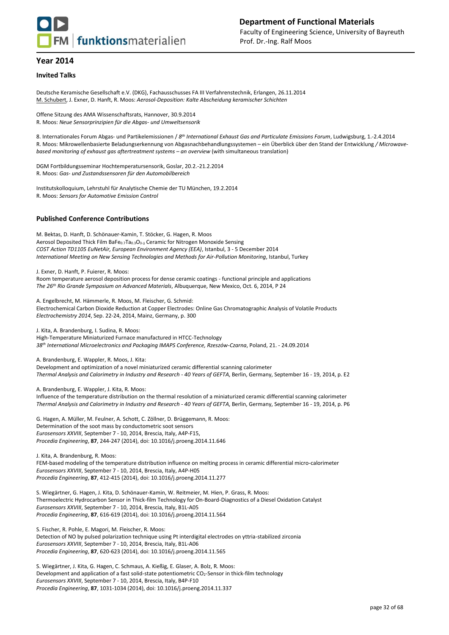

#### **Invited Talks**

Deutsche Keramische Gesellschaft e.V. (DKG), Fachausschusses FA III Verfahrenstechnik, Erlangen, 26.11.2014 M. Schubert, J. Exner, D. Hanft, R. Moos: *Aerosol-Deposition: Kalte Abscheidung keramischer Schichten*

Offene Sitzung des AMA Wissenschaftsrats, Hannover, 30.9.2014 R. Moos: *Neue Sensorprinzipien für die Abgas- und Umweltsensorik*

8. Internationales Forum Abgas- und Partikelemissionen / *8 th International Exhaust Gas and Particulate Emissions Forum*, Ludwigsburg, 1.-2.4.2014 R. Moos: Mikrowellenbasierte Beladungserkennung von Abgasnachbehandlungssystemen – ein Überblick über den Stand der Entwicklung */ Microwavebased monitoring of exhaust gas aftertreatment systems - an overview (with simultaneous translation)* 

DGM Fortbildungsseminar Hochtemperatursensorik, Goslar, 20.2.-21.2.2014 R. Moos: *Gas- und Zustandssensoren für den Automobilbereich*

Institutskolloquium, Lehrstuhl für Analytische Chemie der TU München, 19.2.2014 R. Moos: *Sensors for Automotive Emission Control*

#### **Published Conference Contributions**

M. Bektas, D. Hanft, D. Schönauer-Kamin, T. Stöcker, G. Hagen, R. Moos Aerosol Deposited Thick Film BaFe $_{0.7}$ Ta $_{0.3}$ O<sub>3- $\delta$ </sub> Ceramic for Nitrogen Monoxide Sensing *COST Action TD1105 EuNetAir, European Environment Agency (EEA)*, Istanbul, 3 - 5 December 2014 *International Meeting on New Sensing Technologies and Methods for Air-Pollution Monitoring*, Istanbul, Turkey

J. Exner, D. Hanft, P. Fuierer, R. Moos:

Room temperature aerosol deposition process for dense ceramic coatings - functional principle and applications *The 26th Rio Grande Symposium on Advanced Materials*, Albuquerque, New Mexico, Oct. 6, 2014, P 24

A. Engelbrecht, M. Hämmerle, R. Moos, M. Fleischer, G. Schmid: Electrochemical Carbon Dioxide Reduction at Copper Electrodes: Online Gas Chromatographic Analysis of Volatile Products *Electrochemistry 2014*, Sep. 22-24, 2014, Mainz, Germany, p. 300

J. Kita, A. Brandenburg, I. Sudina, R. Moos:

High-Temperature Miniaturized Furnace manufactured in HTCC-Technology *38th International Microelectronics and Packaging IMAPS Conference, Rzeszów-Czarna*, Poland, 21. - 24.09.2014

A. Brandenburg, E. Wappler, R. Moos, J. Kita:

Development and optimization of a novel miniaturized ceramic differential scanning calorimeter *Thermal Analysis and Calorimetry in Industry and Research - 40 Years of GEFTA*, Berlin, Germany, September 16 - 19, 2014, p. E2

A. Brandenburg, E. Wappler, J. Kita, R. Moos:

Influence of the temperature distribution on the thermal resolution of a miniaturized ceramic differential scanning calorimeter *Thermal Analysis and Calorimetry in Industry and Research - 40 Years of GEFTA*, Berlin, Germany, September 16 - 19, 2014, p. P6

G. Hagen, A. Müller, M. Feulner, A. Schott, C. Zöllner, D. Brüggemann, R. Moos: Determination of the soot mass by conductometric soot sensors *Eurosensors XXVIII*, September 7 - 10, 2014, Brescia, Italy, A4P-F15, *Procedia Engineering*, **87**, 244-247 (2014), doi: 10.1016/j.proeng.2014.11.646

J. Kita, A. Brandenburg, R. Moos: FEM-based modeling of the temperature distribution influence on melting process in ceramic differential micro-calorimeter *Eurosensors XXVIII*, September 7 - 10, 2014, Brescia, Italy, A4P-H05 *Procedia Engineering*, **87**, 412-415 (2014), doi: 10.1016/j.proeng.2014.11.277

S. Wiegärtner, G. Hagen, J. Kita, D. Schönauer-Kamin, W. Reitmeier, M. Hien, P. Grass, R. Moos: Thermoelectric Hydrocarbon Sensor in Thick-film Technology for On-Board-Diagnostics of a Diesel Oxidation Catalyst *Eurosensors XXVIII*, September 7 - 10, 2014, Brescia, Italy, B1L-A05 *Procedia Engineering*, **87**, 616-619 (2014), doi: 10.1016/j.proeng.2014.11.564

S. Fischer, R. Pohle, E. Magori, M. Fleischer, R. Moos: Detection of NO by pulsed polarization technique using Pt interdigital electrodes on yttria-stabilized zirconia *Eurosensors XXVIII*, September 7 - 10, 2014, Brescia, Italy, B1L-A06 *Procedia Engineering*, **87**, 620-623 (2014), doi: 10.1016/j.proeng.2014.11.565

S. Wiegärtner, J. Kita, G. Hagen, C. Schmaus, A. Kießig, E. Glaser, A. Bolz, R. Moos: Development and application of a fast solid-state potentiometric CO<sub>2</sub>-Sensor in thick-film technology *Eurosensors XXVIII*, September 7 - 10, 2014, Brescia, Italy, B4P-F10 *Procedia Engineering*, **87**, 1031-1034 (2014), doi: 10.1016/j.proeng.2014.11.337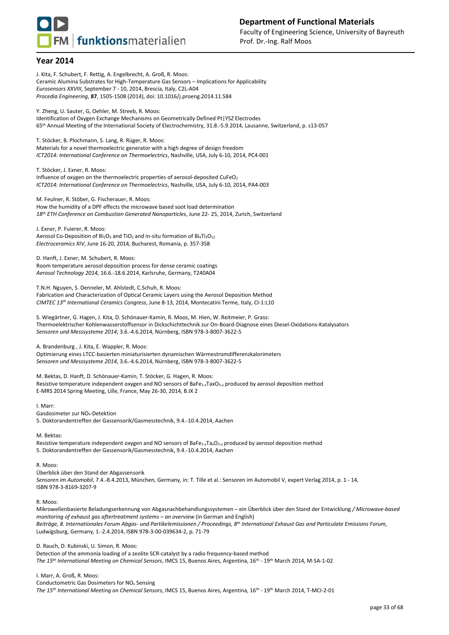

J. Kita, F. Schubert, F. Rettig, A. Engelbrecht, A. Groß, R. Moos: Ceramic Alumina Substrates for High-Temperature Gas Sensors – Implications for Applicability *Eurosensors XXVIII*, September 7 - 10, 2014, Brescia, Italy, C2L-A04 *Procedia Engineering*, **87**, 1505-1508 (2014), doi: 10.1016/j.proeng.2014.11.584 Y. Zheng, U. Sauter, G, Oehler, M. Streeb, R. Moos: Identification of Oxygen Exchange Mechanisms on Geometrically Defined Pt|YSZ Electrodes 65th Annual Meeting of the International Society of Electrochemistry, 31.8.-5.9.2014, Lausanne, Switzerland, p. s13-057 T. Stöcker, B. Plochmann, S. Lang, R. Rüger, R. Moos: Materials for a novel thermoelectric generator with a high degree of design freedom *ICT2014: International Conference on Thermoelectrics*, Nashville, USA, July 6-10, 2014, PC4-001 T. Stöcker, J. Exner, R. Moos: Influence of oxygen on the thermoelectric properties of aerosol-deposited CuFeO<sub>2</sub> *ICT2014: International Conference on Thermoelectrics*, Nashville, USA, July 6-10, 2014, PA4-003 M. Feulner, R. Stöber, G. Fischerauer, R. Moos: How the humidity of a DPF effects the microwave based soot load determination *18th ETH Conference on Combustion Generated Nanoparticles*, June 22- 25, 2014, Zurich, Switzerland J. Exner, P. Fuierer, R. Moos: Aerosol Co-Deposition of Bi<sub>2</sub>O<sub>3</sub> and TiO<sub>2</sub> and in-situ formation of Bi<sub>4</sub>Ti<sub>3</sub>O<sub>12</sub> *Electroceramics XIV*, June 16-20, 2014, Bucharest, Romania, p. 357-358 D. Hanft, J. Exner, M. Schubert, R. Moos: Room temperature aerosol deposition process for dense ceramic coatings *Aerosol Technology 2014*, 16.6.-18.6.2014, Karlsruhe, Germany, T240A04 T.N.H. Nguyen, S. Denneler, M. Ahlstedt, C.Schuh, R. Moos: Fabrication and Characterization of Optical Ceramic Layers using the Aerosol Deposition Method *CIMTEC 13th International Ceramics Congress*, June 8-13, 2014, Montecatini Terme, Italy, CI-1:L10 S. Wiegärtner, G. Hagen, J. Kita, D. Schönauer-Kamin, R. Moos, M. Hien, W. Reitmeier, P. Grass: Thermoelektrischer Kohlenwasserstoffsensor in Dickschichttechnik zur On-Board-Diagnose eines Diesel-Oxidations-Katalysators *Sensoren und Messsysteme 2014*, 3.6.-4.6.2014, Nürnberg, ISBN 978-3-8007-3622-5 A. Brandenburg , J. Kita, E. Wappler, R. Moos: Optimierung eines LTCC-basierten miniaturisierten dynamischen Wärmestromdifferenzkalorimeters *Sensoren und Messsysteme 2014*, 3.6.-4.6.2014, Nürnberg, ISBN 978-3-8007-3622-5 M. Bektas, D. Hanft, D. Schönauer-Kamin, T. Stöcker, G. Hagen, R. Moos: Resistive temperature independent oxygen and NO sensors of BaFe<sub>1-x</sub>TaxO<sub>3- $\delta$ </sub> produced by aerosol deposition method E-MRS 2014 Spring Meeting, Lille, France, May 26-30, 2014, B.IX 2 I. Marr: Gasdosimeter zur NOx-Detektion 5. Doktorandentreffen der Gassensorik/Gasmesstechnik, 9.4.-10.4.2014, Aachen M. Bektas: Resistive temperature independent oxygen and NO sensors of  $BaFe_{1x}Ta_xO_{3-\delta}$  produced by aerosol deposition method 5. Doktorandentreffen der Gassensorik/Gasmesstechnik, 9.4.-10.4.2014, Aachen R. Moos: Überblick über den Stand der Abgassensorik *Sensoren im Automobil*, 7.4.-8.4.2013, München, Germany, in: T. Tille et al.: Sensoren im Automobil V, expert Verlag 2014, p. 1 - 14, ISBN 978-3-8169-3207-9 R. Moos: *monitoring of exhaust gas aftertreatment systems – an overview (in German and English)* 

Mikrowellenbasierte Beladungserkennung von Abgasnachbehandlungssystemen – ein Überblick über den Stand der Entwicklung */ Microwave-based Beiträge, 8. Internationales Forum Abgas- und Partikelemissionen / Proceedings, 8th International Exhaust Gas and Particulate Emissions Forum,* Ludwigsburg, Germany, 1.-2.4.2014, ISBN 978-3-00-039634-2, p. 71-79

D. Rauch, D. Kubinski, U. Simon, R. Moos: Detection of the ammonia loading of a zeolite SCR-catalyst by a radio frequency-based method *The 15th International Meeting on Chemical Sensors*, IMCS 15, Buenos Aires, Argentina, 16th - 19th March 2014, M-SA-1-02

I. Marr, A. Groß, R. Moos:

Conductometric Gas Dosimeters for NO<sup>x</sup> Sensing *The 15th International Meeting on Chemical Sensors*, IMCS 15, Buenos Aires, Argentina, 16th - 19th March 2014, T-MCI-2-01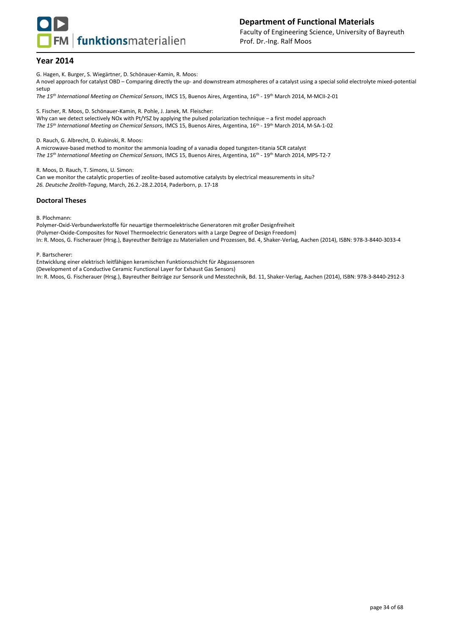

G. Hagen, K. Burger, S. Wiegärtner, D. Schönauer-Kamin, R. Moos:

A novel approach for catalyst OBD – Comparing directly the up- and downstream atmospheres of a catalyst using a special solid electrolyte mixed-potential setup

*The 15th International Meeting on Chemical Sensors*, IMCS 15, Buenos Aires, Argentina, 16th - 19th March 2014, M-MCII-2-01

S. Fischer, R. Moos, D. Schönauer-Kamin, R. Pohle, J. Janek, M. Fleischer: Why can we detect selectively NOx with Pt/YSZ by applying the pulsed polarization technique – a first model approach *The 15th International Meeting on Chemical Sensors*, IMCS 15, Buenos Aires, Argentina, 16th - 19th March 2014, M-SA-1-02

D. Rauch, G. Albrecht, D. Kubinski, R. Moos:

A microwave-based method to monitor the ammonia loading of a vanadia doped tungsten-titania SCR catalyst *The 15th International Meeting on Chemical Sensors*, IMCS 15, Buenos Aires, Argentina, 16th - 19th March 2014, MPS-T2-7

R. Moos, D. Rauch, T. Simons, U. Simon:

Can we monitor the catalytic properties of zeolite-based automotive catalysts by electrical measurements in situ? *26. Deutsche Zeolith-Tagung*, March, 26.2.-28.2.2014, Paderborn, p. 17-18

#### **Doctoral Theses**

B. Plochmann:

Polymer-Oxid-Verbundwerkstoffe für neuartige thermoelektrische Generatoren mit großer Designfreiheit (Polymer-Oxide-Composites for Novel Thermoelectric Generators with a Large Degree of Design Freedom) In: R. Moos, G. Fischerauer (Hrsg.), Bayreuther Beiträge zu Materialien und Prozessen, Bd. 4, Shaker-Verlag, Aachen (2014), ISBN: 978-3-8440-3033-4

P. Bartscherer:

Entwicklung einer elektrisch leitfähigen keramischen Funktionsschicht für Abgassensoren

(Development of a Conductive Ceramic Functional Layer for Exhaust Gas Sensors)

In: R. Moos, G. Fischerauer (Hrsg.), Bayreuther Beiträge zur Sensorik und Messtechnik, Bd. 11, Shaker-Verlag, Aachen (2014), ISBN: 978-3-8440-2912-3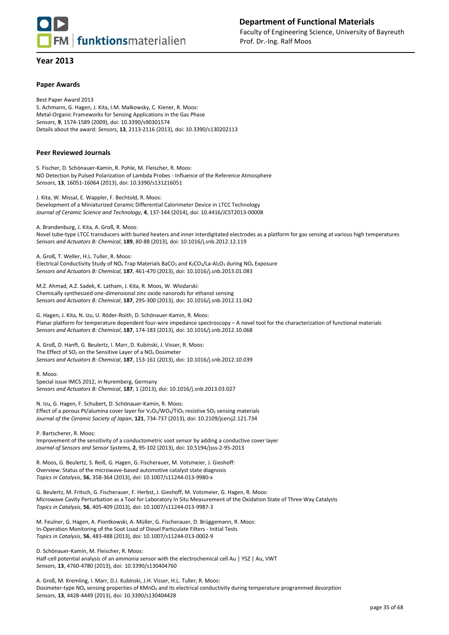

#### **Paper Awards**

Best Paper Award 2013 S. Achmann, G. Hagen, J. Kita, I.M. Malkowsky, C. Kiener, R. Moos: Metal-Organic Frameworks for Sensing Applications in the Gas Phase *Sensors*, **9**, 1574-1589 (2009), doi: 10.3390/s90301574 Details about the award: *Sensors*, **13**, 2113-2116 (2013), doi: 10.3390/s130202113

#### **Peer Reviewed Journals**

S. Fischer, D. Schönauer-Kamin, R. Pohle, M. Fleischer, R. Moos: NO Detection by Pulsed Polarization of Lambda Probes - Influence of the Reference Atmosphere *Sensors*, **13**, 16051-16064 (2013), doi: 10.3390/s131216051

J. Kita, W. Missal, E. Wappler, F. Bechtold, R. Moos: Development of a Miniaturized Ceramic Differential Calorimeter Device in LTCC Technology *Journal of Ceramic Science and Technology*, **4**, 137-144 (2014), doi: 10.4416/JCST2013-00008

A. Brandenburg, J. Kita, A. Groß, R. Moos:

Novel tube-type LTCC transducers with buried heaters and inner interdigitated electrodes as a platform for gas sensing at various high temperatures *Sensors and Actuators B: Chemical*, **189**, 80-88 (2013), doi: 10.1016/j.snb.2012.12.119

A. Groß, T. Weller, H.L. Tuller, R. Moos: Electrical Conductivity Study of NO<sub>x</sub> Trap Materials BaCO<sub>3</sub> and K<sub>2</sub>CO<sub>3</sub>/La-Al<sub>2</sub>O<sub>3</sub> during NO<sub>x</sub> Exposure *Sensors and Actuators B: Chemical*, **187**, 461-470 (2013), doi: 10.1016/j.snb.2013.01.083

M.Z. Ahmad, A.Z. Sadek, K. Latham, J. Kita, R. Moos, W. Wlodarski: Chemically synthesized one-dimensional zinc oxide nanorods for ethanol sensing *Sensors and Actuators B: Chemical*, **187**, 295-300 (2013), doi: 10.1016/j.snb.2012.11.042

G. Hagen, J. Kita, N. Izu, U. Röder-Roith, D. Schönauer-Kamin, R. Moos: Planar platform for temperature dependent four-wire impedance spectroscopy – A novel tool for the characterization of functional materials *Sensors and Actuators B: Chemical*, **187**, 174-183 (2013), doi: 10.1016/j.snb.2012.10.068

A. Groß, D. Hanft, G. Beulertz, I. Marr, D. Kubinski, J. Visser, R. Moos: The Effect of  $SO_2$  on the Sensitive Layer of a  $NO<sub>x</sub>$  Dosimeter *Sensors and Actuators B: Chemical*, **187**, 153-161 (2013), doi: 10.1016/j.snb.2012.10.039

R. Moos: Special issue IMCS 2012, in Nuremberg, Germany *Sensors and Actuators B: Chemical*, **187**, 1 (2013), doi: 10.1016/j.snb.2013.03.027

N. Izu, G. Hagen, F. Schubert, D. Schönauer-Kamin, R. Moos: Effect of a porous Pt/alumina cover layer for  $V_2O_5/WO_3/TiO_2$  resistive SO<sub>2</sub> sensing materials *Journal of the Ceramic Society of Japan*, **121**, 734-737 (2013), doi: 10.2109/jcersj2.121.734

P. Bartscherer, R. Moos: Improvement of the sensitivity of a conductometric soot sensor by adding a conductive cover layer *Journal of Sensors and Sensor Systems,* **2**, 95-102 (2013), doi: 10.5194/jsss-2-95-2013

R. Moos, G. Beulertz, S. Reiß, G. Hagen, G. Fischerauer, M. Votsmeier, J. Gieshoff: Overview: Status of the microwave-based automotive catalyst state diagnosis *Topics in Catalysis*, **56**, 358-364 (2013), doi: 10.1007/s11244-013-9980-x

G. Beulertz, M. Fritsch, G. Fischerauer, F. Herbst, J. Gieshoff, M. Votsmeier, G. Hagen, R. Moos: Microwave Cavity Perturbation as a Tool for Laboratory In Situ Measurement of the Oxidation State of Three Way Catalysts *Topics in Catalysis*, **56**, 405-409 (2013), doi: 10.1007/s11244-013-9987-3

M. Feulner, G. Hagen, A. Piontkowski, A. Müller, G. Fischerauer, D. Brüggemann, R. Moos: In-Operation Monitoring of the Soot Load of Diesel Particulate Filters - Initial Tests *Topics in Catalysis*, **56**, 483-488 (2013), doi: 10.1007/s11244-013-0002-9

D. Schönauer-Kamin, M. Fleischer, R. Moos:

Half-cell potential analysis of an ammonia sensor with the electrochemical cell Au | YSZ | Au, VWT *Sensors*, **13**, 4760-4780 (2013), doi: 10.3390/s130404760

A. Groß, M. Kremling, I. Marr, D.J. Kubinski, J.H. Visser, H.L. Tuller, R. Moos: Dosimeter-type NO<sup>x</sup> sensing properties of KMnO<sup>4</sup> and its electrical conductivity during temperature programmed desorption *Sensors*, **13**, 4428-4449 (2013), doi: 10.3390/s130404428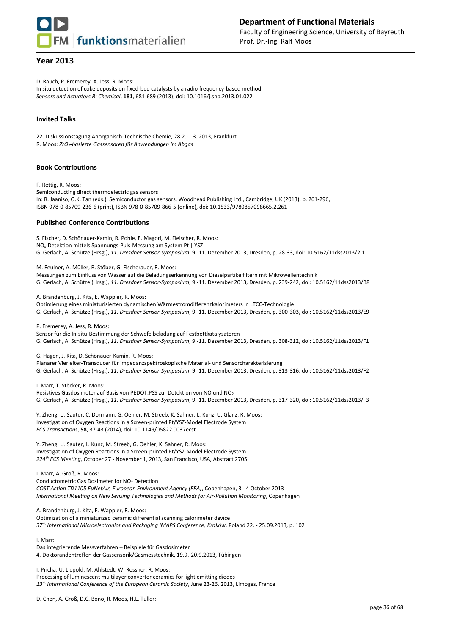

## **Department of Functional Materials** Faculty of Engineering Science, University of Bayreuth Prof. Dr.-Ing. Ralf Moos

## **Year 2013**

D. Rauch, P. Fremerey, A. Jess, R. Moos:

In situ detection of coke deposits on fixed-bed catalysts by a radio frequency-based method *Sensors and Actuators B: Chemical*, **181**, 681-689 (2013), doi: 10.1016/j.snb.2013.01.022

## **Invited Talks**

22. Diskussionstagung Anorganisch-Technische Chemie, 28.2.-1.3. 2013, Frankfurt R. Moos: *ZrO2-basierte Gassensoren für Anwendungen im Abgas*

#### **Book Contributions**

F. Rettig, R. Moos: Semiconducting direct thermoelectric gas sensors In: R. Jaaniso, O.K. Tan (eds.), Semiconductor gas sensors, Woodhead Publishing Ltd., Cambridge, UK (2013), p. 261-296, ISBN 978-0-85709-236-6 (print), ISBN 978-0-85709-866-5 (online), doi: 10.1533/9780857098665.2.261

## **Published Conference Contributions**

S. Fischer, D. Schönauer-Kamin, R. Pohle, E. Magori, M. Fleischer, R. Moos: NOx-Detektion mittels Spannungs-Puls-Messung am System Pt | YSZ G. Gerlach, A. Schütze (Hrsg.), *11. Dresdner Sensor-Symposium*, 9.-11. Dezember 2013, Dresden, p. 28-33, doi: 10.5162/11dss2013/2.1

M. Feulner, A. Müller, R. Stöber, G. Fischerauer, R. Moos: Messungen zum Einfluss von Wasser auf die Beladungserkennung von Dieselpartikelfiltern mit Mikrowellentechnik G. Gerlach, A. Schütze (Hrsg.), *11. Dresdner Sensor-Symposium*, 9.-11. Dezember 2013, Dresden, p. 239-242, doi: 10.5162/11dss2013/B8

A. Brandenburg, J. Kita, E. Wappler, R. Moos:

Optimierung eines miniaturisierten dynamischen Wärmestromdifferenzkalorimeters in LTCC-Technologie G. Gerlach, A. Schütze (Hrsg.), *11. Dresdner Sensor-Symposium*, 9.-11. Dezember 2013, Dresden, p. 300-303, doi: 10.5162/11dss2013/E9

P. Fremerey, A. Jess, R. Moos:

Sensor für die In-situ-Bestimmung der Schwefelbeladung auf Festbettkatalysatoren G. Gerlach, A. Schütze (Hrsg.), *11. Dresdner Sensor-Symposium*, 9.-11. Dezember 2013, Dresden, p. 308-312, doi: 10.5162/11dss2013/F1

G. Hagen, J. Kita, D. Schönauer-Kamin, R. Moos:

Planarer Vierleiter-Transducer für impedanzspektroskopische Material- und Sensorcharakterisierung G. Gerlach, A. Schütze (Hrsg.), *11. Dresdner Sensor-Symposium*, 9.-11. Dezember 2013, Dresden, p. 313-316, doi: 10.5162/11dss2013/F2

I. Marr, T. Stöcker, R. Moos: Resistives Gasdosimeter auf Basis von PEDOT:PSS zur Detektion von NO und NO<sup>2</sup> G. Gerlach, A. Schütze (Hrsg.), *11. Dresdner Sensor-Symposium*, 9.-11. Dezember 2013, Dresden, p. 317-320, doi: 10.5162/11dss2013/F3

Y. Zheng, U. Sauter, C. Dormann, G. Oehler, M. Streeb, K. Sahner, L. Kunz, U. Glanz, R. Moos: Investigation of Oxygen Reactions in a Screen-printed Pt/YSZ-Model Electrode System *ECS Transactions*, **58**, 37-43 (2014), doi: 10.1149/05822.0037ecst

Y. Zheng, U. Sauter, L. Kunz, M. Streeb, G. Oehler, K. Sahner, R. Moos: Investigation of Oxygen Reactions in a Screen-printed Pt/YSZ-Model Electrode System *224th ECS Meeting*, October 27 - November 1, 2013, San Francisco, USA, Abstract 2705

I. Marr, A. Groß, R. Moos: Conductometric Gas Dosimeter for NO<sub>2</sub> Detection *COST Action TD1105 EuNetAir, European Environment Agency (EEA)*, Copenhagen, 3 - 4 October 2013 *International Meeting on New Sensing Technologies and Methods for Air-Pollution Monitoring*, Copenhagen

A. Brandenburg, J. Kita, E. Wappler, R. Moos:

Optimization of a miniaturized ceramic differential scanning calorimeter device *37th International Microelectronics and Packaging IMAPS Conference, Kraków*, Poland 22. - 25.09.2013, p. 102

I. Marr:

Das integrierende Messverfahren – Beispiele für Gasdosimeter 4. Doktorandentreffen der Gassensorik/Gasmesstechnik, 19.9.-20.9.2013, Tübingen

I. Pricha, U. Liepold, M. Ahlstedt, W. Rossner, R. Moos: Processing of luminescent multilayer converter ceramics for light emitting diodes *13th International Conference of the European Ceramic Society*, June 23-26, 2013, Limoges, France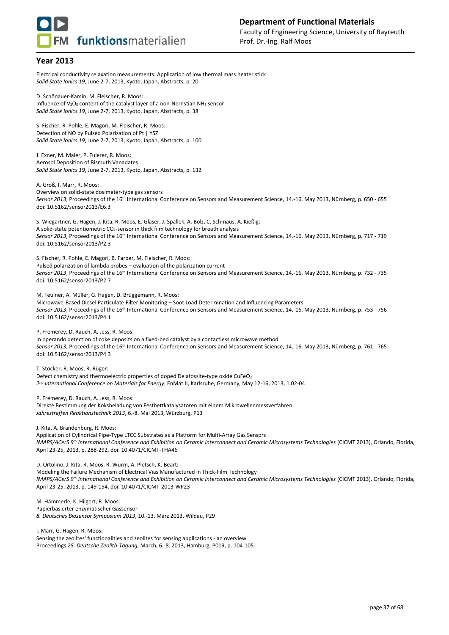

Electrical conductivity relaxation measurements: Application of low thermal mass heater stick *Solid State Ionics 19*, June 2-7, 2013, Kyoto, Japan, Abstracts, p. 20

D. Schönauer-Kamin, M. Fleischer, R. Moos: Influence of V<sub>2</sub>O<sub>5</sub> content of the catalyst layer of a non-Nernstian NH<sub>3</sub> sensor *Solid State Ionics 19*, June 2-7, 2013, Kyoto, Japan, Abstracts, p. 38

S. Fischer, R. Pohle, E. Magori, M. Fleischer, R. Moos: Detection of NO by Pulsed Polarization of Pt | YSZ *Solid State Ionics 19*, June 2-7, 2013, Kyoto, Japan, Abstracts, p. 100

J. Exner, M. Maier, P. Fuierer, R. Moos: Aerosol Deposition of Bismuth Vanadates *Solid State Ionics 19*, June 2-7, 2013, Kyoto, Japan, Abstracts, p. 132

A. Groß, I. Marr, R. Moos:

Overview on solid-state dosimeter-type gas sensors *Sensor 2013*, Proceedings of the 16th International Conference on Sensors and Measurement Science, 14.-16. May 2013, Nürnberg, p. 650 - 655 doi: 10.5162/sensor2013/E6.3

S. Wiegärtner, G. Hagen, J. Kita, R. Moos, E. Glaser, J. Spallek, A. Bolz, C. Schmaus, A. Kießig: A solid-state potentiometric  $CO_2$ -sensor in thick film technology for breath analysis *Sensor 2013*, Proceedings of the 16th International Conference on Sensors and Measurement Science, 14.-16. May 2013, Nürnberg, p. 717 - 719 doi: 10.5162/sensor2013/P2.3

S. Fischer, R. Pohle, E. Magori, B. Farber, M. Fleischer, R. Moos: Pulsed polarization of lambda probes – evaluation of the polarization current *Sensor 2013*, Proceedings of the 16th International Conference on Sensors and Measurement Science, 14.-16. May 2013, Nürnberg, p. 732 - 735 doi: 10.5162/sensor2013/P2.7

M. Feulner, A. Müller, G. Hagen, D. Brüggemann, R. Moos:

Microwave-Based Diesel Particulate Filter Monitoring – Soot Load Determination and Influencing Parameters Sensor 2013, Proceedings of the 16<sup>th</sup> International Conference on Sensors and Measurement Science, 14.-16. May 2013, Nürnberg, p. 753 - 756 doi: 10.5162/sensor2013/P4.1

P. Fremerey, D. Rauch, A. Jess, R. Moos:

In operando detection of coke deposits on a fixed-bed catalyst by a contactless microwave method *Sensor 2013*, Proceedings of the 16th International Conference on Sensors and Measurement Science, 14.-16. May 2013, Nürnberg, p. 761 - 765 doi: 10.5162/sensor2013/P4.3

T. Stöcker, R. Moos, R. Rüger:

Defect chemistry and thermoelectric properties of doped Delafossite-type oxide CuFeO<sub>2</sub> *2 nd International Conference on Materials for Energy*, EnMat II, Karlsruhe, Germany, May 12-16, 2013, 1.02-04

P. Fremerey, D. Rauch, A. Jess, R. Moos:

Direkte Bestimmung der Koksbeladung von Festbettkatalysatoren mit einem Mikrowellenmessverfahren *Jahrestreffen Reaktionstechnik 2013*, 6.-8. Mai 2013, Würzburg, P13

J. Kita, A. Brandenburg, R. Moos:

Application of Cylindrical Pipe-Type LTCC Substrates as a Platform for Multi-Array Gas Sensors *IMAPS/ACerS 9th International Conference and Exhibition on Ceramic Interconnect and Ceramic Microsystems Technologies* (CICMT 2013), Orlando, Florida, April 23-25, 2013, p. 288-292, doi: 10.4071/CICMT-THA46

D. Ortolino, J. Kita, R. Moos, R. Wurm, A. Pletsch, K. Beart:

Modeling the Failure Mechanism of Electrical Vias Manufactured in Thick-Film Technology *IMAPS/ACerS 9th International Conference and Exhibition on Ceramic Interconnect and Ceramic Microsystems Technologies* (CICMT 2013), Orlando, Florida, April 23-25, 2013, p. 149-154, doi: 10.4071/CICMT-2013-WP23

M. Hämmerle, K. Hilgert, R. Moos: Papierbasierter enzymatischer Gassensor *8. Deutsches Biosensor Symposium 2013*, 10.-13. März 2013, Wildau, P29

I. Marr, G. Hagen, R. Moos: Sensing the zeolites' functionalities and zeolites for sensing applications - an overview Proceedings *25. Deutsche Zeolith-Tagung*, March, 6.-8. 2013, Hamburg, P019, p. 104-105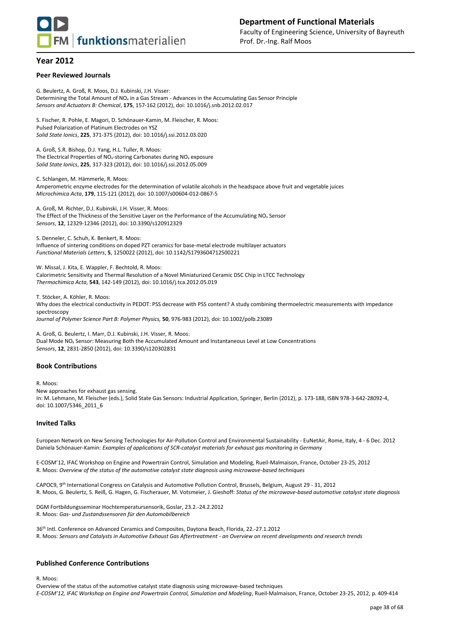

#### **Peer Reviewed Journals**

G. Beulertz, A. Groß, R. Moos, D.J. Kubinski, J.H. Visser: Determining the Total Amount of  $NO_x$  in a Gas Stream - Advances in the Accumulating Gas Sensor Principle *Sensors and Actuators B: Chemical*, **175**, 157-162 (2012), doi: 10.1016/j.snb.2012.02.017

S. Fischer, R. Pohle, E. Magori, D. Schönauer-Kamin, M. Fleischer, R. Moos: Pulsed Polarization of Platinum Electrodes on YSZ *Solid State Ionics*, **225**, 371-375 (2012), doi: 10.1016/j.ssi.2012.03.020

A. Groß, S.R. Bishop, D.J. Yang, H.L. Tuller, R. Moos: The Electrical Properties of  $NO<sub>x</sub>$ -storing Carbonates during  $NO<sub>x</sub>$  exposure *Solid State Ionics*, **225**, 317-323 (2012), doi: 10.1016/j.ssi.2012.05.009

C. Schlangen, M. Hämmerle, R. Moos: Amperometric enzyme electrodes for the determination of volatile alcohols in the headspace above fruit and vegetable juices *Microchimica Acta*, **179**, 115-121 (2012), doi: 10.1007/s00604-012-0867-5

A. Groß, M. Richter, D.J. Kubinski, J.H. Visser, R. Moos: The Effect of the Thickness of the Sensitive Layer on the Performance of the Accumulating NO<sup>x</sup> Sensor *Sensors*, **12**, 12329-12346 (2012), doi: 10.3390/s120912329

S. Denneler, C. Schuh, K. Benkert, R. Moos: Influence of sintering conditions on doped PZT ceramics for base-metal electrode multilayer actuators *Functional Materials Letters*, **5**, 1250022 (2012), doi: 10.1142/S1793604712500221

W. Missal, J. Kita, E. Wappler, F. Bechtold, R. Moos: Calorimetric Sensitivity and Thermal Resolution of a Novel Miniaturized Ceramic DSC Chip in LTCC Technology *Thermochimica Acta*, **543**, 142-149 (2012), doi: 10.1016/j.tca.2012.05.019

T. Stöcker, A. Köhler, R. Moos: Why does the electrical conductivity in PEDOT: PSS decrease with PSS content? A study combining thermoelectric measurements with impedance spectroscopy *Journal of Polymer Science Part B: Polymer Physics,* **50**, 976-983 (2012), doi: 10.1002/polb.23089

A. Groß, G. Beulertz, I. Marr, D.J. Kubinski, J.H. Visser, R. Moos: Dual Mode NO<sup>x</sup> Sensor: Measuring Both the Accumulated Amount and Instantaneous Level at Low Concentrations *Sensors*, **12**, 2831-2850 (2012), doi: 10.3390/s120302831

#### **Book Contributions**

R. Moos:

New approaches for exhaust gas sensing. In: M. Lehmann, M. Fleischer (eds.), Solid State Gas Sensors: Industrial Application, Springer, Berlin (2012), p. 173-188, ISBN 978-3-642-28092-4, doi: 10.1007/5346\_2011\_6

#### **Invited Talks**

European Network on New Sensing Technologies for Air-Pollution Control and Environmental Sustainability - EuNetAir, Rome, Italy, 4 - 6 Dec. 2012 Daniela Schönauer-Kamin: *Examples of applications of SCR-catalyst materials for exhaust gas monitoring in Germany*

E-COSM'12, IFAC Workshop on Engine and Powertrain Control, Simulation and Modeling, Rueil-Malmaison, France, October 23-25, 2012 R. Moos: *Overview of the status of the automotive catalyst state diagnosis using microwave-based techniques*

CAPOC9, 9th International Congress on Catalysis and Automotive Pollution Control, Brussels, Belgium, August 29 - 31, 2012 R. Moos, G. Beulertz, S. Reiß, G. Hagen, G. Fischerauer, M. Votsmeier, J. Gieshoff: *Status of the microwave-based automotive catalyst state diagnosis* 

DGM Fortbildungsseminar Hochtemperatursensorik, Goslar, 23.2.-24.2.2012 R. Moos: *Gas- und Zustandssensoren für den Automobilbereich*

36th Intl. Conference on Advanced Ceramics and Composites, Daytona Beach, Florida, 22.-27.1.2012 R. Moos: *Sensors and Catalysts in Automotive Exhaust Gas Aftertreatment - an Overview on recent developments and research trends*

#### **Published Conference Contributions**

R. Moos:

Overview of the status of the automotive catalyst state diagnosis using microwave-based techniques *E-COSM'12, IFAC Workshop on Engine and Powertrain Control, Simulation and Modeling*, Rueil-Malmaison, France, October 23-25, 2012, p. 409-414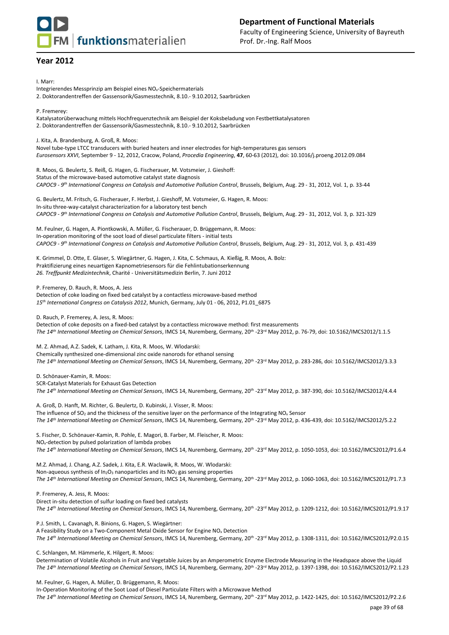# **FM** funktionsmaterialien

## **Department of Functional Materials** Faculty of Engineering Science, University of Bayreuth Prof. Dr.-Ing. Ralf Moos

## **Year 2012**

I. Marr:

Integrierendes Messprinzip am Beispiel eines NOx-Speichermaterials

2. Doktorandentreffen der Gassensorik/Gasmesstechnik, 8.10.- 9.10.2012, Saarbrücken

P. Fremerey:

Katalysatorüberwachung mittels Hochfrequenztechnik am Beispiel der Koksbeladung von Festbettkatalysatoren 2. Doktorandentreffen der Gassensorik/Gasmesstechnik, 8.10.- 9.10.2012, Saarbrücken

J. Kita, A. Brandenburg, A. Groß, R. Moos:

Novel tube-type LTCC transducers with buried heaters and inner electrodes for high-temperatures gas sensors *Eurosensors XXVI*, September 9 - 12, 2012, Cracow, Poland, *Procedia Engineering*, **47**, 60-63 (2012), doi: 10.1016/j.proeng.2012.09.084

R. Moos, G. Beulertz, S. Reiß, G. Hagen, G. Fischerauer, M. Votsmeier, J. Gieshoff: Status of the microwave-based automotive catalyst state diagnosis *CAPOC9 - 9 th International Congress on Catalysis and Automotive Pollution Control*, Brussels, Belgium, Aug. 29 - 31, 2012, Vol. 1, p. 33-44

G. Beulertz, M. Fritsch, G. Fischerauer, F. Herbst, J. Gieshoff, M. Votsmeier, G. Hagen, R. Moos: In-situ three-way-catalyst characterization for a laboratory test bench *CAPOC9 - 9 th International Congress on Catalysis and Automotive Pollution Control*, Brussels, Belgium, Aug. 29 - 31, 2012, Vol. 3, p. 321-329

M. Feulner, G. Hagen, A. Piontkowski, A. Müller, G. Fischerauer, D. Brüggemann, R. Moos: In-operation monitoring of the soot load of diesel particulate filters - initial tests *CAPOC9 - 9 th International Congress on Catalysis and Automotive Pollution Control*, Brussels, Belgium, Aug. 29 - 31, 2012, Vol. 3, p. 431-439

K. Grimmel, D. Otte, E. Glaser, S. Wiegärtner, G. Hagen, J. Kita, C. Schmaus, A. Kießig, R. Moos, A. Bolz: Praktifizierung eines neuartigen Kapnometriesensors für die Fehlintubationserkennung *26. Treffpunkt Medizintechnik*, Charité - Universitätsmedizin Berlin, 7. Juni 2012

P. Fremerey, D. Rauch, R. Moos, A. Jess

Detection of coke loading on fixed bed catalyst by a contactless microwave-based method *15th International Congress on Catalysis 2012*, Munich, Germany, July 01 - 06, 2012, P1.01\_6875

D. Rauch, P. Fremerey, A. Jess, R. Moos:

Detection of coke deposits on a fixed-bed catalyst by a contactless microwave method: first measurements *The 14th International Meeting on Chemical Sensors*, IMCS 14, Nuremberg, Germany, 20th -23rd May 2012, p. 76-79, doi: 10.5162/IMCS2012/1.1.5

M. Z. Ahmad, A.Z. Sadek, K. Latham, J. Kita, R. Moos, W. Wlodarski: Chemically synthesized one-dimensional zinc oxide nanorods for ethanol sensing *The 14th International Meeting on Chemical Sensors*, IMCS 14, Nuremberg, Germany, 20th -23rd May 2012, p. 283-286, doi: 10.5162/IMCS2012/3.3.3

D. Schönauer-Kamin, R. Moos:

SCR-Catalyst Materials for Exhaust Gas Detection The 14<sup>th</sup> International Meeting on Chemical Sensors, IMCS 14, Nuremberg, Germany, 20<sup>th</sup> -23<sup>rd</sup> May 2012, p. 387-390, doi: 10.5162/IMCS2012/4.4.4

A. Groß, D. Hanft, M. Richter, G. Beulertz, D. Kubinski, J. Visser, R. Moos: The influence of SO<sub>2</sub> and the thickness of the sensitive layer on the performance of the Integrating NO<sub>x</sub> Sensor *The 14th International Meeting on Chemical Sensors*, IMCS 14, Nuremberg, Germany, 20th -23rd May 2012, p. 436-439, doi: 10.5162/IMCS2012/5.2.2

S. Fischer, D. Schönauer-Kamin, R. Pohle, E. Magori, B. Farber, M. Fleischer, R. Moos: NOx-detection by pulsed polarization of lambda probes The 14<sup>th</sup> International Meeting on Chemical Sensors, IMCS 14, Nuremberg, Germany, 20<sup>th</sup> -23<sup>rd</sup> May 2012, p. 1050-1053, doi: 10.5162/IMCS2012/P1.6.4

M.Z. Ahmad, J. Chang, A.Z. Sadek, J. Kita, E.R. Waclawik, R. Moos, W. Wlodarski: Non-aqueous synthesis of In<sub>2</sub>O<sub>3</sub> nanoparticles and its NO<sub>2</sub> gas sensing properties *The 14th International Meeting on Chemical Sensors*, IMCS 14, Nuremberg, Germany, 20th -23rd May 2012, p. 1060-1063, doi: 10.5162/IMCS2012/P1.7.3

P. Fremerey, A. Jess, R. Moos:

Direct in-situ detection of sulfur loading on fixed bed catalysts *The 14th International Meeting on Chemical Sensors*, IMCS 14, Nuremberg, Germany, 20th -23rd May 2012, p. 1209-1212, doi: 10.5162/IMCS2012/P1.9.17

P.J. Smith, L. Cavanagh, R. Binions, G. Hagen, S. Wiegärtner:

A Feasibility Study on a Two-Component Metal Oxide Sensor for Engine NO<sup>x</sup> Detection *The 14th International Meeting on Chemical Sensors*, IMCS 14, Nuremberg, Germany, 20th -23rd May 2012, p. 1308-1311, doi: 10.5162/IMCS2012/P2.0.15

C. Schlangen, M. Hämmerle, K. Hilgert, R. Moos:

Determination of Volatile Alcohols in Fruit and Vegetable Juices by an Amperometric Enzyme Electrode Measuring in the Headspace above the Liquid *The 14th International Meeting on Chemical Sensors*, IMCS 14, Nuremberg, Germany, 20th -23rd May 2012, p. 1397-1398, doi: 10.5162/IMCS2012/P2.1.23

M. Feulner, G. Hagen, A. Müller, D. Brüggemann, R. Moos:

In-Operation Monitoring of the Soot Load of Diesel Particulate Filters with a Microwave Method

The 14<sup>th</sup> International Meeting on Chemical Sensors, IMCS 14, Nuremberg, Germany, 20<sup>th</sup> -23<sup>rd</sup> May 2012, p. 1422-1425, doi: 10.5162/IMCS2012/P2.2.6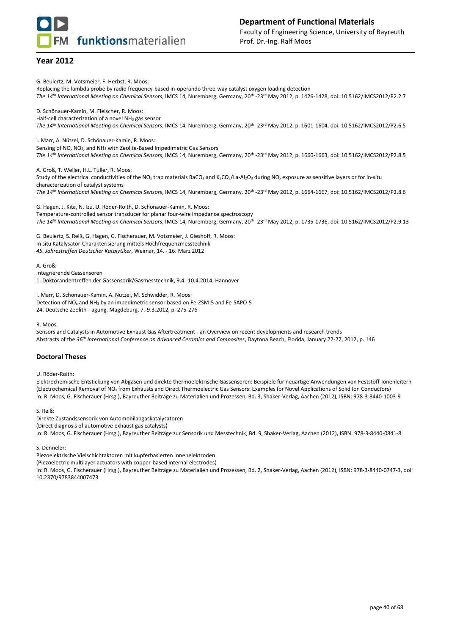**FM** funktionsmaterialien

## **Year 2012**

G. Beulertz, M. Votsmeier, F. Herbst, R. Moos: Replacing the lambda probe by radio frequency-based in-operando three-way catalyst oxygen loading detection *The 14th International Meeting on Chemical Sensors*, IMCS 14, Nuremberg, Germany, 20th -23rd May 2012, p. 1426-1428, doi: 10.5162/IMCS2012/P2.2.7 D. Schönauer-Kamin, M. Fleischer, R. Moos: Half-cell characterization of a novel NH<sub>3</sub> gas sensor

*The 14th International Meeting on Chemical Sensors*, IMCS 14, Nuremberg, Germany, 20th -23rd May 2012, p. 1601-1604, doi: 10.5162/IMCS2012/P2.6.5

I. Marr, A. Nützel, D. Schönauer-Kamin, R. Moos:

Sensing of NO, NO2, and NH<sup>3</sup> with Zeolite-Based Impedimetric Gas Sensors

*The 14th International Meeting on Chemical Sensors*, IMCS 14, Nuremberg, Germany, 20th -23rd May 2012, p. 1660-1663, doi: 10.5162/IMCS2012/P2.8.5

A. Groß, T. Weller, H.L. Tuller, R. Moos: Study of the electrical conductivities of the NO<sub>x</sub> trap materials BaCO<sub>3</sub> and K<sub>2</sub>CO<sub>3</sub>/La-Al<sub>2</sub>O<sub>3</sub> during NO<sub>x</sub> exposure as sensitive layers or for in-situ characterization of catalyst systems *The 14th International Meeting on Chemical Sensors*, IMCS 14, Nuremberg, Germany, 20th -23rd May 2012, p. 1664-1667, doi: 10.5162/IMCS2012/P2.8.6

G. Hagen, J. Kita, N. Izu, U. Röder-Roith, D. Schönauer-Kamin, R. Moos: Temperature-controlled sensor transducer for planar four-wire impedance spectroscopy *The 14th International Meeting on Chemical Sensors*, IMCS 14, Nuremberg, Germany, 20th -23rd May 2012, p. 1735-1736, doi: 10.5162/IMCS2012/P2.9.13

G. Beulertz, S. Reiß, G. Hagen, G. Fischerauer, M. Votsmeier, J. Gieshoff, R. Moos: In situ Katalysator-Charakterisierung mittels Hochfrequenzmesstechnik *45. Jahrestreffen Deutscher Katalytiker*, Weimar, 14. - 16. März 2012

A. Groß:

Integrierende Gassensoren

1. Doktorandentreffen der Gassensorik/Gasmesstechnik, 9.4.-10.4.2014, Hannover

I. Marr, D. Schönauer-Kamin, A. Nützel, M. Schwidder, R. Moos: Detection of NO<sup>x</sup> and NH<sup>3</sup> by an impedimetric sensor based on Fe-ZSM-5 and Fe-SAPO-5 24. Deutsche Zeolith-Tagung, Magdeburg, 7.-9.3.2012, p. 275-276

R. Moos:

Sensors and Catalysts in Automotive Exhaust Gas Aftertreatment - an Overview on recent developments and research trends Abstracts of the *36th International Conference on Advanced Ceramics and Composites*, Daytona Beach, Florida, January 22-27, 2012, p. 146

#### **Doctoral Theses**

U. Röder-Roith:

Elektrochemische Entstickung von Abgasen und direkte thermoelektrische Gassensoren: Beispiele für neuartige Anwendungen von Feststoff-Ionenleitern (Electrochemical Removal of NO<sup>x</sup> from Exhausts and Direct Thermoelectric Gas Sensors: Examples for Novel Applications of Solid Ion Conductors) In: R. Moos, G. Fischerauer (Hrsg.), Bayreuther Beiträge zu Materialien und Prozessen, Bd. 3, Shaker-Verlag, Aachen (2012), ISBN: 978-3-8440-1003-9

S. Reiß:

Direkte Zustandssensorik von Automobilabgaskatalysatoren

(Direct diagnosis of automotive exhaust gas catalysts)

In: R. Moos, G. Fischerauer (Hrsg.), Bayreuther Beiträge zur Sensorik und Messtechnik, Bd. 9, Shaker-Verlag, Aachen (2012), ISBN: 978-3-8440-0841-8

S. Denneler:

Piezoelektrische Vielschichtaktoren mit kupferbasierten Innenelektroden

(Piezoelectric multilayer actuators with copper-based internal electrodes)

In: R. Moos, G. Fischerauer (Hrsg.), Bayreuther Beiträge zu Materialien und Prozessen, Bd. 2, Shaker-Verlag, Aachen (2012), ISBN: 978-3-8440-0747-3, doi: 10.2370/9783844007473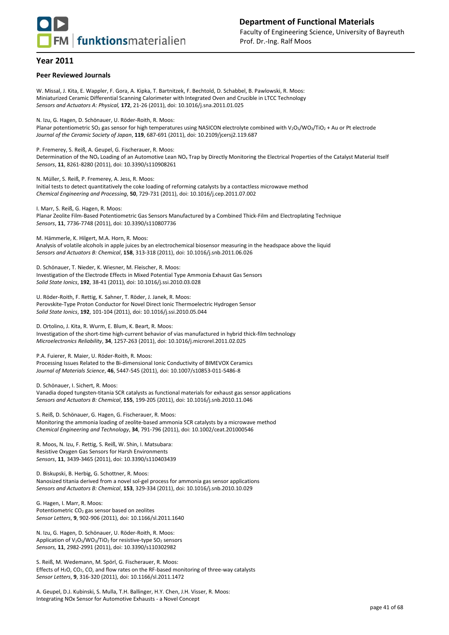

#### **Peer Reviewed Journals**

W. Missal, J. Kita, E. Wappler, F. Gora, A. Kipka, T. Bartnitzek, F. Bechtold, D. Schabbel, B. Pawlowski, R. Moos: Miniaturized Ceramic Differential Scanning Calorimeter with Integrated Oven and Crucible in LTCC Technology *Sensors and Actuators A: Physical,* **172**, 21-26 (2011), doi: 10.1016/j.sna.2011.01.025

N. Izu, G. Hagen, D. Schönauer, U. Röder-Roith, R. Moos:

Planar potentiometric SO<sub>2</sub> gas sensor for high temperatures using NASICON electrolyte combined with V<sub>2</sub>O<sub>5</sub>/WO<sub>3</sub>/TiO<sub>2</sub> + Au or Pt electrode *Journal of the Ceramic Society of Japan*, **119**, 687-691 (2011), doi: 10.2109/jcersj2.119.687

P. Fremerey, S. Reiß, A. Geupel, G. Fischerauer, R. Moos:

Determination of the NO<sub>x</sub> Loading of an Automotive Lean NO<sub>x</sub> Trap by Directly Monitoring the Electrical Properties of the Catalyst Material Itself *Sensors*, **11**, 8261-8280 (2011), doi: 10.3390/s110908261

N. Müller, S. Reiß, P. Fremerey, A. Jess, R. Moos: Initial tests to detect quantitatively the coke loading of reforming catalysts by a contactless microwave method *Chemical Engineering and Processing*, **50**, 729-731 (2011), doi: 10.1016/j.cep.2011.07.002

I. Marr, S. Reiß, G. Hagen, R. Moos: Planar Zeolite Film-Based Potentiometric Gas Sensors Manufactured by a Combined Thick-Film and Electroplating Technique *Sensors*, **11**, 7736-7748 (2011), doi: 10.3390/s110807736

M. Hämmerle, K. Hilgert, M.A. Horn, R. Moos:

Analysis of volatile alcohols in apple juices by an electrochemical biosensor measuring in the headspace above the liquid *Sensors and Actuators B: Chemical*, **158**, 313-318 (2011), doi: 10.1016/j.snb.2011.06.026

D. Schönauer, T. Nieder, K. Wiesner, M. Fleischer, R. Moos: Investigation of the Electrode Effects in Mixed Potential Type Ammonia Exhaust Gas Sensors *Solid State Ionics*, **192**, 38-41 (2011), doi: 10.1016/j.ssi.2010.03.028

U. Röder-Roith, F. Rettig, K. Sahner, T. Röder, J. Janek, R. Moos: Perovskite-Type Proton Conductor for Novel Direct Ionic Thermoelectric Hydrogen Sensor *Solid State Ionics*, **192**, 101-104 (2011), doi: 10.1016/j.ssi.2010.05.044

D. Ortolino, J. Kita, R. Wurm, E. Blum, K. Beart, R. Moos: Investigation of the short-time high-current behavior of vias manufactured in hybrid thick-film technology *Microelectronics Reliability*, **34**, 1257-263 (2011), doi: 10.1016/j.microrel.2011.02.025

P.A. Fuierer, R. Maier, U. Röder-Roith, R. Moos:

Processing Issues Related to the Bi-dimensional Ionic Conductivity of BIMEVOX Ceramics *Journal of Materials Science*, **46**, 5447-545 (2011), doi: 10.1007/s10853-011-5486-8

D. Schönauer, I. Sichert, R. Moos: Vanadia doped tungsten-titania SCR catalysts as functional materials for exhaust gas sensor applications *Sensors and Actuators B: Chemical*, **155**, 199-205 (2011), doi: 10.1016/j.snb.2010.11.046

S. Reiß, D. Schönauer, G. Hagen, G. Fischerauer, R. Moos: Monitoring the ammonia loading of zeolite-based ammonia SCR catalysts by a microwave method *Chemical Engineering and Technology*, **34**, 791-796 (2011), doi: 10.1002/ceat.201000546

R. Moos, N. Izu, F. Rettig, S. Reiß, W. Shin, I. Matsubara: Resistive Oxygen Gas Sensors for Harsh Environments *Sensors*, **11**, 3439-3465 (2011), doi: 10.3390/s110403439

D. Biskupski, B. Herbig, G. Schottner, R. Moos: Nanosized titania derived from a novel sol-gel process for ammonia gas sensor applications *Sensors and Actuators B: Chemical*, **153**, 329-334 (2011), doi: 10.1016/j.snb.2010.10.029

G. Hagen, I. Marr, R. Moos: Potentiometric  $CO<sub>2</sub>$  gas sensor based on zeolites *Sensor Letters*, **9**, 902-906 (2011), doi: 10.1166/sl.2011.1640

N. Izu, G. Hagen, D. Schönauer, U. Röder-Roith, R. Moos: Application of  $V_2O_5/WO_3/TiO_2$  for resistive-type SO<sub>2</sub> sensors *Sensors,* **11**, 2982-2991 (2011), doi: 10.3390/s110302982

S. Reiß, M. Wedemann, M. Spörl, G. Fischerauer, R. Moos: Effects of  $H_2O$ ,  $CO_2$ ,  $CO$ , and flow rates on the RF-based monitoring of three-way catalysts *Sensor Letters*, **9**, 316-320 (2011), doi: 10.1166/sl.2011.1472

A. Geupel, D.J. Kubinski, S. Mulla, T.H. Ballinger, H.Y. Chen, J.H. Visser, R. Moos: Integrating NOx Sensor for Automotive Exhausts - a Novel Concept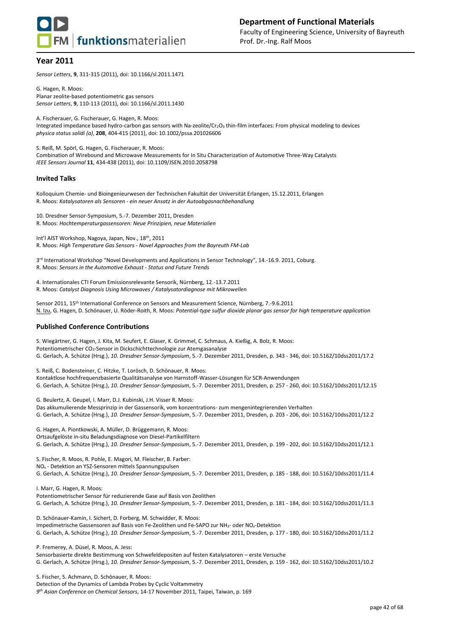

*Sensor Letters*, **9**, 311-315 (2011), doi: 10.1166/sl.2011.1471

G. Hagen, R. Moos: Planar zeolite-based potentiometric gas sensors *Sensor Letters*, **9**, 110-113 (2011), doi: 10.1166/sl.2011.1430

A. Fischerauer, G. Fischerauer, G. Hagen, R. Moos: Integrated impedance based hydro-carbon gas sensors with Na-zeolite/Cr<sub>2</sub>O<sub>3</sub> thin-film interfaces: From physical modeling to devices *physica status solidi (a)*, **208**, 404-415 (2011), doi: 10.1002/pssa.201026606

S. Reiß, M. Spörl, G. Hagen, G. Fischerauer, R. Moos: Combination of Wirebound and Microwave Measurements for In Situ Characterization of Automotive Three-Way Catalysts *IEEE Sensors Journal* **11**, 434-438 (2011), doi: 10.1109/JSEN.2010.2058798

#### **Invited Talks**

Kolloquium Chemie- und Bioingenieurwesen der Technischen Fakultät der Universität Erlangen, 15.12.2011, Erlangen R. Moos: *Katalysatoren als Sensoren - ein neuer Ansatz in der Autoabgasnachbehandlung*

10. Dresdner Sensor-Symposium, 5.-7. Dezember 2011, Dresden R. Moos: *Hochtemperaturgassensoren: Neue Prinzipien, neue Materialien*

Int'l AIST Workshop, Nagoya, Japan, Nov., 18th, 2011 R. Moos: *High Temperature Gas Sensors - Novel Approaches from the Bayreuth FM-Lab*

3 rd International Workshop "Novel Developments and Applications in Sensor Technology", 14.-16.9. 2011, Coburg. R. Moos: *Sensors in the Automotive Exhaust - Status and Future Trends*

4. Internationales CTI Forum Emissionsrelevante Sensorik, Nürnberg, 12.-13.7.2011 R. Moos: *Catalyst Diagnosis Using Microwaves / Katalysatordiagnose mit Mikrowellen*

Sensor 2011, 15th International Conference on Sensors and Measurement Science, Nürnberg, 7.-9.6.2011 N. Izu, G. Hagen, D. Schönauer, U. Röder-Roith, R. Moos: *Potential-type sulfur dioxide planar gas sensor for high temperature application*

#### **Published Conference Contributions**

S. Wiegärtner, G. Hagen, J. Kita, M. Seufert, E. Glaser, K. Grimmel, C. Schmaus, A. Kießig, A. Bolz, R. Moos: Potentiometrischer CO<sub>2</sub>-Sensor in Dickschichttechnologie zur Atemgasanalyse G. Gerlach, A. Schütze (Hrsg.), *10. Dresdner Sensor-Symposium*, 5.-7. Dezember 2011, Dresden, p. 343 - 346, doi: 10.5162/10dss2011/17.2

S. Reiß, C. Bodensteiner, C. Hitzke, T. Lorösch, D. Schönauer, R. Moos: Kontaktlose hochfrequenzbasierte Qualitätsanalyse von Harnstoff-Wasser-Lösungen für SCR-Anwendungen G. Gerlach, A. Schütze (Hrsg.), *10. Dresdner Sensor-Symposium*, 5.-7. Dezember 2011, Dresden, p. 257 - 260, doi: 10.5162/10dss2011/12.15

G. Beulertz, A. Geupel, I. Marr, D.J. Kubinski, J.H. Visser R. Moos: Das akkumulierende Messprinzip in der Gassensorik, vom konzentrations- zum mengenintegrierenden Verhalten G. Gerlach, A. Schütze (Hrsg.), *10. Dresdner Sensor-Symposium*, 5.-7. Dezember 2011, Dresden, p. 203 - 206, doi: 10.5162/10dss2011/12.2

G. Hagen, A. Piontkowski, A. Müller, D. Brüggemann, R. Moos: Ortsaufgelöste in-situ Beladungsdiagnose von Diesel-Partikelfiltern G. Gerlach, A. Schütze (Hrsg.), *10. Dresdner Sensor-Symposium*, 5.-7. Dezember 2011, Dresden, p. 199 - 202, doi: 10.5162/10dss2011/12.1

S. Fischer, R. Moos, R. Pohle, E. Magori, M. Fleischer, B. Farber: NO<sup>x</sup> - Detektion an YSZ-Sensoren mittels Spannungspulsen G. Gerlach, A. Schütze (Hrsg.), *10. Dresdner Sensor-Symposium*, 5.-7. Dezember 2011, Dresden, p. 185 - 188, doi: 10.5162/10dss2011/11.4

I. Marr, G. Hagen, R. Moos: Potentiometrischer Sensor für reduzierende Gase auf Basis von Zeolithen G. Gerlach, A. Schütze (Hrsg.), *10. Dresdner Sensor-Symposium*, 5.-7. Dezember 2011, Dresden, p. 181 - 184, doi: 10.5162/10dss2011/11.3

D. Schönauer-Kamin, I. Sichert, D. Forberg, M. Schwidder, R. Moos: Impedimetrische Gassensoren auf Basis von Fe-Zeolithen und Fe-SAPO zur NH3- oder NOx-Detektion G. Gerlach, A. Schütze (Hrsg.), *10. Dresdner Sensor-Symposium*, 5.-7. Dezember 2011, Dresden, p. 177 - 180, doi: 10.5162/10dss2011/11.2

P. Fremerey, A. Düsel, R. Moos, A. Jess: Sensorbasierte direkte Bestimmung von Schwefeldepositen auf festen Katalysatoren – erste Versuche G. Gerlach, A. Schütze (Hrsg.), *10. Dresdner Sensor-Symposium*, 5.-7. Dezember 2011, Dresden, p. 159 - 162, doi: 10.5162/10dss2011/10.2

S. Fischer, S. Achmann, D. Schönauer, R. Moos: Detection of the Dynamics of Lambda Probes by Cyclic Voltammetry *9 th Asian Conference on Chemical Sensors*, 14-17 November 2011, Taipei, Taiwan, p. 169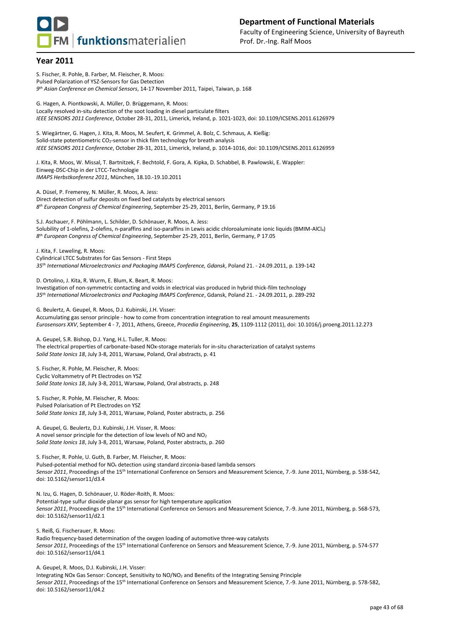

S. Fischer, R. Pohle, B. Farber, M. Fleischer, R. Moos: Pulsed Polarization of YSZ-Sensors for Gas Detection *9 th Asian Conference on Chemical Sensors*, 14-17 November 2011, Taipei, Taiwan, p. 168

G. Hagen, A. Piontkowski, A. Müller, D. Brüggemann, R. Moos: Locally resolved in-situ detection of the soot loading in diesel particulate filters *IEEE SENSORS 2011 Conference*, October 28-31, 2011, Limerick, Ireland, p. 1021-1023, doi: 10.1109/ICSENS.2011.6126979

S. Wiegärtner, G. Hagen, J. Kita, R. Moos, M. Seufert, K. Grimmel, A. Bolz, C. Schmaus, A. Kießig: Solid-state potentiometric CO<sub>2</sub>-sensor in thick film technology for breath analysis *IEEE SENSORS 2011 Conference*, October 28-31, 2011, Limerick, Ireland, p. 1014-1016, doi: 10.1109/ICSENS.2011.6126959

J. Kita, R. Moos, W. Missal, T. Bartnitzek, F. Bechtold, F. Gora, A. Kipka, D. Schabbel, B. Pawlowski, E. Wappler: Einweg-DSC-Chip in der LTCC-Technologie *IMAPS Herbstkonferenz 2011*, München, 18.10.-19.10.2011

A. Düsel, P. Fremerey, N. Müller, R. Moos, A. Jess: Direct detection of sulfur deposits on fixed bed catalysts by electrical sensors *8 th European Congress of Chemical Engineering*, September 25-29, 2011, Berlin, Germany, P 19.16

S.J. Aschauer, F. Pöhlmann, L. Schilder, D. Schönauer, R. Moos, A. Jess: Solubility of 1-olefins, 2-olefins, n-paraffins and iso-paraffins in Lewis acidic chloroaluminate ionic liquids (BMIM-AlCl4) *8 th European Congress of Chemical Engineering*, September 25-29, 2011, Berlin, Germany, P 17.05

J. Kita, F. Leweling, R. Moos: Cylindrical LTCC Substrates for Gas Sensors - First Steps *35th International Microelectronics and Packaging IMAPS Conference, Gdansk*, Poland 21. - 24.09.2011, p. 139-142

D. Ortolino, J. Kita, R. Wurm, E. Blum, K. Beart, R. Moos: Investigation of non-symmetric contacting and voids in electrical vias produced in hybrid thick-film technology *35th International Microelectronics and Packaging IMAPS Conference*, Gdansk, Poland 21. - 24.09.2011, p. 289-292

G. Beulertz, A. Geupel, R. Moos, D.J. Kubinski, J.H. Visser: Accumulating gas sensor principle - how to come from concentration integration to real amount measurements *Eurosensors XXV*, September 4 - 7, 2011, Athens, Greece, *Procedia Engineering*, **25**, 1109-1112 (2011), doi: 10.1016/j.proeng.2011.12.273

A. Geupel, S.R. Bishop, D.J. Yang, H.L. Tuller, R. Moos: The electrical properties of carbonate-based NOx-storage materials for in-situ characterization of catalyst systems *Solid State Ionics 18*, July 3-8, 2011, Warsaw, Poland, Oral abstracts, p. 41

S. Fischer, R. Pohle, M. Fleischer, R. Moos: Cyclic Voltammetry of Pt Electrodes on YSZ *Solid State Ionics 18*, July 3-8, 2011, Warsaw, Poland, Oral abstracts, p. 248

S. Fischer, R. Pohle, M. Fleischer, R. Moos: Pulsed Polarisation of Pt Electrodes on YSZ *Solid State Ionics 18*, July 3-8, 2011, Warsaw, Poland, Poster abstracts, p. 256

A. Geupel, G. Beulertz, D.J. Kubinski, J.H. Visser, R. Moos: A novel sensor principle for the detection of low levels of NO and NO<sup>2</sup> *Solid State Ionics 18*, July 3-8, 2011, Warsaw, Poland, Poster abstracts, p. 260

S. Fischer, R. Pohle, U. Guth, B. Farber, M. Fleischer, R. Moos: Pulsed-potential method for NO<sub>x</sub> detection using standard zirconia-based lambda sensors *Sensor 2011*, Proceedings of the 15th International Conference on Sensors and Measurement Science, 7.-9. June 2011, Nürnberg, p. 538-542, doi: 10.5162/sensor11/d3.4

N. Izu, G. Hagen, D. Schönauer, U. Röder-Roith, R. Moos: Potential-type sulfur dioxide planar gas sensor for high temperature application *Sensor 2011*, Proceedings of the 15th International Conference on Sensors and Measurement Science, 7.-9. June 2011, Nürnberg, p. 568-573, doi: 10.5162/sensor11/d2.1

S. Reiß, G. Fischerauer, R. Moos:

Radio frequency-based determination of the oxygen loading of automotive three-way catalysts *Sensor 2011*, Proceedings of the 15th International Conference on Sensors and Measurement Science, 7.-9. June 2011, Nürnberg, p. 574-577 doi: 10.5162/sensor11/d4.1

A. Geupel, R. Moos, D.J. Kubinski, J.H. Visser: Integrating NOx Gas Sensor: Concept, Sensitivity to NO/NO<sup>2</sup> and Benefits of the Integrating Sensing Principle *Sensor 2011*, Proceedings of the 15th International Conference on Sensors and Measurement Science, 7.-9. June 2011, Nürnberg, p. 578-582, doi: 10.5162/sensor11/d4.2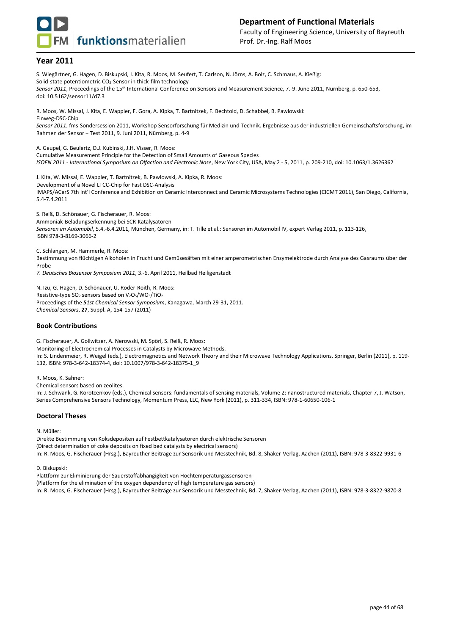

S. Wiegärtner, G. Hagen, D. Biskupski, J. Kita, R. Moos, M. Seufert, T. Carlson, N. Jörns, A. Bolz, C. Schmaus, A. Kießig: Solid-state potentiometric CO<sub>2</sub>-Sensor in thick-film technology *Sensor 2011*, Proceedings of the 15th International Conference on Sensors and Measurement Science, 7.-9. June 2011, Nürnberg, p. 650-653, doi: 10.5162/sensor11/d7.3 R. Moos, W. Missal, J. Kita, E. Wappler, F. Gora, A. Kipka, T. Bartnitzek, F. Bechtold, D. Schabbel, B. Pawlowski:

Einweg-DSC-Chip *Sensor 2011*, fms-Sondersession 2011, Workshop Sensorforschung für Medizin und Technik. Ergebnisse aus der industriellen Gemeinschaftsforschung, im Rahmen der Sensor + Test 2011, 9. Juni 2011, Nürnberg, p. 4-9

A. Geupel, G. Beulertz, D.J. Kubinski, J.H. Visser, R. Moos:

Cumulative Measurement Principle for the Detection of Small Amounts of Gaseous Species *ISOEN 2011 - International Symposium on Olfaction and Electronic Nose*, New York City, USA, May 2 - 5, 2011, p. 209-210, doi: 10.1063/1.3626362

J. Kita, W. Missal, E. Wappler, T. Bartnitzek, B. Pawlowski, A. Kipka, R. Moos: Development of a Novel LTCC-Chip for Fast DSC-Analysis IMAPS/ACerS 7th Int'l Conference and Exhibition on Ceramic Interconnect and Ceramic Microsystems Technologies (CICMT 2011), San Diego, California, 5.4-7.4.2011

S. Reiß, D. Schönauer, G. Fischerauer, R. Moos: Ammoniak-Beladungserkennung bei SCR-Katalysatoren *Sensoren im Automobil*, 5.4.-6.4.2011, München, Germany, in: T. Tille et al.: Sensoren im Automobil IV, expert Verlag 2011, p. 113-126, ISBN 978-3-8169-3066-2

C. Schlangen, M. Hämmerle, R. Moos:

Bestimmung von flüchtigen Alkoholen in Frucht und Gemüsesäften mit einer amperometrischen Enzymelektrode durch Analyse des Gasraums über der Probe

*7. Deutsches Biosensor Symposium 2011*, 3.-6. April 2011, Heilbad Heiligenstadt

N. Izu, G. Hagen, D. Schönauer, U. Röder-Roith, R. Moos: Resistive-type  $SO_2$  sensors based on  $V_2O_5/WO_3/TiO_2$ Proceedings of the *51st Chemical Sensor Symposium*, Kanagawa, March 29-31, 2011. *Chemical Sensors*, **27**, Suppl. A, 154-157 (2011)

#### **Book Contributions**

G. Fischerauer, A. Gollwitzer, A. Nerowski, M. Spörl, S. Reiß, R. Moos: Monitoring of Electrochemical Processes in Catalysts by Microwave Methods. In: S. Lindenmeier, R. Weigel (eds.), Electromagnetics and Network Theory and their Microwave Technology Applications, Springer, Berlin (2011), p. 119- 132, ISBN: 978-3-642-18374-4, doi: 10.1007/978-3-642-18375-1\_9

R. Moos, K. Sahner:

Chemical sensors based on zeolites.

In: J. Schwank, G. Korotcenkov (eds.), Chemical sensors: fundamentals of sensing materials, Volume 2: nanostructured materials, Chapter 7, J. Watson, Series Comprehensive Sensors Technology, Momentum Press, LLC, New York (2011), p. 311-334, ISBN: 978-1-60650-106-1

#### **Doctoral Theses**

N. Müller:

Direkte Bestimmung von Koksdepositen auf Festbettkatalysatoren durch elektrische Sensoren (Direct determination of coke deposits on fixed bed catalysts by electrical sensors) In: R. Moos, G. Fischerauer (Hrsg.), Bayreuther Beiträge zur Sensorik und Messtechnik, Bd. 8, Shaker-Verlag, Aachen (2011), ISBN: 978-3-8322-9931-6

D. Biskupski:

Plattform zur Eliminierung der Sauerstoffabhängigkeit von Hochtemperaturgassensoren (Platform for the elimination of the oxygen dependency of high temperature gas sensors) In: R. Moos, G. Fischerauer (Hrsg.), Bayreuther Beiträge zur Sensorik und Messtechnik, Bd. 7, Shaker-Verlag, Aachen (2011), ISBN: 978-3-8322-9870-8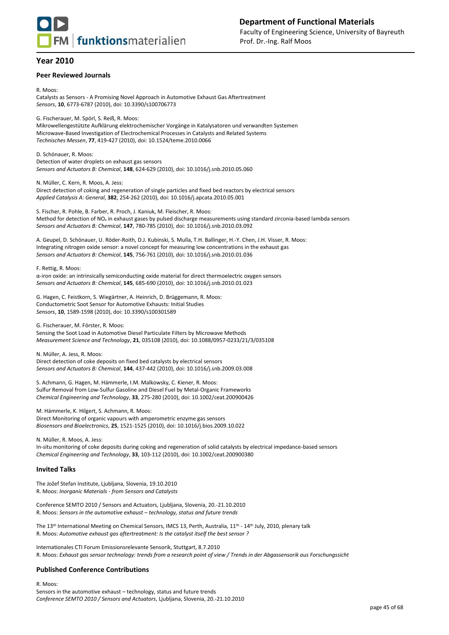

#### **Peer Reviewed Journals**

R. Moos: Catalysts as Sensors - A Promising Novel Approach in Automotive Exhaust Gas Aftertreatment *Sensors*, **10**, 6773-6787 (2010), doi: 10.3390/s100706773

G. Fischerauer, M. Spörl, S. Reiß, R. Moos:

Mikrowellengestützte Aufklärung elektrochemischer Vorgänge in Katalysatoren und verwandten Systemen Microwave-Based Investigation of Electrochemical Processes in Catalysts and Related Systems *Technisches Messen*, **77**, 419-427 (2010), doi: 10.1524/teme.2010.0066

D. Schönauer, R. Moos: Detection of water droplets on exhaust gas sensors *Sensors and Actuators B: Chemical*, **148**, 624-629 (2010), doi: 10.1016/j.snb.2010.05.060

N. Müller, C. Kern, R. Moos, A. Jess: Direct detection of coking and regeneration of single particles and fixed bed reactors by electrical sensors *Applied Catalysis A: General*, **382**, 254-262 (2010), doi: 10.1016/j.apcata.2010.05.001

S. Fischer, R. Pohle, B. Farber, R. Proch, J. Kaniuk, M. Fleischer, R. Moos: Method for detection of NO<sub>x</sub> in exhaust gases by pulsed discharge measurements using standard zirconia-based lambda sensors *Sensors and Actuators B: Chemical*, **147**, 780-785 (2010), doi: 10.1016/j.snb.2010.03.092

A. Geupel, D. Schönauer, U. Röder-Roith, D.J. Kubinski, S. Mulla, T.H. Ballinger, H.-Y. Chen, J.H. Visser, R. Moos: Integrating nitrogen oxide sensor: a novel concept for measuring low concentrations in the exhaust gas *Sensors and Actuators B: Chemical*, **145**, 756-761 (2010), doi: 10.1016/j.snb.2010.01.036

F. Rettig, R. Moos:

α-iron oxide: an intrinsically semiconducting oxide material for direct thermoelectric oxygen sensors *Sensors and Actuators B: Chemical*, **145**, 685-690 (2010), doi: 10.1016/j.snb.2010.01.023

G. Hagen, C. Feistkorn, S. Wiegärtner, A. Heinrich, D. Brüggemann, R. Moos: Conductometric Soot Sensor for Automotive Exhausts: Initial Studies *Sensors*, **10**, 1589-1598 (2010), doi: 10.3390/s100301589

G. Fischerauer, M. Förster, R. Moos:

Sensing the Soot Load in Automotive Diesel Particulate Filters by Microwave Methods *Measurement Science and Technology*, **21**, 035108 (2010), doi: 10.1088/0957-0233/21/3/035108

N. Müller, A. Jess, R. Moos: Direct detection of coke deposits on fixed bed catalysts by electrical sensors *Sensors and Actuators B: Chemical*, **144**, 437-442 (2010), doi: 10.1016/j.snb.2009.03.008

S. Achmann, G. Hagen, M. Hämmerle, I.M. Malkowsky, C. Kiener, R. Moos: Sulfur Removal from Low-Sulfur Gasoline and Diesel Fuel by Metal-Organic Frameworks *Chemical Engineering and Technology*, **33**, 275-280 (2010), doi: 10.1002/ceat.200900426

M. Hämmerle, K. Hilgert, S. Achmann, R. Moos: Direct Monitoring of organic vapours with amperometric enzyme gas sensors *Biosensors and Bioelectronics*, **25**, 1521-1525 (2010), doi: 10.1016/j.bios.2009.10.022

N. Müller, R. Moos, A. Jess: In-situ monitoring of coke deposits during coking and regeneration of solid catalysts by electrical impedance-based sensors *Chemical Engineering and Technology*, **33**, 103-112 (2010), doi: 10.1002/ceat.200900380

#### **Invited Talks**

The Jožef Stefan Institute, Ljubljana, Slovenia, 19.10.2010 R. Moos: *Inorganic Materials - from Sensors and Catalysts*

Conference SEMTO 2010 / Sensors and Actuators, Ljubljana, Slovenia, 20.-21.10.2010 R. Moos: *Sensors in the automotive exhaust – technology, status and future trends*

The 13<sup>th</sup> International Meeting on Chemical Sensors, IMCS 13, Perth, Australia, 11<sup>th</sup> - 14<sup>th</sup> July, 2010, plenary talk R. Moos: *Automotive exhaust gas aftertreatment: Is the catalyst itself the best sensor ?*

Internationales CTI Forum Emissionsrelevante Sensorik, Stuttgart, 8.7.2010 R. Moos: *Exhaust gas sensor technology: trends from a research point of view / Trends in der Abgassensorik aus Forschungssicht*

#### **Published Conference Contributions**

R. Moos: Sensors in the automotive exhaust – technology, status and future trends *Conference SEMTO 2010 / Sensors and Actuators*, Ljubljana, Slovenia, 20.-21.10.2010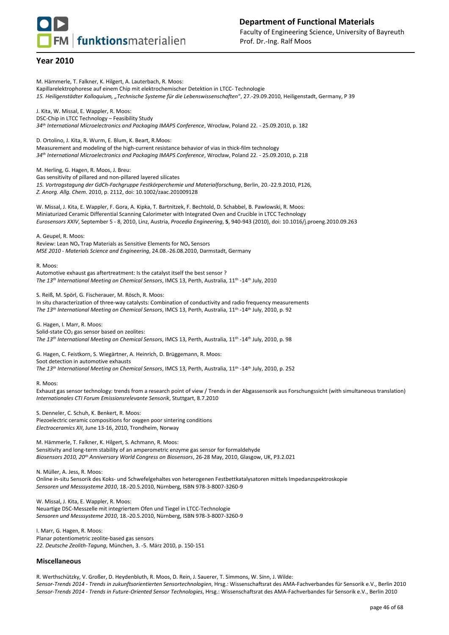M. Hämmerle, T. Falkner, K. Hilgert, A. Lauterbach, R. Moos: Kapillarelektrophorese auf einem Chip mit elektrochemischer Detektion in LTCC- Technologie *15. Heiligenstädter Kolloquium, "Technische Systeme für die Lebenswissenschaften*", 27.-29.09.2010, Heiligenstadt, Germany, P 39 J. Kita, W. Missal, E. Wappler, R. Moos: DSC-Chip in LTCC Technology – Feasibility Study *34th International Microelectronics and Packaging IMAPS Conference*, Wrocław, Poland 22. - 25.09.2010, p. 182 D. Ortolino, J. Kita, R. Wurm, E. Blum, K. Beart, R.Moos: Measurement and modeling of the high-current resistance behavior of vias in thick-film technology *34th International Microelectronics and Packaging IMAPS Conference*, Wrocław, Poland 22. - 25.09.2010, p. 218 M. Herling, G. Hagen, R. Moos, J. Breu: Gas sensitivity of pillared and non-pillared layered silicates *15. Vortragstagung der GdCh-Fachgruppe Festkörperchemie und Materialforschung*, Berlin, 20.-22.9.2010, P126, *Z. Anorg. Allg. Chem.* 2010, p. 2112, doi: 10.1002/zaac.201009128 W. Missal, J. Kita, E. Wappler, F. Gora, A. Kipka, T. Bartnitzek, F. Bechtold, D. Schabbel, B. Pawlowski, R. Moos: Miniaturized Ceramic Differential Scanning Calorimeter with Integrated Oven and Crucible in LTCC Technology *Eurosensors XXIV*, September 5 - 8, 2010, Linz, Austria, *Procedia Engineering*, **5**, 940-943 (2010), doi: 10.1016/j.proeng.2010.09.263 A. Geupel, R. Moos: Review: Lean NO<sup>x</sup> Trap Materials as Sensitive Elements for NO<sup>x</sup> Sensors *MSE 2010 - Materials Science and Engineering*, 24.08.-26.08.2010, Darmstadt, Germany R. Moos: Automotive exhaust gas aftertreatment: Is the catalyst itself the best sensor ? *The 13th International Meeting on Chemical Sensors*, IMCS 13, Perth, Australia, 11th -14th July, 2010 S. Reiß, M. Spörl, G. Fischerauer, M. Rösch, R. Moos: In situ characterization of three-way catalysts: Combination of conductivity and radio frequency measurements *The 13th International Meeting on Chemical Sensors*, IMCS 13, Perth, Australia, 11th -14th July, 2010, p. 92 G. Hagen, I. Marr, R. Moos: Solid-state CO<sub>2</sub> gas sensor based on zeolites: *The 13th International Meeting on Chemical Sensors*, IMCS 13, Perth, Australia, 11th -14th July, 2010, p. 98 G. Hagen, C. Feistkorn, S. Wiegärtner, A. Heinrich, D. Brüggemann, R. Moos: Soot detection in automotive exhausts *The 13th International Meeting on Chemical Sensors*, IMCS 13, Perth, Australia, 11th -14th July, 2010, p. 252 R. Moos: Exhaust gas sensor technology: trends from a research point of view / Trends in der Abgassensorik aus Forschungssicht (with simultaneous translation) *Internationales CTI Forum Emissionsrelevante Sensorik*, Stuttgart, 8.7.2010 S. Denneler, C. Schuh, K. Benkert, R. Moos: Piezoelectric ceramic compositions for oxygen poor sintering conditions *Electroceramics XII*, June 13-16, 2010, Trondheim, Norway M. Hämmerle, T. Falkner, K. Hilgert, S. Achmann, R. Moos: Sensitivity and long-term stability of an amperometric enzyme gas sensor for formaldehyde *Biosensors 2010, 20th Anniversary World Congress on Biosensors*, 26-28 May, 2010, Glasgow, UK, P3.2.021 N. Müller, A. Jess, R. Moos: Online in-situ Sensorik des Koks- und Schwefelgehaltes von heterogenen Festbettkatalysatoren mittels Impedanzspektroskopie *Sensoren und Messsysteme 2010*, 18.-20.5.2010, Nürnberg, ISBN 978-3-8007-3260-9 W. Missal, J. Kita, E. Wappler, R. Moos: Neuartige DSC-Messzelle mit integriertem Ofen und Tiegel in LTCC-Technologie *Sensoren und Messsysteme 2010*, 18.-20.5.2010, Nürnberg, ISBN 978-3-8007-3260-9 I. Marr, G. Hagen, R. Moos: Planar potentiometric zeolite-based gas sensors *22. Deutsche Zeolith-Tagung*, München, 3. -5. März 2010, p. 150-151 **Miscellaneous** 

R. Werthschützky, V. Großer, D. Heydenbluth, R. Moos, D. Rein, J. Sauerer, T. Simmons, W. Sinn, J. Wilde: *Sensor-Trends 2014 - Trends in zukunftsorientierten Sensortechnologien*, Hrsg.: Wissenschaftsrat des AMA-Fachverbandes für Sensorik e.V., Berlin 2010 *Sensor-Trends 2014 - Trends in Future-Oriented Sensor Technologies*, Hrsg.: Wissenschaftsrat des AMA-Fachverbandes für Sensorik e.V., Berlin 2010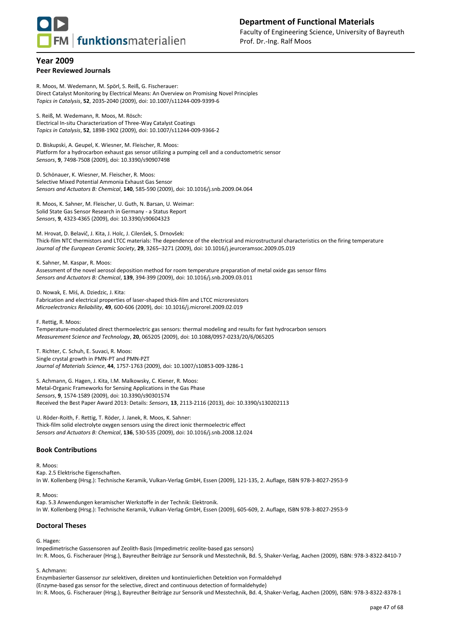

#### **Year 2009 Peer Reviewed Journals**

R. Moos, M. Wedemann, M. Spörl, S. Reiß, G. Fischerauer: Direct Catalyst Monitoring by Electrical Means: An Overview on Promising Novel Principles *Topics in Catalysis*, **52**, 2035-2040 (2009), doi: 10.1007/s11244-009-9399-6

S. Reiß, M. Wedemann, R. Moos, M. Rösch: Electrical In-situ Characterization of Three-Way Catalyst Coatings *Topics in Catalysis*, **52**, 1898-1902 (2009), doi: 10.1007/s11244-009-9366-2

D. Biskupski, A. Geupel, K. Wiesner, M. Fleischer, R. Moos: Platform for a hydrocarbon exhaust gas sensor utilizing a pumping cell and a conductometric sensor *Sensors*, **9**, 7498-7508 (2009), doi: 10.3390/s90907498

D. Schönauer, K. Wiesner, M. Fleischer, R. Moos: Selective Mixed Potential Ammonia Exhaust Gas Sensor *Sensors and Actuators B: Chemical*, **140**, 585-590 (2009), doi: 10.1016/j.snb.2009.04.064

R. Moos, K. Sahner, M. Fleischer, U. Guth, N. Barsan, U. Weimar: Solid State Gas Sensor Research in Germany - a Status Report *Sensors*, **9**, 4323-4365 (2009), doi: 10.3390/s90604323

M. Hrovat, D. Belavič, J. Kita, J. Holc, J. Cilenšek, S. Drnovšek: Thick-film NTC thermistors and LTCC materials: The dependence of the electrical and microstructural characteristics on the firing temperature *Journal of the European Ceramic Society*, **29**, 3265–3271 (2009), doi: 10.1016/j.jeurceramsoc.2009.05.019

K. Sahner, M. Kaspar, R. Moos: Assessment of the novel aerosol deposition method for room temperature preparation of metal oxide gas sensor films *Sensors and Actuators B: Chemical*, **139**, 394-399 (2009), doi: 10.1016/j.snb.2009.03.011

D. Nowak, E. Miś, A. Dziedzic, J. Kita: Fabrication and electrical properties of laser-shaped thick-film and LTCC microresistors *Microelectronics Reliability*, **49**, 600-606 (2009), doi: 10.1016/j.microrel.2009.02.019

F. Rettig, R. Moos:

Temperature-modulated direct thermoelectric gas sensors: thermal modeling and results for fast hydrocarbon sensors *Measurement Science and Technology*, **20**, 065205 (2009), doi: 10.1088/0957-0233/20/6/065205

T. Richter, C. Schuh, E. Suvaci, R. Moos: Single crystal growth in PMN-PT and PMN-PZT *Journal of Materials Science*, **44**, 1757-1763 (2009), doi: 10.1007/s10853-009-3286-1

S. Achmann, G. Hagen, J. Kita, I.M. Malkowsky, C. Kiener, R. Moos: Metal-Organic Frameworks for Sensing Applications in the Gas Phase *Sensors*, **9**, 1574-1589 (2009), doi: 10.3390/s90301574 Received the Best Paper Award 2013: Details: *Sensors*, **13**, 2113-2116 (2013), doi: 10.3390/s130202113

U. Röder-Roith, F. Rettig, T. Röder, J. Janek, R. Moos, K. Sahner: Thick-film solid electrolyte oxygen sensors using the direct ionic thermoelectric effect *Sensors and Actuators B: Chemical*, **136**, 530-535 (2009), doi: 10.1016/j.snb.2008.12.024

#### **Book Contributions**

R. Moos:

Kap. 2.5 Elektrische Eigenschaften. In W. Kollenberg (Hrsg.): Technische Keramik, Vulkan-Verlag GmbH, Essen (2009), 121-135, 2. Auflage, ISBN 978-3-8027-2953-9

R. Moos: Kap. 5.3 Anwendungen keramischer Werkstoffe in der Technik: Elektronik. In W. Kollenberg (Hrsg.): Technische Keramik, Vulkan-Verlag GmbH, Essen (2009), 605-609, 2. Auflage, ISBN 978-3-8027-2953-9

## **Doctoral Theses**

G. Hagen:

Impedimetrische Gassensoren auf Zeolith-Basis (Impedimetric zeolite-based gas sensors) In: R. Moos, G. Fischerauer (Hrsg.), Bayreuther Beiträge zur Sensorik und Messtechnik, Bd. 5, Shaker-Verlag, Aachen (2009), ISBN: 978-3-8322-8410-7

#### S. Achmann:

Enzymbasierter Gassensor zur selektiven, direkten und kontinuierlichen Detektion von Formaldehyd (Enzyme-based gas sensor for the selective, direct and continuous detection of formaldehyde) In: R. Moos, G. Fischerauer (Hrsg.), Bayreuther Beiträge zur Sensorik und Messtechnik, Bd. 4, Shaker-Verlag, Aachen (2009), ISBN: 978-3-8322-8378-1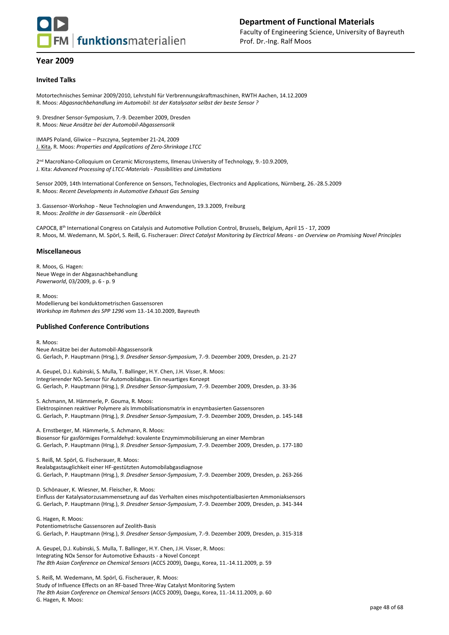

#### **Invited Talks**

Motortechnisches Seminar 2009/2010, Lehrstuhl für Verbrennungskraftmaschinen, RWTH Aachen, 14.12.2009 R. Moos: *Abgasnachbehandlung im Automobil: Ist der Katalysator selbst der beste Sensor ?*

9. Dresdner Sensor-Symposium, 7.-9. Dezember 2009, Dresden R. Moos: *Neue Ansätze bei der Automobil-Abgassensorik*

IMAPS Poland, Gliwice – Pszczyna, September 21-24, 2009 J. Kita, R. Moos: *Properties and Applications of Zero-Shrinkage LTCC*

2 nd MacroNano-Colloquium on Ceramic Microsystems, Ilmenau University of Technology, 9.-10.9.2009, J. Kita: *Advanced Processing of LTCC-Materials - Possibilities and Limitations*

Sensor 2009, 14th International Conference on Sensors, Technologies, Electronics and Applications, Nürnberg, 26.-28.5.2009 R. Moos: *Recent Developments in Automotive Exhaust Gas Sensing*

3. Gassensor-Workshop - Neue Technologien und Anwendungen, 19.3.2009, Freiburg R. Moos: *Zeolithe in der Gassensorik - ein Überblick*

CAPOC8, 8th International Congress on Catalysis and Automotive Pollution Control, Brussels, Belgium, April 15 - 17, 2009 R. Moos, M. Wedemann, M. Spörl, S. Reiß, G. Fischerauer: *Direct Catalyst Monitoring by Electrical Means - an Overview on Promising Novel Principles* 

#### **Miscellaneous**

R. Moos, G. Hagen: Neue Wege in der Abgasnachbehandlung *Powerworld*, 03/2009, p. 6 - p. 9

R. Moos: Modellierung bei konduktometrischen Gassensoren *Workshop im Rahmen des SPP 1296* vom 13.-14.10.2009, Bayreuth

#### **Published Conference Contributions**

R. Moos: Neue Ansätze bei der Automobil-Abgassensorik G. Gerlach, P. Hauptmann (Hrsg.), *9. Dresdner Sensor-Symposium*, 7.-9. Dezember 2009, Dresden, p. 21-27

A. Geupel, D.J. Kubinski, S. Mulla, T. Ballinger, H.Y. Chen, J.H. Visser, R. Moos: Integrierender NO<sup>x</sup> Sensor für Automobilabgas. Ein neuartiges Konzept G. Gerlach, P. Hauptmann (Hrsg.), *9. Dresdner Sensor-Symposium*, 7.-9. Dezember 2009, Dresden, p. 33-36

S. Achmann, M. Hämmerle, P. Gouma, R. Moos:

Elektrospinnen reaktiver Polymere als Immobilisationsmatrix in enzymbasierten Gassensoren

G. Gerlach, P. Hauptmann (Hrsg.), *9. Dresdner Sensor-Symposium*, 7.-9. Dezember 2009, Dresden, p. 145-148

A. Ernstberger, M. Hämmerle, S. Achmann, R. Moos: Biosensor für gasförmiges Formaldehyd: kovalente Enzymimmobilisierung an einer Membran G. Gerlach, P. Hauptmann (Hrsg.), *9. Dresdner Sensor-Symposium*, 7.-9. Dezember 2009, Dresden, p. 177-180

S. Reiß, M. Spörl, G. Fischerauer, R. Moos: Realabgastauglichkeit einer HF-gestützten Automobilabgasdiagnose G. Gerlach, P. Hauptmann (Hrsg.), *9. Dresdner Sensor-Symposium*, 7.-9. Dezember 2009, Dresden, p. 263-266

D. Schönauer, K. Wiesner, M. Fleischer, R. Moos: Einfluss der Katalysatorzusammensetzung auf das Verhalten eines mischpotentialbasierten Ammoniaksensors G. Gerlach, P. Hauptmann (Hrsg.), *9. Dresdner Sensor-Symposium*, 7.-9. Dezember 2009, Dresden, p. 341-344

G. Hagen, R. Moos: Potentiometrische Gassensoren auf Zeolith-Basis G. Gerlach, P. Hauptmann (Hrsg.), *9. Dresdner Sensor-Symposium*, 7.-9. Dezember 2009, Dresden, p. 315-318

A. Geupel, D.J. Kubinski, S. Mulla, T. Ballinger, H.Y. Chen, J.H. Visser, R. Moos: Integrating NOx Sensor for Automotive Exhausts - a Novel Concept *The 8th Asian Conference on Chemical Sensors* (ACCS 2009), Daegu, Korea, 11.-14.11.2009, p. 59

S. Reiß, M. Wedemann, M. Spörl, G. Fischerauer, R. Moos: Study of Influence Effects on an RF-based Three-Way Catalyst Monitoring System *The 8th Asian Conference on Chemical Sensors* (ACCS 2009), Daegu, Korea, 11.-14.11.2009, p. 60 G. Hagen, R. Moos: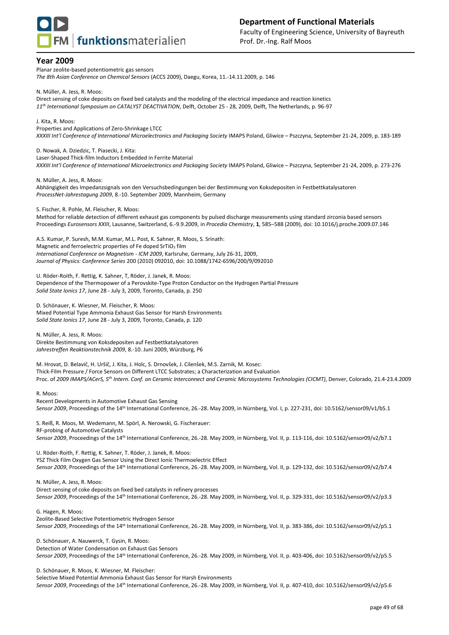

Planar zeolite-based potentiometric gas sensors *The 8th Asian Conference on Chemical Sensors* (ACCS 2009), Daegu, Korea, 11.-14.11.2009, p. 146

N. Müller, A. Jess, R. Moos:

Direct sensing of coke deposits on fixed bed catalysts and the modeling of the electrical impedance and reaction kinetics *11th International Symposium on CATALYST DEACTIVATION*, Delft, October 25 - 28, 2009, Delft, The Netherlands, p. 96-97

J. Kita, R. Moos:

Properties and Applications of Zero-Shrinkage LTCC

*XXXIII Int'l Conference of International Microelectronics and Packaging Society* IMAPS Poland, Gliwice – Pszczyna, September 21-24, 2009, p. 183-189

D. Nowak, A. Dziedzic, T. Piasecki, J. Kita: Laser-Shaped Thick-film Inductors Embedded in Ferrite Material *XXXIII Int'l Conference of International Microelectronics and Packaging Society* IMAPS Poland, Gliwice – Pszczyna, September 21-24, 2009, p. 273-276

N. Müller, A. Jess, R. Moos:

Abhängigkeit des Impedanzsignals von den Versuchsbedingungen bei der Bestimmung von Koksdepositen in Festbettkatalysatoren *ProcessNet-Jahrestagung 2009*, 8.-10. September 2009, Mannheim, Germany

S. Fischer, R. Pohle, M. Fleischer, R. Moos:

Method for reliable detection of different exhaust gas components by pulsed discharge measurements using standard zirconia based sensors Proceedings *Eurosensors XXIII*, Lausanne, Switzerland, 6.-9.9.2009, in *Procedia Chemistry*, **1**, 585–588 (2009), doi: 10.1016/j.proche.2009.07.146

A.S. Kumar, P. Suresh, M.M. Kumar, M.L. Post, K. Sahner, R. Moos, S. Srinath: Magnetic and ferroelectric properties of Fe doped SrTiO $_3$  film *International Conference on Magnetism - ICM 2009*, Karlsruhe, Germany, July 26-31, 2009, *Journal of Physics: Conference Series* 200 (2010) 092010, doi: 10.1088/1742-6596/200/9/092010

U. Röder-Roith, F. Rettig, K. Sahner, T, Röder, J. Janek, R. Moos: Dependence of the Thermopower of a Perovskite-Type Proton Conductor on the Hydrogen Partial Pressure *Solid State Ionics 17*, June 28 - July 3, 2009, Toronto, Canada, p. 250

D. Schönauer, K. Wiesner, M. Fleischer, R. Moos: Mixed Potential Type Ammonia Exhaust Gas Sensor for Harsh Environments *Solid State Ionics 17*, June 28 - July 3, 2009, Toronto, Canada, p. 120

N. Müller, A. Jess, R. Moos: Direkte Bestimmung von Koksdepositen auf Festbettkatalysatoren *Jahrestreffen Reaktionstechnik 2009*, 8.-10. Juni 2009, Würzburg, P6

M. Hrovat, D. Belavič, H. Uršič, J. Kita, J. Holc, S. Drnovšek, J. Cilenšek, M.S. Zarnik, M. Kosec: Thick-Film Pressure / Force Sensors on Different LTCC Substrates; a Characterization and Evaluation Proc. of *2009 IMAPS/ACerS, 5th Intern. Conf. on Ceramic Interconnect and Ceramic Microsystems Technologies (CICMT)*, Denver, Colorado, 21.4-23.4.2009

R. Moos:

Recent Developments in Automotive Exhaust Gas Sensing *Sensor 2009*, Proceedings of the 14th International Conference, 26.-28. May 2009, in Nürnberg, Vol. I, p. 227-231, doi: 10.5162/sensor09/v1/b5.1

S. Reiß, R. Moos, M. Wedemann, M. Spörl, A. Nerowski, G. Fischerauer: RF-probing of Automotive Catalysts *Sensor 2009*, Proceedings of the 14th International Conference, 26.-28. May 2009, in Nürnberg, Vol. II, p. 113-116, doi: 10.5162/sensor09/v2/b7.1

U. Röder-Roith, F. Rettig, K. Sahner, T. Röder, J. Janek, R. Moos: YSZ Thick Film Oxygen Gas Sensor Using the Direct Ionic Thermoelectric Effect *Sensor 2009*, Proceedings of the 14th International Conference, 26.-28. May 2009, in Nürnberg, Vol. II, p. 129-132, doi: 10.5162/sensor09/v2/b7.4

N. Müller, A. Jess, R. Moos:

Direct sensing of coke deposits on fixed bed catalysts in refinery processes

*Sensor 2009*, Proceedings of the 14th International Conference, 26.-28. May 2009, in Nürnberg, Vol. II, p. 329-331, doi: 10.5162/sensor09/v2/p3.3

G. Hagen, R. Moos: Zeolite-Based Selective Potentiometric Hydrogen Sensor *Sensor 2009*, Proceedings of the 14th International Conference, 26.-28. May 2009, in Nürnberg, Vol. II, p. 383-386, doi: 10.5162/sensor09/v2/p5.1

D. Schönauer, A. Nauwerck, T. Gysin, R. Moos: Detection of Water Condensation on Exhaust Gas Sensors *Sensor 2009*, Proceedings of the 14th International Conference, 26.-28. May 2009, in Nürnberg, Vol. II, p. 403-406, doi: 10.5162/sensor09/v2/p5.5

D. Schönauer, R. Moos, K. Wiesner, M. Fleischer: Selective Mixed Potential Ammonia Exhaust Gas Sensor for Harsh Environments

*Sensor 2009*, Proceedings of the 14th International Conference, 26.-28. May 2009, in Nürnberg, Vol. II, p. 407-410, doi: 10.5162/sensor09/v2/p5.6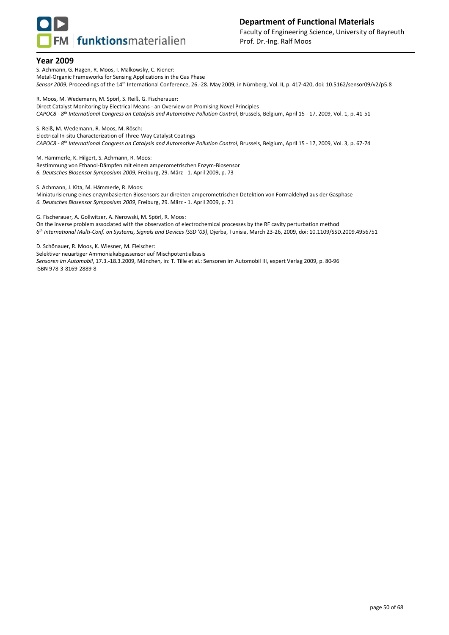

S. Achmann, G. Hagen, R. Moos, I. Malkowsky, C. Kiener: Metal-Organic Frameworks for Sensing Applications in the Gas Phase *Sensor 2009*, Proceedings of the 14th International Conference, 26.-28. May 2009, in Nürnberg, Vol. II, p. 417-420, doi: 10.5162/sensor09/v2/p5.8

R. Moos, M. Wedemann, M. Spörl, S. Reiß, G. Fischerauer: Direct Catalyst Monitoring by Electrical Means - an Overview on Promising Novel Principles *CAPOC8 - 8 th International Congress on Catalysis and Automotive Pollution Control*, Brussels, Belgium, April 15 - 17, 2009, Vol. 1, p. 41-51

S. Reiß, M. Wedemann, R. Moos, M. Rösch: Electrical In-situ Characterization of Three-Way Catalyst Coatings *CAPOC8 - 8 th International Congress on Catalysis and Automotive Pollution Control*, Brussels, Belgium, April 15 - 17, 2009, Vol. 3, p. 67-74

M. Hämmerle, K. Hilgert, S. Achmann, R. Moos: Bestimmung von Ethanol-Dämpfen mit einem amperometrischen Enzym-Biosensor *6. Deutsches Biosensor Symposium 2009*, Freiburg, 29. März - 1. April 2009, p. 73

S. Achmann, J. Kita, M. Hämmerle, R. Moos:

Miniaturisierung eines enzymbasierten Biosensors zur direkten amperometrischen Detektion von Formaldehyd aus der Gasphase *6. Deutsches Biosensor Symposium 2009*, Freiburg, 29. März - 1. April 2009, p. 71

G. Fischerauer, A. Gollwitzer, A. Nerowski, M. Spörl, R. Moos: On the inverse problem associated with the observation of electrochemical processes by the RF cavity perturbation method *6 th International Multi-Conf. on Systems, Signals and Devices (SSD '09)*, Djerba, Tunisia, March 23-26, 2009, doi: 10.1109/SSD.2009.4956751

D. Schönauer, R. Moos, K. Wiesner, M. Fleischer:

Selektiver neuartiger Ammoniakabgassensor auf Mischpotentialbasis *Sensoren im Automobil*, 17.3.-18.3.2009, München, in: T. Tille et al.: Sensoren im Automobil III, expert Verlag 2009, p. 80-96 ISBN 978-3-8169-2889-8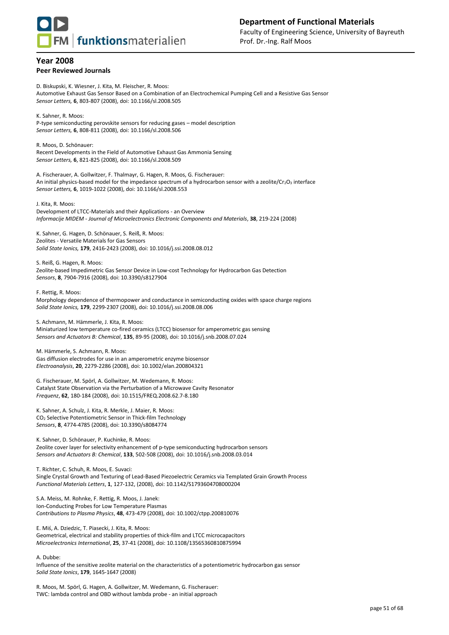

#### **Year 2008 Peer Reviewed Journals**

D. Biskupski, K. Wiesner, J. Kita, M. Fleischer, R. Moos: Automotive Exhaust Gas Sensor Based on a Combination of an Electrochemical Pumping Cell and a Resistive Gas Sensor *Sensor Letters,* **6**, 803-807 (2008), doi: 10.1166/sl.2008.505

K. Sahner, R. Moos: P-type semiconducting perovskite sensors for reducing gases – model description *Sensor Letters,* **6**, 808-811 (2008), doi: 10.1166/sl.2008.506

R. Moos, D. Schönauer: Recent Developments in the Field of Automotive Exhaust Gas Ammonia Sensing *Sensor Letters,* **6**, 821-825 (2008), doi: 10.1166/sl.2008.509

A. Fischerauer, A. Gollwitzer, F. Thalmayr, G. Hagen, R. Moos, G. Fischerauer: An initial physics-based model for the impedance spectrum of a hydrocarbon sensor with a zeolite/Cr<sub>2</sub>O<sub>3</sub> interface *Sensor Letters,* **6**, 1019-1022 (2008), doi: 10.1166/sl.2008.553

J. Kita, R. Moos: Development of LTCC-Materials and their Applications - an Overview *Informacije MIDEM - Journal of Microelectronics Electronic Components and Materials*, **38**, 219-224 (2008)

K. Sahner, G. Hagen, D. Schönauer, S. Reiß, R. Moos: Zeolites - Versatile Materials for Gas Sensors *Solid State Ionics,* **179**, 2416-2423 (2008), doi: 10.1016/j.ssi.2008.08.012

S. Reiß, G. Hagen, R. Moos: Zeolite-based Impedimetric Gas Sensor Device in Low-cost Technology for Hydrocarbon Gas Detection *Sensors*, **8**, 7904-7916 (2008), doi: 10.3390/s8127904

F. Rettig, R. Moos:

Morphology dependence of thermopower and conductance in semiconducting oxides with space charge regions *Solid State Ionics,* **179**, 2299-2307 (2008), doi: 10.1016/j.ssi.2008.08.006

S. Achmann, M. Hämmerle, J. Kita, R. Moos:

Miniaturized low temperature co-fired ceramics (LTCC) biosensor for amperometric gas sensing *Sensors and Actuators B: Chemical*, **135**, 89-95 (2008), doi: 10.1016/j.snb.2008.07.024

M. Hämmerle, S. Achmann, R. Moos: Gas diffusion electrodes for use in an amperometric enzyme biosensor *Electroanalysis*, **20**, 2279-2286 (2008), doi: 10.1002/elan.200804321

G. Fischerauer, M. Spörl, A. Gollwitzer, M. Wedemann, R. Moos: Catalyst State Observation via the Perturbation of a Microwave Cavity Resonator *Frequenz*, **62**, 180-184 (2008), doi: 10.1515/FREQ.2008.62.7-8.180

K. Sahner, A. Schulz, J. Kita, R. Merkle, J. Maier, R. Moos: CO<sup>2</sup> Selective Potentiometric Sensor in Thick-film Technology *Sensors*, **8**, 4774-4785 (2008), doi: 10.3390/s8084774

K. Sahner, D. Schönauer, P. Kuchinke, R. Moos: Zeolite cover layer for selectivity enhancement of p-type semiconducting hydrocarbon sensors *Sensors and Actuators B: Chemical*, **133**, 502-508 (2008), doi: 10.1016/j.snb.2008.03.014

T. Richter, C. Schuh, R. Moos, E. Suvaci: Single Crystal Growth and Texturing of Lead-Based Piezoelectric Ceramics via Templated Grain Growth Process *Functional Materials Letters*, **1**, 127-132, (2008), doi: 10.1142/S1793604708000204

S.A. Meiss, M. Rohnke, F. Rettig, R. Moos, J. Janek: Ion-Conducting Probes for Low Temperature Plasmas *Contributions to Plasma Physics*, **48**, 473-479 (2008), doi: 10.1002/ctpp.200810076

E. Miś, A. Dziedzic, T. Piasecki, J. Kita, R. Moos: Geometrical, electrical and stability properties of thick-film and LTCC microcapacitors *Microelectronics International*, **25**, 37-41 (2008), doi: 10.1108/13565360810875994

A. Dubbe:

Influence of the sensitive zeolite material on the characteristics of a potentiometric hydrocarbon gas sensor *Solid State Ionics*, **179**, 1645-1647 (2008)

R. Moos, M. Spörl, G. Hagen, A. Gollwitzer, M. Wedemann, G. Fischerauer: TWC: lambda control and OBD without lambda probe - an initial approach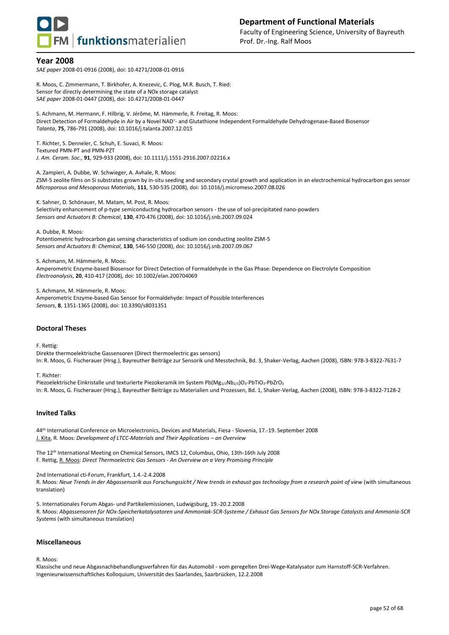

*SAE paper* 2008-01-0916 (2008), doi: 10.4271/2008-01-0916

R. Moos, C. Zimmermann, T. Birkhofer, A. Knezevic, C. Plog, M.R. Busch, T. Ried: Sensor for directly determining the state of a NOx storage catalyst *SAE paper* 2008-01-0447 (2008), doi: 10.4271/2008-01-0447

S. Achmann, M. Hermann, F. Hilbrig, V. Jérôme, M. Hämmerle, R. Freitag, R. Moos: Direct Detection of Formaldehyde in Air by a Novel NAD<sup>+</sup>- and Glutathione Independent Formaldehyde Dehydrogenase-Based Biosensor *Talanta*, **75**, 786-791 (2008), doi: 10.1016/j.talanta.2007.12.015

T. Richter, S. Denneler, C. Schuh, E. Suvaci, R. Moos: Textured PMN-PT and PMN-PZT *J. Am. Ceram. Soc.*, **91**, 929-933 (2008), doi: 10.1111/j.1551-2916.2007.02216.x

A. Zampieri, A. Dubbe, W. Schwieger, A. Avhale, R. Moos: ZSM-5 zeolite films on Si substrates grown by in-situ seeding and secondary crystal growth and application in an electrochemical hydrocarbon gas sensor *Microporous and Mesoporous Materials*, **111**, 530-535 (2008), doi: 10.1016/j.micromeso.2007.08.026

K. Sahner, D. Schönauer, M. Matam, M. Post, R. Moos: Selectivity enhancement of p-type semiconducting hydrocarbon sensors - the use of sol-precipitated nano-powders *Sensors and Actuators B: Chemical*, **130**, 470-476 (2008), doi: 10.1016/j.snb.2007.09.024

A. Dubbe, R. Moos: Potentiometric hydrocarbon gas sensing characteristics of sodium ion conducting zeolite ZSM-5 *Sensors and Actuators B: Chemical*, **130**, 546-550 (2008), doi: 10.1016/j.snb.2007.09.067

S. Achmann, M. Hämmerle, R. Moos:

Amperometric Enzyme-based Biosensor for Direct Detection of Formaldehyde in the Gas Phase: Dependence on Electrolyte Composition *Electroanalysis*, **20**, 410-417 (2008), doi: 10.1002/elan.200704069

S. Achmann, M. Hämmerle, R. Moos: Amperometric Enzyme-based Gas Sensor for Formaldehyde: Impact of Possible Interferences *Sensors*, **8**, 1351-1365 (2008), doi: 10.3390/s8031351

#### **Doctoral Theses**

F. Rettig:

Direkte thermoelektrische Gassensoren (Direct thermoelectric gas sensors) In: R. Moos, G. Fischerauer (Hrsg.), Bayreuther Beiträge zur Sensorik und Messtechnik, Bd. 3, Shaker-Verlag, Aachen (2008), ISBN: 978-3-8322-7631-7

T. Richter:

Piezoelektrische Einkristalle und texturierte Piezokeramik im System Pb(Mg1/3Nb2/3)O3-PbTiO3-PbZrO3 In: R. Moos, G. Fischerauer (Hrsg.), Bayreuther Beiträge zu Materialien und Prozessen, Bd. 1, Shaker-Verlag, Aachen (2008), ISBN: 978-3-8322-7128-2

#### **Invited Talks**

44th International Conference on Microelectronics, Devices and Materials, Fiesa - Slovenia, 17.-19. September 2008 J. Kita, R. Moos: *Development of LTCC-Materials and Their Applications – an Overview*

The 12th International Meeting on Chemical Sensors, IMCS 12, Columbus, Ohio, 13th-16th July 2008 F. Rettig, R. Moos: *Direct Thermoelectric Gas Sensors - An Overview on a Very Promising Principle*

2nd International cti-Forum, Frankfurt, 1.4.-2.4.2008

R. Moos: *Neue Trends in der Abgassensorik aus Forschungssicht / New trends in exhaust gas technology from a research point of view* (with simultaneous translation)

5. Internationales Forum Abgas- und Partikelemissionen, Ludwigsburg, 19.-20.2.2008 R. Moos: *Abgassensoren für NOx-Speicherkatalysatoren und Ammoniak-SCR-Systeme / Exhaust Gas Sensors for NOx Storage Catalysts and Ammonia-SCR Systems* (with simultaneous translation)

#### **Miscellaneous**

R. Moos:

Klassische und neue Abgasnachbehandlungsverfahren für das Automobil - vom geregelten Drei-Wege-Katalysator zum Harnstoff-SCR-Verfahren. Ingenieurwissenschaftliches Kolloquium, Universität des Saarlandes, Saarbrücken, 12.2.2008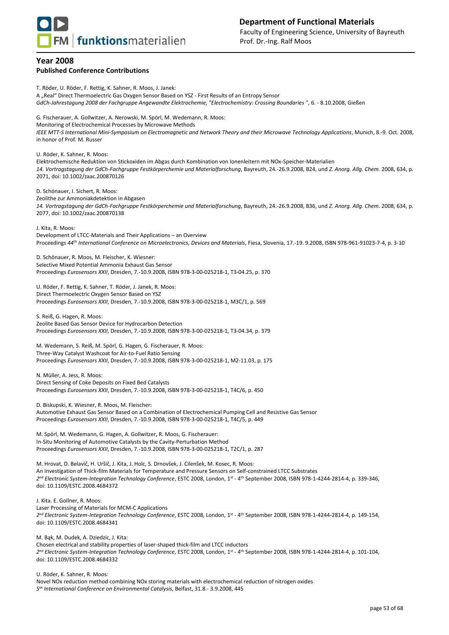

## **Year 2008 Published Conference Contributions**

T. Röder, U. Röder, F. Rettig, K. Sahner, R. Moos, J. Janek: A "Real" Direct Thermoelectric Gas Oxygen Sensor Based on YSZ - First Results of an Entropy Sensor *GdCh-Jahrestagung 2008 der Fachgruppe Angewandte Elektrochemie, "Electrochemistry: Crossing Boundaries "*, 6. - 8.10.2008, Gießen G. Fischerauer, A. Gollwitzer, A. Nerowski, M. Spörl, M. Wedemann, R. Moos: Monitoring of Electrochemical Processes by Microwave Methods *IEEE MTT-S International Mini-Symposium on Electromagnetic and Network Theory and their Microwave Technology Applications*, Munich, 8.-9. Oct. 2008, in honor of Prof. M. Russer U. Röder, K. Sahner, R. Moos: Elektrochemische Reduktion von Stickoxiden im Abgas durch Kombination von Ionenleitern mit NOx-Speicher-Materialien *14. Vortragstagung der GdCh-Fachgruppe Festkörperchemie und Materialforschung*, Bayreuth, 24.-26.9.2008, B24, und *Z. Anorg. Allg. Chem.* 2008, 634, p. 2071, doi: 10.1002/zaac.200870126 D. Schönauer, I. Sichert, R. Moos: Zeolithe zur Ammoniakdetektion in Abgasen *14. Vortragstagung der GdCh-Fachgruppe Festkörperchemie und Materialforschung*, Bayreuth, 24.-26.9.2008, B36, und *Z. Anorg. Allg. Chem.* 2008, 634, p. 2077, doi: 10.1002/zaac.200870138 J. Kita, R. Moos: Development of LTCC-Materials and Their Applications – an Overview Proceedings *44th International Conference on Microelectronics, Devices and Materials*, Fiesa, Slovenia, 17.-19. 9.2008, ISBN 978-961-91023-7-4, p. 3-10 D. Schönauer, R. Moos, M. Fleischer, K. Wiesner: Selective Mixed Potential Ammonia Exhaust Gas Sensor Proceedings *Eurosensors XXII*, Dresden, 7.-10.9.2008, ISBN 978-3-00-025218-1, T3-04.25, p. 370 U. Röder, F. Rettig, K. Sahner, T. Röder, J. Janek, R. Moos: Direct Thermoelectric Oxygen Sensor Based on YSZ Proceedings *Eurosensors XXII*, Dresden, 7.-10.9.2008, ISBN 978-3-00-025218-1, M3C/1, p. 569

S. Reiß, G. Hagen, R. Moos: Zeolite Based Gas Sensor Device for Hydrocarbon Detection Proceedings *Eurosensors XXII*, Dresden, 7.-10.9.2008, ISBN 978-3-00-025218-1, T3-04.34, p. 379

M. Wedemann, S. Reiß, M. Spörl, G. Hagen, G. Fischerauer, R. Moos: Three-Way Catalyst Washcoat for Air-to-Fuel Ratio Sensing Proceedings *Eurosensors XXII*, Dresden, 7.-10.9.2008, ISBN 978-3-00-025218-1, M2-11.03, p. 175

N. Müller, A. Jess, R. Moos: Direct Sensing of Coke Deposits on Fixed Bed Catalysts Proceedings *Eurosensors XXII*, Dresden, 7.-10.9.2008, ISBN 978-3-00-025218-1, T4C/6, p. 450

D. Biskupski, K. Wiesner, R. Moos, M. Fleischer:

Automotive Exhaust Gas Sensor Based on a Combination of Electrochemical Pumping Cell and Resistive Gas Sensor Proceedings *Eurosensors XXII*, Dresden, 7.-10.9.2008, ISBN 978-3-00-025218-1, T4C/5, p. 449

M. Spörl, M. Wedemann, G. Hagen, A. Gollwitzer, R. Moos, G. Fischerauer: In-Situ Monitoring of Automotive Catalysts by the Cavity-Perturbation Method Proceedings *Eurosensors XXII*, Dresden, 7.-10.9.2008, ISBN 978-3-00-025218-1, T2C/1, p. 287

M. Hrovat, D. Belavič, H. Uršič, J. Kita, J. Holc, S. Drnovšek, J. Cilenšek, M. Kosec, R. Moos: An Investigation of Thick-film Materials for Temperature and Pressure Sensors on Self-constrained LTCC Substrates *2 nd Electronic System-Integration Technology Conference*, ESTC 2008, London, 1st - 4 th September 2008, ISBN 978-1-4244-2814-4, p. 339-346, doi: 10.1109/ESTC.2008.4684372

J. Kita. E. Gollner, R. Moos: Laser Processing of Materials for MCM-C Applications *2 nd Electronic System-Integration Technology Conference*, ESTC 2008, London, 1st - 4 th September 2008, ISBN 978-1-4244-2814-4, p. 149-154, doi: 10.1109/ESTC.2008.4684341

M. Bąk, M. Dudek, A. Dziedzic, J. Kita: Chosen electrical and stability properties of laser-shaped thick-film and LTCC inductors *2 nd Electronic System-Integration Technology Conference*, ESTC 2008, London, 1st - 4 th September 2008, ISBN 978-1-4244-2814-4, p. 101-104, doi: 10.1109/ESTC.2008.4684332

U. Röder, K. Sahner, R. Moos: Novel NOx reduction method combining NOx storing materials with electrochemical reduction of nitrogen oxides *5 th International Conference on Environmental Catalysis*, Belfast, 31.8.- 3.9.2008, 445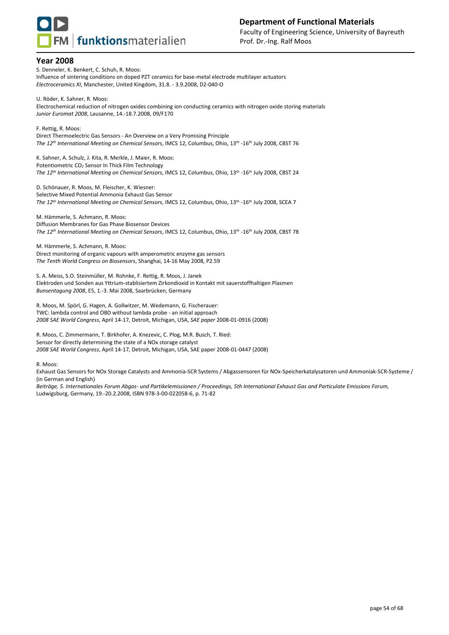

S. Denneler, K. Benkert, C. Schuh, R. Moos: Influence of sintering conditions on doped PZT ceramics for base-metal electrode multilayer actuators *Electroceramics XI*, Manchester, United Kingdom, 31.8. - 3.9.2008, D2-040-O

U. Röder, K. Sahner, R. Moos: Electrochemical reduction of nitrogen oxides combining ion conducting ceramics with nitrogen oxide storing materials *Junior Euromat 2008*, Lausanne, 14.-18.7.2008, 09/F170

F. Rettig, R. Moos: Direct Thermoelectric Gas Sensors - An Overview on a Very Promising Principle *The 12th International Meeting on Chemical Sensors*, IMCS 12, Columbus, Ohio, 13th -16th July 2008, CBST 76

K. Sahner, A. Schulz, J. Kita, R. Merkle, J. Maier, R. Moos: Potentiometric CO<sub>2</sub> Sensor In Thick Film Technology *The 12th International Meeting on Chemical Sensors*, IMCS 12, Columbus, Ohio, 13th -16th July 2008, CBST 24

D. Schönauer, R. Moos, M. Fleischer, K. Wiesner: Selective Mixed Potential Ammonia Exhaust Gas Sensor *The 12th International Meeting on Chemical Sensors*, IMCS 12, Columbus, Ohio, 13th -16th July 2008, SCEA 7

M. Hämmerle, S. Achmann, R. Moos: Diffusion Membranes for Gas Phase Biosensor Devices *The 12th International Meeting on Chemical Sensors*, IMCS 12, Columbus, Ohio, 13th -16th July 2008, CBST 78

M. Hämmerle, S. Achmann, R. Moos: Direct monitoring of organic vapours with amperometric enzyme gas sensors *The Tenth World Congress on Biosensors*, Shanghai, 14-16 May 2008, P2.59

S. A. Meiss, S.O. Steinmüller, M. Rohnke, F. Rettig, R. Moos, J. Janek Elektroden und Sonden aus Yttrium-stablisiertem Zirkondioxid in Kontakt mit sauerstoffhaltigen Plasmen *Bunsentagung 2008*, E5, 1.-3. Mai 2008, Saarbrücken, Germany

R. Moos, M. Spörl, G. Hagen, A. Gollwitzer, M. Wedemann, G. Fischerauer: TWC: lambda control and OBD without lambda probe - an initial approach *2008 SAE World Congress*, April 14-17, Detroit, Michigan, USA, *SAE paper* 2008-01-0916 (2008)

R. Moos, C. Zimmermann, T. Birkhofer, A. Knezevic, C. Plog, M.R. Busch, T. Ried: Sensor for directly determining the state of a NOx storage catalyst *2008 SAE World Congress*, April 14-17, Detroit, Michigan, USA, SAE paper 2008-01-0447 (2008)

R. Moos:

Exhaust Gas Sensors for NOx Storage Catalysts and Ammonia-SCR Systems / Abgassensoren für NOx-Speicherkatalysatoren und Ammoniak-SCR-Systeme / (in German and English)

*Beiträge, 5. Internationales Forum Abgas- und Partikelemissionen / Proceedings, 5th International Exhaust Gas and Particulate Emissions Forum,*  Ludwigsburg, Germany, 19.-20.2.2008, ISBN 978-3-00-022058-6, p. 71-82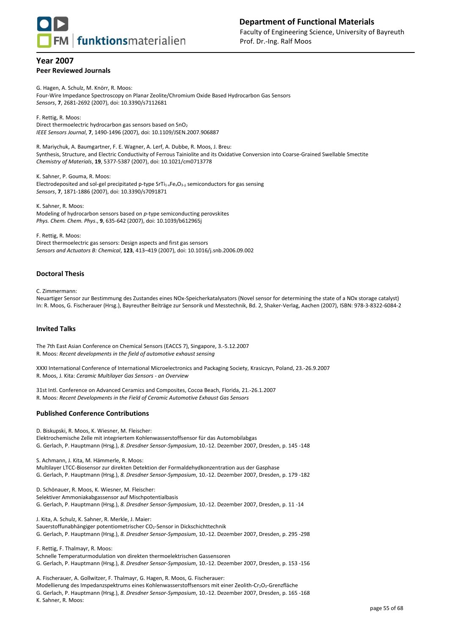

## **Year 2007 Peer Reviewed Journals**

G. Hagen, A. Schulz, M. Knörr, R. Moos: Four-Wire Impedance Spectroscopy on Planar Zeolite/Chromium Oxide Based Hydrocarbon Gas Sensors *Sensors*, **7**, 2681-2692 (2007), doi: 10.3390/s7112681

F. Rettig, R. Moos: Direct thermoelectric hydrocarbon gas sensors based on SnO<sup>2</sup> *IEEE Sensors Journal*, **7**, 1490-1496 (2007), doi: 10.1109/JSEN.2007.906887

R. Mariychuk, A. Baumgartner, F. E. Wagner, A. Lerf, A. Dubbe, R. Moos, J. Breu: Synthesis, Structure, and Electric Conductivity of Ferrous Tainiolite and its Oxidative Conversion into Coarse-Grained Swellable Smectite *Chemistry of Materials*, **19**, 5377-5387 (2007), doi: 10.1021/cm0713778

K. Sahner, P. Gouma, R. Moos: Electrodeposited and sol-gel precipitated p-type SrTi<sub>1-x</sub>Fe<sub>x</sub>O<sub>3- $\delta$ </sub> semiconductors for gas sensing *Sensors*, **7**, 1871-1886 (2007), doi: 10.3390/s7091871

K. Sahner, R. Moos: Modeling of hydrocarbon sensors based on *p*-type semiconducting perovskites *Phys. Chem. Chem. Phys*., **9**, 635-642 (2007), doi: 10.1039/b612965j

F. Rettig, R. Moos: Direct thermoelectric gas sensors: Design aspects and first gas sensors *Sensors and Actuators B: Chemical*, **123**, 413–419 (2007), doi: 10.1016/j.snb.2006.09.002

## **Doctoral Thesis**

C. Zimmermann:

Neuartiger Sensor zur Bestimmung des Zustandes eines NOx-Speicherkatalysators (Novel sensor for determining the state of a NOx storage catalyst) In: R. Moos, G. Fischerauer (Hrsg.), Bayreuther Beiträge zur Sensorik und Messtechnik, Bd. 2, Shaker-Verlag, Aachen (2007), ISBN: 978-3-8322-6084-2

## **Invited Talks**

The 7th East Asian Conference on Chemical Sensors (EACCS 7), Singapore, 3.-5.12.2007 R. Moos: *Recent developments in the field of automotive exhaust sensing*

XXXI International Conference of International Microelectronics and Packaging Society, Krasiczyn, Poland, 23.-26.9.2007 R. Moos, J. Kita: *Ceramic Multilayer Gas Sensors - an Overview*

31st Intl. Conference on Advanced Ceramics and Composites, Cocoa Beach, Florida, 21.-26.1.2007 R. Moos: *Recent Developments in the Field of Ceramic Automotive Exhaust Gas Sensors* 

## **Published Conference Contributions**

D. Biskupski, R. Moos, K. Wiesner, M. Fleischer: Elektrochemische Zelle mit integriertem Kohlenwasserstoffsensor für das Automobilabgas G. Gerlach, P. Hauptmann (Hrsg.), *8. Dresdner Sensor-Symposium*, 10.-12. Dezember 2007, Dresden, p. 145 -148

S. Achmann, J. Kita, M. Hämmerle, R. Moos:

Multilayer LTCC-Biosensor zur direkten Detektion der Formaldehydkonzentration aus der Gasphase G. Gerlach, P. Hauptmann (Hrsg.), *8. Dresdner Sensor-Symposium*, 10.-12. Dezember 2007, Dresden, p. 179 -182

D. Schönauer, R. Moos, K. Wiesner, M. Fleischer: Selektiver Ammoniakabgassensor auf Mischpotentialbasis G. Gerlach, P. Hauptmann (Hrsg.), *8. Dresdner Sensor-Symposium*, 10.-12. Dezember 2007, Dresden, p. 11 -14

J. Kita, A. Schulz, K. Sahner, R. Merkle, J. Maier: Sauerstoffunabhängiger potentiometrischer CO2-Sensor in Dickschichttechnik G. Gerlach, P. Hauptmann (Hrsg.), *8. Dresdner Sensor-Symposium*, 10.-12. Dezember 2007, Dresden, p. 295 -298

F. Rettig, F. Thalmayr, R. Moos: Schnelle Temperaturmodulation von direkten thermoelektrischen Gassensoren G. Gerlach, P. Hauptmann (Hrsg.), *8. Dresdner Sensor-Symposium*, 10.-12. Dezember 2007, Dresden, p. 153 -156

A. Fischerauer, A. Gollwitzer, F. Thalmayr, G. Hagen, R. Moos, G. Fischerauer: Modellierung des Impedanzspektrums eines Kohlenwasserstoffsensors mit einer Zeolith-Cr2O3-Grenzfläche G. Gerlach, P. Hauptmann (Hrsg.), *8. Dresdner Sensor-Symposium*, 10.-12. Dezember 2007, Dresden, p. 165 -168 K. Sahner, R. Moos: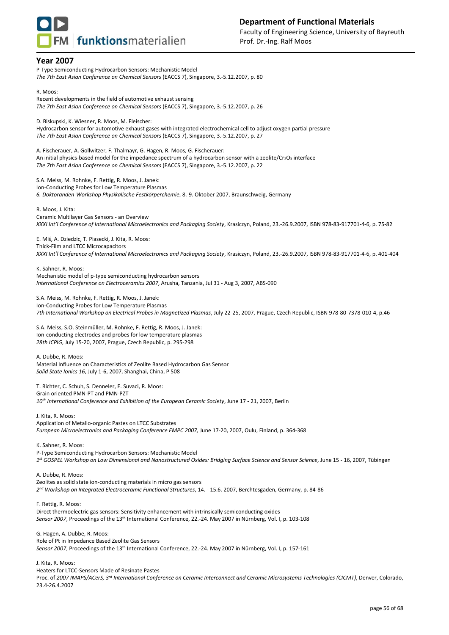

P-Type Semiconducting Hydrocarbon Sensors: Mechanistic Model *The 7th East Asian Conference on Chemical Sensors* (EACCS 7), Singapore, 3.-5.12.2007, p. 80

R. Moos: Recent developments in the field of automotive exhaust sensing *The 7th East Asian Conference on Chemical Sensors* (EACCS 7), Singapore, 3.-5.12.2007, p. 26

D. Biskupski, K. Wiesner, R. Moos, M. Fleischer:

Hydrocarbon sensor for automotive exhaust gases with integrated electrochemical cell to adjust oxygen partial pressure *The 7th East Asian Conference on Chemical Sensors* (EACCS 7), Singapore, 3.-5.12.2007, p. 27

A. Fischerauer, A. Gollwitzer, F. Thalmayr, G. Hagen, R. Moos, G. Fischerauer: An initial physics-based model for the impedance spectrum of a hydrocarbon sensor with a zeolite/Cr2O3 interface *The 7th East Asian Conference on Chemical Sensors* (EACCS 7), Singapore, 3.-5.12.2007, p. 22

S.A. Meiss, M. Rohnke, F. Rettig, R. Moos, J. Janek: Ion-Conducting Probes for Low Temperature Plasmas *6. Doktoranden-Workshop Physikalische Festkörperchemie*, 8.-9. Oktober 2007, Braunschweig, Germany

R. Moos, J. Kita: Ceramic Multilayer Gas Sensors - an Overview *XXXI Int'l Conference of International Microelectronics and Packaging Society*, Krasiczyn, Poland, 23.-26.9.2007, ISBN 978-83-917701-4-6, p. 75-82

E. Miś, A. Dziedzic, T. Piasecki, J. Kita, R. Moos: Thick-Film and LTCC Microcapacitors *XXXI Int'l Conference of International Microelectronics and Packaging Society*, Krasiczyn, Poland, 23.-26.9.2007, ISBN 978-83-917701-4-6, p. 401-404

K. Sahner, R. Moos: Mechanistic model of p-type semiconducting hydrocarbon sensors *International Conference on Electroceramics 2007*, Arusha, Tanzania, Jul 31 - Aug 3, 2007, ABS-090

S.A. Meiss, M. Rohnke, F. Rettig, R. Moos, J. Janek: Ion-Conducting Probes for Low Temperature Plasmas *7th International Workshop on Electrical Probes in Magnetized Plasmas*, July 22-25, 2007, Prague, Czech Republic, ISBN 978-80-7378-010-4, p.46

S.A. Meiss, S.O. Steinmüller, M. Rohnke, F. Rettig, R. Moos, J. Janek: Ion-conducting electrodes and probes for low temperature plasmas *28th ICPIG*, July 15-20, 2007, Prague, Czech Republic, p. 295-298

A. Dubbe, R. Moos: Material Influence on Characteristics of Zeolite Based Hydrocarbon Gas Sensor *Solid State Ionics 16*, July 1-6, 2007, Shanghai, China, P 508

T. Richter, C. Schuh, S. Denneler, E. Suvaci, R. Moos: Grain oriented PMN-PT and PMN-PZT *10th International Conference and Exhibition of the European Ceramic Society*, June 17 - 21, 2007, Berlin

J. Kita, R. Moos: Application of Metallo-organic Pastes on LTCC Substrates *European Microelectronics and Packaging Conference EMPC 2007,* June 17-20, 2007, Oulu, Finland, p. 364-368

K. Sahner, R. Moos: P-Type Semiconducting Hydrocarbon Sensors: Mechanistic Model *1 st GOSPEL Workshop on Low Dimensional and Nanostructured Oxides: Bridging Surface Science and Sensor Science*, June 15 - 16, 2007, Tübingen

A. Dubbe, R. Moos: Zeolites as solid state ion-conducting materials in micro gas sensors *2 nd Workshop on Integrated Electroceramic Functional Structures*, 14. - 15.6. 2007, Berchtesgaden, Germany, p. 84-86

F. Rettig, R. Moos: Direct thermoelectric gas sensors: Sensitivity enhancement with intrinsically semiconducting oxides *Sensor 2007*, Proceedings of the 13th International Conference, 22.-24. May 2007 in Nürnberg, Vol. I, p. 103-108

G. Hagen, A. Dubbe, R. Moos: Role of Pt in Impedance Based Zeolite Gas Sensors *Sensor 2007*, Proceedings of the 13th International Conference, 22.-24. May 2007 in Nürnberg, Vol. I, p. 157-161

J. Kita, R. Moos:

Heaters for LTCC-Sensors Made of Resinate Pastes

Proc. of *2007 IMAPS/ACerS, 3rd International Conference on Ceramic Interconnect and Ceramic Microsystems Technologies (CICMT)*, Denver, Colorado, 23.4-26.4.2007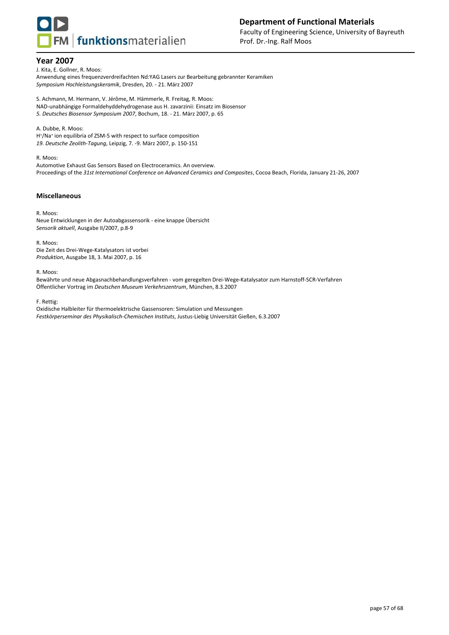

J. Kita, E. Gollner, R. Moos:

Anwendung eines frequenzverdreifachten Nd:YAG Lasers zur Bearbeitung gebrannter Keramiken *Symposium Hochleistungskeramik*, Dresden, 20. - 21. März 2007

S. Achmann, M. Hermann, V. Jérôme, M. Hämmerle, R. Freitag, R. Moos: NAD-unabhängige Formaldehyddehydrogenase aus H. zavarzinii: Einsatz im Biosensor *5. Deutsches Biosensor Symposium 2007*, Bochum, 18. - 21. März 2007, p. 65

A. Dubbe, R. Moos: H + /Na<sup>+</sup> ion equilibria of ZSM-5 with respect to surface composition *19. Deutsche Zeolith-Tagung*, Leipzig, 7. -9. März 2007, p. 150-151

R. Moos: Automotive Exhaust Gas Sensors Based on Electroceramics. An overview. Proceedings of the *31st International Conference on Advanced Ceramics and Composites*, Cocoa Beach, Florida, January 21-26, 2007

#### **Miscellaneous**

R. Moos:

Neue Entwicklungen in der Autoabgassensorik - eine knappe Übersicht *Sensorik aktuell*, Ausgabe II/2007, p.8-9

R. Moos: Die Zeit des Drei-Wege-Katalysators ist vorbei *Produktion*, Ausgabe 18, 3. Mai 2007, p. 16

R. Moos:

Bewährte und neue Abgasnachbehandlungsverfahren - vom geregelten Drei-Wege-Katalysator zum Harnstoff-SCR-Verfahren Öffentlicher Vortrag im *Deutschen Museum Verkehrszentrum*, München, 8.3.2007

F. Rettig:

Oxidische Halbleiter für thermoelektrische Gassensoren: Simulation und Messungen *Festkörperseminar des Physikalisch-Chemischen Instituts*, Justus-Liebig Universität Gießen, 6.3.2007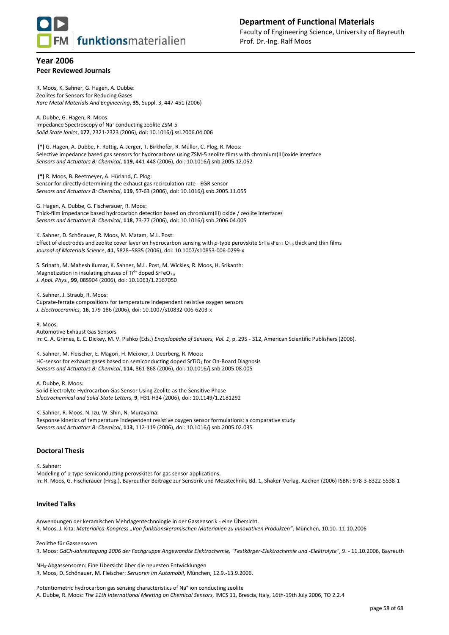

## **Year 2006 Peer Reviewed Journals**

R. Moos, K. Sahner, G. Hagen, A. Dubbe: Zeolites for Sensors for Reducing Gases *Rare Metal Materials And Engineering*, **35**, Suppl. 3, 447-451 (2006)

A. Dubbe, G. Hagen, R. Moos: Impedance Spectroscopy of Na<sup>+</sup> conducting zeolite ZSM-5 *Solid State Ionics*, **177**, 2321-2323 (2006), doi: 10.1016/j.ssi.2006.04.006

**(\*)** G. Hagen, A. Dubbe, F. Rettig, A. Jerger, T. Birkhofer, R. Müller, C. Plog, R. Moos: Selective impedance based gas sensors for hydrocarbons using ZSM-5 zeolite films with chromium(III)oxide interface *Sensors and Actuators B: Chemical*, **119**, 441-448 (2006), doi: 10.1016/j.snb.2005.12.052

**(\*)** R. Moos, B. Reetmeyer, A. Hürland, C. Plog: Sensor for directly determining the exhaust gas recirculation rate - EGR sensor *Sensors and Actuators B: Chemical*, **119**, 57-63 (2006), doi: 10.1016/j.snb.2005.11.055

G. Hagen, A. Dubbe, G. Fischerauer, R. Moos: Thick-film impedance based hydrocarbon detection based on chromium(III) oxide / zeolite interfaces *Sensors and Actuators B: Chemical*, **118**, 73-77 (2006), doi: 10.1016/j.snb.2006.04.005

K. Sahner, D. Schönauer, R. Moos, M. Matam, M.L. Post: Effect of electrodes and zeolite cover layer on hydrocarbon sensing with *p*-type perovskite SrTi<sub>0.8</sub>Fe<sub>0.2</sub> O<sub>3-8</sub> thick and thin films *Journal of Materials Science*, **41**, 5828–5835 (2006), doi: 10.1007/s10853-006-0299-x

S. Srinath, M. Mahesh Kumar, K. Sahner, M.L. Post, M. Wickles, R. Moos, H. Srikanth: Magnetization in insulating phases of Ti<sup>4+</sup> doped SrFeO<sub>3- $\delta$ </sub> *J. Appl. Phys.*, **99**, 08S904 (2006), doi: 10.1063/1.2167050

K. Sahner, J. Straub, R. Moos: Cuprate-ferrate compositions for temperature independent resistive oxygen sensors *J. Electroceramics,* **16**, 179-186 (2006), doi: 10.1007/s10832-006-6203-x

R. Moos: Automotive Exhaust Gas Sensors In: C. A. Grimes, E. C. Dickey, M. V. Pishko (Eds.) *Encyclopedia of Sensors, Vol. 1*, p. 295 - 312, American Scientific Publishers (2006).

K. Sahner, M. Fleischer, E. Magori, H. Meixner, J. Deerberg, R. Moos: HC-sensor for exhaust gases based on semiconducting doped SrTiO<sub>3</sub> for On-Board Diagnosis *Sensors and Actuators B: Chemical*, **114**, 861-868 (2006), doi: 10.1016/j.snb.2005.08.005

A. Dubbe, R. Moos: Solid Electrolyte Hydrocarbon Gas Sensor Using Zeolite as the Sensitive Phase *Electrochemical and Solid-State Letters,* **9**, H31-H34 (2006), doi: 10.1149/1.2181292

K. Sahner, R. Moos, N. Izu, W. Shin, N. Murayama: Response kinetics of temperature independent resistive oxygen sensor formulations: a comparative study *Sensors and Actuators B: Chemical*, **113**, 112-119 (2006), doi: 10.1016/j.snb.2005.02.035

#### **Doctoral Thesis**

K. Sahner: Modeling of p-type semiconducting perovskites for gas sensor applications. In: R. Moos, G. Fischerauer (Hrsg.), Bayreuther Beiträge zur Sensorik und Messtechnik, Bd. 1, Shaker-Verlag, Aachen (2006) ISBN: 978-3-8322-5538-1

## **Invited Talks**

Anwendungen der keramischen Mehrlagentechnologie in der Gassensorik - eine Übersicht. R. Moos, J. Kita: *Materialica-Kongress "Von funktionskeramischen Materialien zu innovativen Produkten"*, München, 10.10.-11.10.2006

Zeolithe für Gassensoren R. Moos: *GdCh-Jahrestagung 2006 der Fachgruppe Angewandte Elektrochemie, "Festkörper-Elektrochemie und -Elektrolyte"*, 9. - 11.10.2006, Bayreuth

NH3-Abgassensoren: Eine Übersicht über die neuesten Entwicklungen R. Moos, D. Schönauer, M. Fleischer: *Sensoren im Automobil*, München, 12.9.-13.9.2006.

Potentiometric hydrocarbon gas sensing characteristics of Na<sup>+</sup> ion conducting zeolite A. Dubbe, R. Moos: *The 11th International Meeting on Chemical Sensors*, IMCS 11, Brescia, Italy, 16th-19th July 2006, TO 2.2.4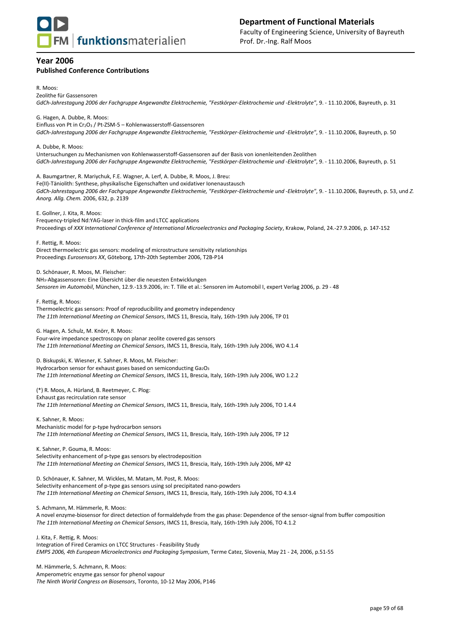

*The Ninth World Congress on Biosensors*, Toronto, 10-12 May 2006, P146

## **Year 2006 Published Conference Contributions**

R. Moos: Zeolithe für Gassensoren *GdCh-Jahrestagung 2006 der Fachgruppe Angewandte Elektrochemie, "Festkörper-Elektrochemie und -Elektrolyte"*, 9. - 11.10.2006, Bayreuth, p. 31 G. Hagen, A. Dubbe, R. Moos: Einfluss von Pt in Cr<sub>2</sub>O<sub>3</sub> / Pt-ZSM-5 – Kohlenwasserstoff-Gassensoren *GdCh-Jahrestagung 2006 der Fachgruppe Angewandte Elektrochemie, "Festkörper-Elektrochemie und -Elektrolyte"*, 9. - 11.10.2006, Bayreuth, p. 50 A. Dubbe, R. Moos: Untersuchungen zu Mechanismen von Kohlenwasserstoff-Gassensoren auf der Basis von ionenleitenden Zeolithen *GdCh-Jahrestagung 2006 der Fachgruppe Angewandte Elektrochemie, "Festkörper-Elektrochemie und -Elektrolyte"*, 9. - 11.10.2006, Bayreuth, p. 51 A. Baumgartner, R. Mariychuk, F.E. Wagner, A. Lerf, A. Dubbe, R. Moos, J. Breu: Fe(II)-Täniolith: Synthese, physikalische Eigenschaften und oxidativer Ionenaustausch *GdCh-Jahrestagung 2006 der Fachgruppe Angewandte Elektrochemie, "Festkörper-Elektrochemie und -Elektrolyte"*, 9. - 11.10.2006, Bayreuth, p. 53, und *Z. Anorg. Allg. Chem.* 2006, 632, p. 2139 E. Gollner, J. Kita, R. Moos: Frequency-tripled Nd:YAG-laser in thick-film and LTCC applications Proceedings of *XXX International Conference of International Microelectronics and Packaging Society*, Krakow, Poland, 24.-27.9.2006, p. 147-152 F. Rettig, R. Moos: Direct thermoelectric gas sensors: modeling of microstructure sensitivity relationships Proceedings *Eurosensors XX*, Göteborg, 17th-20th September 2006, T2B-P14 D. Schönauer, R. Moos, M. Fleischer: NH3-Abgassensoren: Eine Übersicht über die neuesten Entwicklungen *Sensoren im Automobil*, München, 12.9.-13.9.2006, in: T. Tille et al.: Sensoren im Automobil I, expert Verlag 2006, p. 29 - 48 F. Rettig, R. Moos: Thermoelectric gas sensors: Proof of reproducibility and geometry independency *The 11th International Meeting on Chemical Sensors*, IMCS 11, Brescia, Italy, 16th-19th July 2006, TP 01 G. Hagen, A. Schulz, M. Knörr, R. Moos: Four-wire impedance spectroscopy on planar zeolite covered gas sensors *The 11th International Meeting on Chemical Sensors*, IMCS 11, Brescia, Italy, 16th-19th July 2006, WO 4.1.4 D. Biskupski, K. Wiesner, K. Sahner, R. Moos, M. Fleischer: Hydrocarbon sensor for exhaust gases based on semiconducting Ga<sub>2</sub>O<sub>3</sub> *The 11th International Meeting on Chemical Sensors*, IMCS 11, Brescia, Italy, 16th-19th July 2006, WO 1.2.2 (\*) R. Moos, A. Hürland, B. Reetmeyer, C. Plog: Exhaust gas recirculation rate sensor *The 11th International Meeting on Chemical Sensors*, IMCS 11, Brescia, Italy, 16th-19th July 2006, TO 1.4.4 K. Sahner, R. Moos: Mechanistic model for p-type hydrocarbon sensors *The 11th International Meeting on Chemical Sensors*, IMCS 11, Brescia, Italy, 16th-19th July 2006, TP 12 K. Sahner, P. Gouma, R. Moos: Selectivity enhancement of p-type gas sensors by electrodeposition *The 11th International Meeting on Chemical Sensors*, IMCS 11, Brescia, Italy, 16th-19th July 2006, MP 42 D. Schönauer, K. Sahner, M. Wickles, M. Matam, M. Post, R. Moos: Selectivity enhancement of p-type gas sensors using sol precipitated nano-powders *The 11th International Meeting on Chemical Sensors*, IMCS 11, Brescia, Italy, 16th-19th July 2006, TO 4.3.4 S. Achmann, M. Hämmerle, R. Moos: A novel enzyme-biosensor for direct detection of formaldehyde from the gas phase: Dependence of the sensor-signal from buffer composition *The 11th International Meeting on Chemical Sensors*, IMCS 11, Brescia, Italy, 16th-19th July 2006, TO 4.1.2 J. Kita, F. Rettig, R. Moos: Integration of Fired Ceramics on LTCC Structures - Feasibility Study *EMPS 2006, 4th European Microelectronics and Packaging Symposium*, Terme Catez, Slovenia, May 21 - 24, 2006, p.51-55 M. Hämmerle, S. Achmann, R. Moos: Amperometric enzyme gas sensor for phenol vapour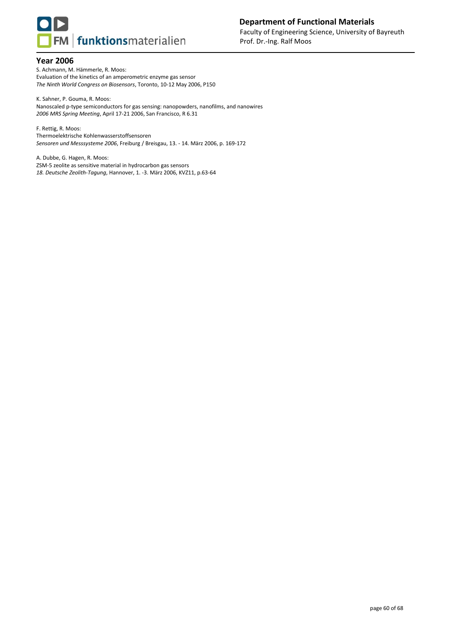

S. Achmann, M. Hämmerle, R. Moos: Evaluation of the kinetics of an amperometric enzyme gas sensor *The Ninth World Congress on Biosensors*, Toronto, 10-12 May 2006, P150

K. Sahner, P. Gouma, R. Moos: Nanoscaled p-type semiconductors for gas sensing: nanopowders, nanofilms, and nanowires *2006 MRS Spring Meeting*, April 17-21 2006, San Francisco, R 6.31

F. Rettig, R. Moos: Thermoelektrische Kohlenwasserstoffsensoren *Sensoren und Messsysteme 2006*, Freiburg / Breisgau, 13. - 14. März 2006, p. 169-172

A. Dubbe, G. Hagen, R. Moos: [ZSM-5 zeolite as sensitive material in hydrocarbon gas sensors](file:///C:/Eigenes/Publikationen/PDF-Dateien/Conferences/Zeolithtagung%202006-Hannover-Dubbe-ZSM-5%20zeolite%20as%20sensitive%20material%20in%20hydrocarbon%20gas%20sensors.pdf) *18. Deutsche Zeolith-Tagung*, Hannover, 1. -3. März 2006, KVZ11, p.63-64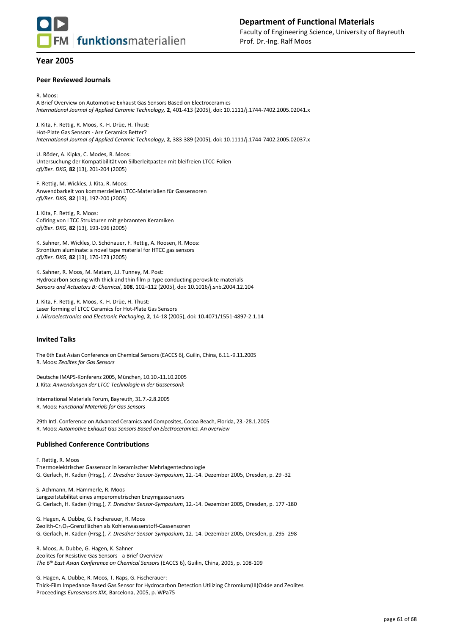

#### **Peer Reviewed Journals**

R. Moos: A Brief Overview on Automotive Exhaust Gas Sensors Based on Electroceramics *International Journal of Applied Ceramic Technology,* **2**, 401-413 (2005), doi: 10.1111/j.1744-7402.2005.02041.x

J. Kita, F. Rettig, R. Moos, K.-H. Drüe, H. Thust: Hot-Plate Gas Sensors - Are Ceramics Better? *International Journal of Applied Ceramic Technology,* **2**, 383-389 (2005), doi: 10.1111/j.1744-7402.2005.02037.x

U. Röder, A. Kipka, C. Modes, R. Moos: Untersuchung der Kompatibilität von Silberleitpasten mit bleifreien LTCC-Folien *cfi/Ber. DKG*, **82** (13), 201-204 (2005)

F. Rettig, M. Wickles, J. Kita, R. Moos: Anwendbarkeit von kommerziellen LTCC-Materialien für Gassensoren *cfi/Ber. DKG*, **82** (13), 197-200 (2005)

J. Kita, F. Rettig, R. Moos: Cofiring von LTCC Strukturen mit gebrannten Keramiken *cfi/Ber. DKG*, **82** (13), 193-196 (2005)

K. Sahner, M. Wickles, D. Schönauer, F. Rettig, A. Roosen, R. Moos: Strontium aluminate: a novel tape material for HTCC gas sensors *cfi/Ber. DKG*, **82** (13), 170-173 (2005)

K. Sahner, R. Moos, M. Matam, J.J. Tunney, M. Post: Hydrocarbon sensing with thick and thin film p-type conducting perovskite materials *Sensors and Actuators B: Chemical*, **108**, 102–112 (2005), doi: 10.1016/j.snb.2004.12.104

J. Kita, F. Rettig, R. Moos, K.-H. Drüe, H. Thust: Laser forming of LTCC Ceramics for Hot-Plate Gas Sensors *J. Microelectronics and Electronic Packaging*, **2**, 14-18 (2005), doi: 10.4071/1551-4897-2.1.14

#### **Invited Talks**

The 6th East Asian Conference on Chemical Sensors (EACCS 6), Guilin, China, 6.11.-9.11.2005 R. Moos: *Zeolites for Gas Sensors*

Deutsche IMAPS-Konferenz 2005, München, 10.10.-11.10.2005 J. Kita: *Anwendungen der LTCC-Technologie in der Gassensorik*

International Materials Forum, Bayreuth, 31.7.-2.8.2005 R. Moos: *Functional Materials for Gas Sensors*

29th Intl. Conference on Advanced Ceramics and Composites, Cocoa Beach, Florida, 23.-28.1.2005 R. Moos: *Automotive Exhaust Gas Sensors Based on Electroceramics. An overview*

#### **Published Conference Contributions**

F. Rettig, R. Moos Thermoelektrischer Gassensor in keramischer Mehrlagentechnologie G. Gerlach, H. Kaden (Hrsg.), *7. Dresdner Sensor-Symposium*, 12.-14. Dezember 2005, Dresden, p. 29 -32

S. Achmann, M. Hämmerle, R. Moos Langzeitstabilität eines amperometrischen Enzymgassensors G. Gerlach, H. Kaden (Hrsg.), *7. Dresdner Sensor-Symposium*, 12.-14. Dezember 2005, Dresden, p. 177 -180

G. Hagen, A. Dubbe, G. Fischerauer, R. Moos Zeolith-Cr<sub>2</sub>O<sub>3</sub>-Grenzflächen als Kohlenwasserstoff-Gassensoren G. Gerlach, H. Kaden (Hrsg.), *7. Dresdner Sensor-Symposium*, 12.-14. Dezember 2005, Dresden, p. 295 -298

R. Moos, A. Dubbe, G. Hagen, K. Sahner Zeolites for Resistive Gas Sensors - a Brief Overview *The 6th East Asian Conference on Chemical Sensors* (EACCS 6), Guilin, China, 2005, p. 108-109

G. Hagen, A. Dubbe, R. Moos, T. Raps, G. Fischerauer: Thick-Film Impedance Based Gas Sensor for Hydrocarbon Detection Utilizing Chromium(III)Oxide and Zeolites Proceedings *Eurosensors XIX*, Barcelona, 2005, p. WPa75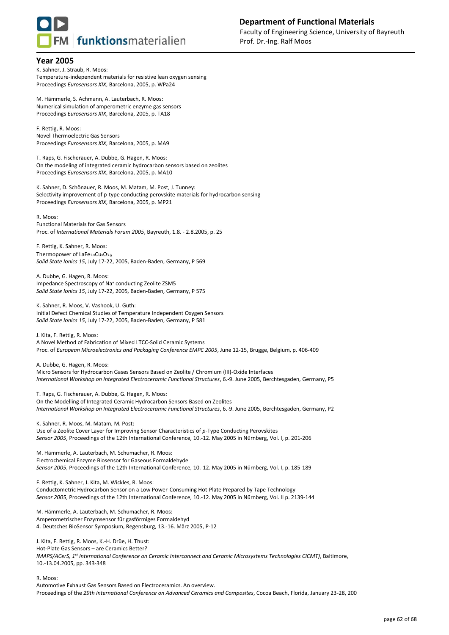

K. Sahner, J. Straub, R. Moos: Temperature-independent materials for resistive lean oxygen sensing Proceedings *Eurosensors XIX*, Barcelona, 2005, p. WPa24

M. Hämmerle, S. Achmann, A. Lauterbach, R. Moos: Numerical simulation of amperometric enzyme gas sensors Proceedings *Eurosensors XIX*, Barcelona, 2005, p. TA18

F. Rettig, R. Moos: Novel Thermoelectric Gas Sensors Proceedings *Eurosensors XIX*, Barcelona, 2005, p. MA9

T. Raps, G. Fischerauer, A. Dubbe, G. Hagen, R. Moos: On the modeling of integrated ceramic hydrocarbon sensors based on zeolites Proceedings *Eurosensors XIX*, Barcelona, 2005, p. MA10

K. Sahner, D. Schönauer, R. Moos, M. Matam, M. Post, J. Tunney: Selectivity improvement of p-type conducting perovskite materials for hydrocarbon sensing Proceedings *Eurosensors XIX*, Barcelona, 2005, p. MP21

R. Moos: Functional Materials for Gas Sensors Proc. of *International Materials Forum 2005*, Bayreuth, 1.8. - 2.8.2005, p. 25

F. Rettig, K. Sahner, R. Moos: Thermopower of LaFe $_{1-x}Cu<sub>x</sub>O<sub>3-8</sub>$ *Solid State Ionics 15*, July 17-22, 2005, Baden-Baden, Germany, P 569

A. Dubbe, G. Hagen, R. Moos: Impedance Spectroscopy of Na<sup>+</sup> conducting Zeolite ZSM5 *Solid State Ionics 15*, July 17-22, 2005, Baden-Baden, Germany, P 575

K. Sahner, R. Moos, V. Vashook, U. Guth: Initial Defect Chemical Studies of Temperature Independent Oxygen Sensors *Solid State Ionics 15*, July 17-22, 2005, Baden-Baden, Germany, P 581

J. Kita, F. Rettig, R. Moos: A Novel Method of Fabrication of Mixed LTCC-Solid Ceramic Systems Proc. of *European Microelectronics and Packaging Conference EMPC 2005*, June 12-15, Brugge, Belgium, p. 406-409

A. Dubbe, G. Hagen, R. Moos: Micro Sensors for Hydrocarbon Gases Sensors Based on Zeolite / Chromium (III)-Oxide Interfaces *International Workshop on Integrated Electroceramic Functional Structures*, 6.-9. June 2005, Berchtesgaden, Germany, P5

T. Raps, G. Fischerauer, A. Dubbe, G. Hagen, R. Moos: On the Modelling of Integrated Ceramic Hydrocarbon Sensors Based on Zeolites *International Workshop on Integrated Electroceramic Functional Structures*, 6.-9. June 2005, Berchtesgaden, Germany, P2

K. Sahner, R. Moos, M. Matam, M. Post: Use of a Zeolite Cover Layer for Improving Sensor Characteristics of *p*-Type Conducting Perovskites *Sensor 2005*, Proceedings of the 12th International Conference, 10.-12. May 2005 in Nürnberg, Vol. I, p. 201-206

M. Hämmerle, A. Lauterbach, M. Schumacher, R. Moos: Electrochemical Enzyme Biosensor for Gaseous Formaldehyde *Sensor 2005*, Proceedings of the 12th International Conference, 10.-12. May 2005 in Nürnberg, Vol. I, p. 185-189

F. Rettig, K. Sahner, J. Kita, M. Wickles, R. Moos: Conductometric Hydrocarbon Sensor on a Low Power-Consuming Hot-Plate Prepared by Tape Technology *Sensor 2005*, Proceedings of the 12th International Conference, 10.-12. May 2005 in Nürnberg, Vol. II p. 2139-144

M. Hämmerle, A. Lauterbach, M. Schumacher, R. Moos: Amperometrischer Enzymsensor für gasförmiges Formaldehyd 4. Deutsches BioSensor Symposium, Regensburg, 13.-16. März 2005, P-12

J. Kita, F. Rettig, R. Moos, K.-H. Drüe, H. Thust: Hot-Plate Gas Sensors – are Ceramics Better? *IMAPS/ACerS, 1st International Conference on Ceramic Interconnect and Ceramic Microsystems Technologies CICMT)*, Baltimore, 10.-13.04.2005, pp. 343-348

R. Moos:

Automotive Exhaust Gas Sensors Based on Electroceramics. An overview. Proceedings of the *29th International Conference on Advanced Ceramics and Composites*, Cocoa Beach, Florida, January 23-28, 200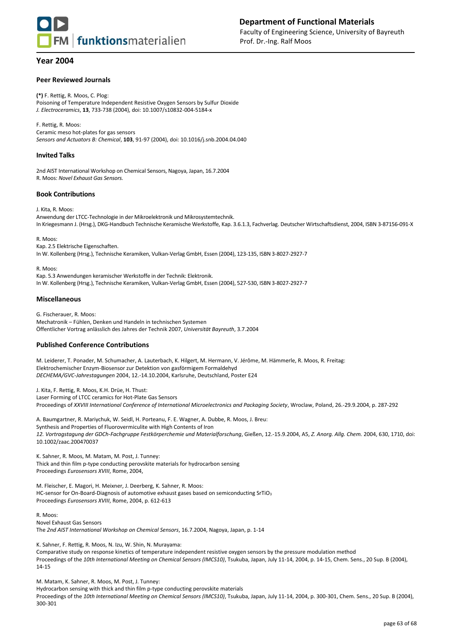

#### **Peer Reviewed Journals**

**(\*)** F. Rettig, R. Moos, C. Plog: Poisoning of Temperature Independent Resistive Oxygen Sensors by Sulfur Dioxide *J. Electroceramics*, **13**, 733-738 (2004), doi: 10.1007/s10832-004-5184-x

F. Rettig, R. Moos: Ceramic meso hot-plates for gas sensors *Sensors and Actuators B: Chemical*, **103**, 91-97 (2004), doi: 10.1016/j.snb.2004.04.040

#### **Invited Talks**

2nd AIST International Workshop on Chemical Sensors, Nagoya, Japan, 16.7.2004 R. Moos: *Novel Exhaust Gas Sensors.* 

#### **Book Contributions**

J. Kita, R. Moos:

Anwendung der LTCC-Technologie in der Mikroelektronik und Mikrosystemtechnik. In Kriegesmann J. (Hrsg.), DKG-Handbuch Technische Keramische Werkstoffe, Kap. 3.6.1.3, Fachverlag. Deutscher Wirtschaftsdienst, 2004, ISBN 3-87156-091-X

R. Moos: Kap. 2.5 Elektrische Eigenschaften. In W. Kollenberg (Hrsg.), Technische Keramiken, Vulkan-Verlag GmbH, Essen (2004), 123-135, ISBN 3-8027-2927-7

R. Moos: Kap. 5.3 Anwendungen keramischer Werkstoffe in der Technik: Elektronik. In W. Kollenberg (Hrsg.), Technische Keramiken, Vulkan-Verlag GmbH, Essen (2004), 527-530, ISBN 3-8027-2927-7

#### **Miscellaneous**

G. Fischerauer, R. Moos: Mechatronik – Fühlen, Denken und Handeln in technischen Systemen Öffentlicher Vortrag anlässlich des Jahres der Technik 2007, *Universität Bayreuth*, 3.7.2004

#### **Published Conference Contributions**

M. Leiderer, T. Ponader, M. Schumacher, A. Lauterbach, K. Hilgert, M. Hermann, V. Jérôme, M. Hämmerle, R. Moos, R. Freitag: Elektrochemischer Enzym-Biosensor zur Detektion von gasförmigem Formaldehyd *DECHEMA/GVC-Jahrestagungen* 2004, 12.-14.10.2004, Karlsruhe, Deutschland, Poster E24

J. Kita, F. Rettig, R. Moos, K.H. Drüe, H. Thust: Laser Forming of LTCC ceramics for Hot-Plate Gas Sensors Proceedings of *XXVIII International Conference of International Microelectronics and Packaging Society*, Wroclaw, Poland, 26.-29.9.2004, p. 287-292

A. Baumgartner, R. Mariychuk, W. Seidl, H. Porteanu, F. E. Wagner, A. Dubbe, R. Moos, J. Breu: Synthesis and Properties of Fluorovermiculite with High Contents of Iron *12. Vortragstagung der GDCh-Fachgruppe Festkörperchemie und Materialforschung*, Gießen, 12.-15.9.2004, A5, *Z. Anorg. Allg. Chem.* 2004, 630, 1710, doi: 10.1002/zaac.200470037

K. Sahner, R. Moos, M. Matam, M. Post, J. Tunney: Thick and thin film p-type conducting perovskite materials for hydrocarbon sensing Proceedings *Eurosensors XVIII*, Rome, 2004,

M. Fleischer, E. Magori, H. Meixner, J. Deerberg, K. Sahner, R. Moos: HC-sensor for On-Board-Diagnosis of automotive exhaust gases based on semiconducting SrTiO<sub>3</sub> Proceedings *Eurosensors XVIII*, Rome, 2004, p. 612-613

R. Moos: Novel Exhaust Gas Sensors The *2nd AIST International Workshop on Chemical Sensors*, 16.7.2004, Nagoya, Japan, p. 1-14

K. Sahner, F. Rettig, R. Moos, N. Izu, W. Shin, N. Murayama: Comparative study on response kinetics of temperature independent resistive oxygen sensors by the pressure modulation method Proceedings of the *10th International Meeting on Chemical Sensors (IMCS10)*, Tsukuba, Japan, July 11-14, 2004, p. 14-15, Chem. Sens., 20 Sup. B (2004), 14-15

M. Matam, K. Sahner, R. Moos, M. Post, J. Tunney: Hydrocarbon sensing with thick and thin film p-type conducting perovskite materials Proceedings of the *10th International Meeting on Chemical Sensors (IMCS10)*, Tsukuba, Japan, July 11-14, 2004, p. 300-301, Chem. Sens., 20 Sup. B (2004), 300-301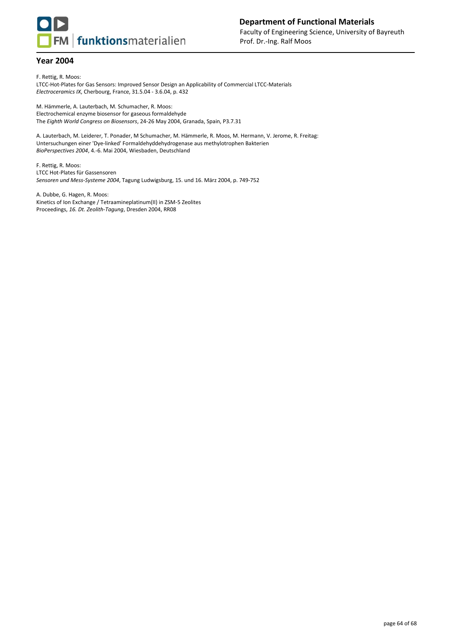

F. Rettig, R. Moos: LTCC-Hot-Plates for Gas Sensors: Improved Sensor Design an Applicability of Commercial LTCC-Materials *Electroceramics IX*, Cherbourg, France, 31.5.04 - 3.6.04, p. 432

M. Hämmerle, A. Lauterbach, M. Schumacher, R. Moos: Electrochemical enzyme biosensor for gaseous formaldehyde The *Eighth World Congress on Biosensors*, 24-26 May 2004, Granada, Spain, P3.7.31

A. Lauterbach, M. Leiderer, T. Ponader, M Schumacher, M. Hämmerle, R. Moos, M. Hermann, V. Jerome, R. Freitag: Untersuchungen einer 'Dye-linked' Formaldehyddehydrogenase aus methylotrophen Bakterien *BioPerspectives 2004*, 4.-6. Mai 2004, Wiesbaden, Deutschland

F. Rettig, R. Moos: LTCC Hot-Plates für Gassensoren *Sensoren und Mess-Systeme 2004*, Tagung Ludwigsburg, 15. und 16. März 2004, p. 749-752

A. Dubbe, G. Hagen, R. Moos: Kinetics of Ion Exchange / Tetraamineplatinum(II) in ZSM-5 Zeolites Proceedings, *16. Dt. Zeolith-Tagung*, Dresden 2004, RR08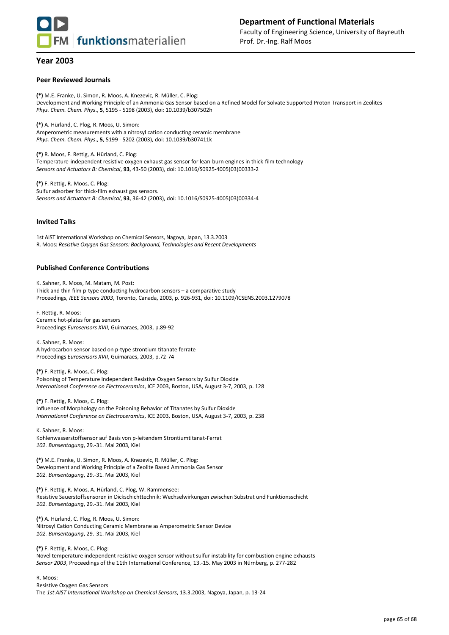

## **Department of Functional Materials** Faculty of Engineering Science, University of Bayreuth Prof. Dr.-Ing. Ralf Moos

## **Year 2003**

#### **Peer Reviewed Journals**

**(\*)** M.E. Franke, U. Simon, R. Moos, A. Knezevic, R. Müller, C. Plog: Development and Working Principle of an Ammonia Gas Sensor based on a Refined Model for Solvate Supported Proton Transport in Zeolites *Phys. Chem. Chem. Phys*., **5**, 5195 - 5198 (2003), doi: 10.1039/b307502h

**(\*)** A. Hürland, C. Plog, R. Moos, U. Simon: Amperometric measurements with a nitrosyl cation conducting ceramic membrane *Phys. Chem. Chem. Phys*., **5**, 5199 - 5202 (2003), doi: 10.1039/b307411k

**(\*)** R. Moos, F. Rettig, A. Hürland, C. Plog: Temperature-independent resistive oxygen exhaust gas sensor for lean-burn engines in thick-film technology *Sensors and Actuators B: Chemical*, **93**, 43-50 (2003), doi: 10.1016/S0925-4005(03)00333-2

**(\*)** F. Rettig, R. Moos, C. Plog: Sulfur adsorber for thick-film exhaust gas sensors. *Sensors and Actuators B: Chemical*, **93**, 36-42 (2003), doi: 10.1016/S0925-4005(03)00334-4

#### **Invited Talks**

1st AIST International Workshop on Chemical Sensors, Nagoya, Japan, 13.3.2003 R. Moos: *Resistive Oxygen Gas Sensors: Background, Technologies and Recent Developments*

## **Published Conference Contributions**

K. Sahner, R. Moos, M. Matam, M. Post: Thick and thin film p-type conducting hydrocarbon sensors – a comparative study Proceedings, *IEEE Sensors 2003*, Toronto, Canada, 2003, p. 926-931, doi: 10.1109/ICSENS.2003.1279078

F. Rettig, R. Moos: Ceramic hot-plates for gas sensors Proceedings *Eurosensors XVII*, Guimaraes, 2003, p.89-92

K. Sahner, R. Moos: A hydrocarbon sensor based on p-type strontium titanate ferrate Proceedings *Eurosensors XVII*, Guimaraes, 2003, p.72-74

**(\*)** F. Rettig, R. Moos, C. Plog: Poisoning of Temperature Independent Resistive Oxygen Sensors by Sulfur Dioxide *International Conference on Electroceramics*, ICE 2003, Boston, USA, August 3-7, 2003, p. 128

**(\*)** F. Rettig, R. Moos, C. Plog: Influence of Morphology on the Poisoning Behavior of Titanates by Sulfur Dioxide *International Conference on Electroceramics*, ICE 2003, Boston, USA, August 3-7, 2003, p. 238

K. Sahner, R. Moos: Kohlenwasserstoffsensor auf Basis von p-leitendem Strontiumtitanat-Ferrat *102. Bunsentagung*, 29.-31. Mai 2003, Kiel

**(\*)** M.E. Franke, U. Simon, R. Moos, A. Knezevic, R. Müller, C. Plog: Development and Working Principle of a Zeolite Based Ammonia Gas Sensor *102. Bunsentagung*, 29.-31. Mai 2003, Kiel

**(\*)** F. Rettig, R. Moos, A. Hürland, C. Plog, W. Rammensee: Resistive Sauerstoffsensoren in Dickschichttechnik: Wechselwirkungen zwischen Substrat und Funktionsschicht *102. Bunsentagung*, 29.-31. Mai 2003, Kiel

**(\*)** A. Hürland, C. Plog, R. Moos, U. Simon: Nitrosyl Cation Conducting Ceramic Membrane as Amperometric Sensor Device *102. Bunsentagung*, 29.-31. Mai 2003, Kiel

**(\*)** F. Rettig, R. Moos, C. Plog: Novel temperature independent resistive oxygen sensor without sulfur instability for combustion engine exhausts *Sensor 2003*, Proceedings of the 11th International Conference, 13.-15. May 2003 in Nürnberg, p. 277-282

R. Moos: Resistive Oxygen Gas Sensors The *1st AIST International Workshop on Chemical Sensors*, 13.3.2003, Nagoya, Japan, p. 13-24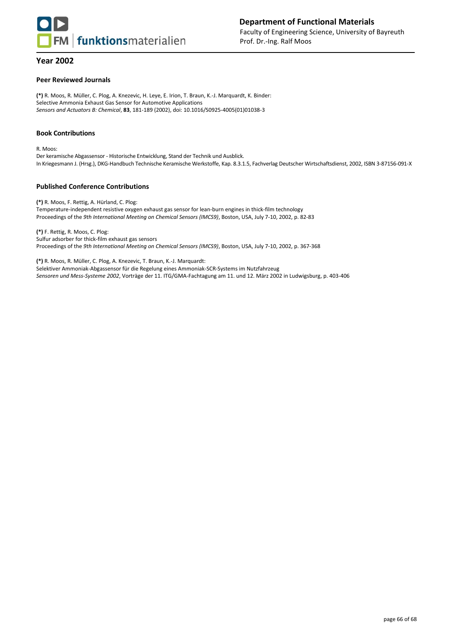

#### **Peer Reviewed Journals**

**(\*)** R. Moos, R. Müller, C. Plog, A. Knezevic, H. Leye, E. Irion, T. Braun, K.-J. Marquardt, K. Binder: Selective Ammonia Exhaust Gas Sensor for Automotive Applications *Sensors and Actuators B: Chemical*, **83**, 181-189 (2002), doi: 10.1016/S0925-4005(01)01038-3

#### **Book Contributions**

R. Moos:

Der keramische Abgassensor - Historische Entwicklung, Stand der Technik und Ausblick. In Kriegesmann J. (Hrsg.), DKG-Handbuch Technische Keramische Werkstoffe, Kap. 8.3.1.5, Fachverlag Deutscher Wirtschaftsdienst, 2002, ISBN 3-87156-091-X

#### **Published Conference Contributions**

**(\*)** R. Moos, F. Rettig, A. Hürland, C. Plog: Temperature-independent resistive oxygen exhaust gas sensor for lean-burn engines in thick-film technology Proceedings of the *9th International Meeting on Chemical Sensors (IMCS9)*, Boston, USA, July 7-10, 2002, p. 82-83

**(\*)** F. Rettig, R. Moos, C. Plog: Sulfur adsorber for thick-film exhaust gas sensors Proceedings of the *9th International Meeting on Chemical Sensors (IMCS9)*, Boston, USA, July 7-10, 2002, p. 367-368

**(\*)** R. Moos, R. Müller, C. Plog, A. Knezevic, T. Braun, K.-J. Marquardt: Selektiver Ammoniak-Abgassensor für die Regelung eines Ammoniak-SCR-Systems im Nutzfahrzeug *Sensoren und Mess-Systeme 2002*, Vorträge der 11. ITG/GMA-Fachtagung am 11. und 12. März 2002 in Ludwigsburg, p. 403-406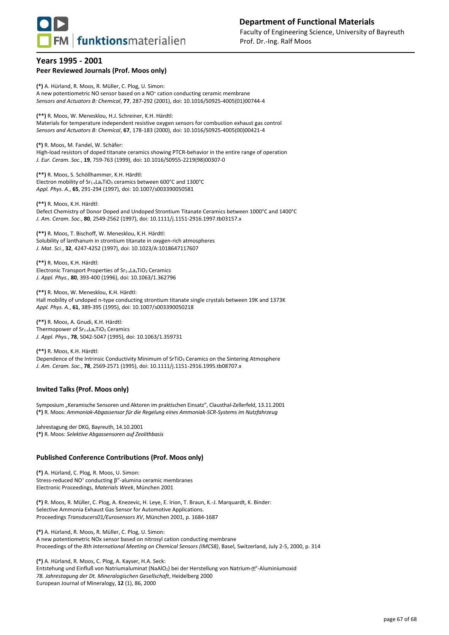

## **Years 1995 - 2001 Peer Reviewed Journals (Prof. Moos only)**

**(\*)** A. Hürland, R. Moos, R. Müller, C. Plog, U. Simon: A new potentiometric NO sensor based on a NO<sup>+</sup> cation conducting ceramic membrane *Sensors and Actuators B: Chemical*, **77**, 287-292 (2001), doi: 10.1016/S0925-4005(01)00744-4

**(\*\*)** R. Moos, W. Menesklou, H.J. Schreiner, K.H. Härdtl: Materials for temperature independent resistive oxygen sensors for combustion exhaust gas control *Sensors and Actuators B: Chemical*, **67**, 178-183 (2000), doi: 10.1016/S0925-4005(00)00421-4

**(\*)** R. Moos, M. Fandel, W. Schäfer: High-load resistors of doped titanate ceramics showing PTCR-behavior in the entire range of operation *J. Eur. Ceram. Soc.*, **19**, 759-763 (1999), doi: 10.1016/S0955-2219(98)00307-0

**(\*\*)** R. Moos, S. Schöllhammer, K.H. Härdtl: Electron mobility of Sr<sub>1-x</sub>La<sub>x</sub>TiO<sub>3</sub> ceramics between 600°C and 1300°C *Appl. Phys. A.*, **65**, 291-294 (1997), doi: 10.1007/s003390050581

**(\*\*)** R. Moos, K.H. Härdtl: Defect Chemistry of Donor Doped and Undoped Strontium Titanate Ceramics between 1000°C and 1400°C *J. Am. Ceram. Soc.*, **80**, 2549-2562 (1997), doi: 10.1111/j.1151-2916.1997.tb03157.x

**(\*\*)** R. Moos, T. Bischoff, W. Menesklou, K.H. Härdtl: Solubility of lanthanum in strontium titanate in oxygen-rich atmospheres *J. Mat. Sci.*, **32**, 4247-4252 (1997), doi: 10.1023/A:1018647117607

**(\*\*)** R. Moos, K.H. Härdtl: Electronic Transport Properties of Sr<sub>1-x</sub>La<sub>x</sub>TiO<sub>3</sub> Ceramics *J. Appl. Phys.*, **80**, 393-400 (1996), doi: 10.1063/1.362796

**(\*\*)** R. Moos, W. Menesklou, K.H. Härdtl: Hall mobility of undoped n-type conducting strontium titanate single crystals between 19K and 1373K *Appl. Phys. A.*, **61**, 389-395 (1995), doi: 10.1007/s003390050218

**(\*\*)** R. Moos, A. Gnudi, K.H. Härdtl: Thermopower of Sr<sub>1-x</sub>La<sub>x</sub>TiO<sub>3</sub> Ceramics *J. Appl. Phys.*, **78**, 5042-5047 (1995), doi: 10.1063/1.359731

**(\*\*)** R. Moos, K.H. Härdtl: Dependence of the Intrinsic Conductivity Minimum of SrTiO<sub>3</sub> Ceramics on the Sintering Atmosphere *J. Am. Ceram. Soc.*, **78**, 2569-2571 (1995), doi: 10.1111/j.1151-2916.1995.tb08707.x

## **Invited Talks (Prof. Moos only)**

Symposium "Keramische Sensoren und Aktoren im praktischen Einsatz", Clausthal-Zellerfeld, 13.11.2001 **(\*)** R. Moos: *Ammoniak-Abgassensor für die Regelung eines Ammoniak-SCR-Systems im Nutzfahrzeug*

Jahrestagung der DKG, Bayreuth, 14.10.2001 **(\*)** R. Moos: *Selektive Abgassensoren auf Zeolithbasis*

#### **Published Conference Contributions (Prof. Moos only)**

**(\*)** A. Hürland, C. Plog, R. Moos, U. Simon: Stress-reduced NO<sup>+</sup> conducting β"-alumina ceramic membranes Electronic Proceedings, *Materials Week*, München 2001

**(\*)** R. Moos, R. Müller, C. Plog, A. Knezevic, H. Leye, E. Irion, T. Braun, K.-J. Marquardt, K. Binder: Selective Ammonia Exhaust Gas Sensor for Automotive Applications. Proceedings *Transducers01/Eurosensors XV*, München 2001, p. 1684-1687

**(\*)** A. Hürland, R. Moos, R. Müller, C. Plog, U. Simon: A new potentiometric NOx sensor based on nitrosyl cation conducting membrane Proceedings of the *8th International Meeting on Chemical Sensors (IMCS8)*, Basel, Switzerland, July 2-5, 2000, p. 314

**(\*)** A. Hürland, R. Moos, C. Plog, A. Kayser, H.A. Seck: Entstehung und Einfluß von Natriumaluminat (NaAlO<sub>2</sub>) bei der Herstellung von Natrium- $\mathbb{Z}^d$ -Aluminiumoxid *78. Jahrestagung der Dt. Mineralogischen Gesellschaft*, Heidelberg 2000 European Journal of Mineralogy, **12** (1), 86, 2000